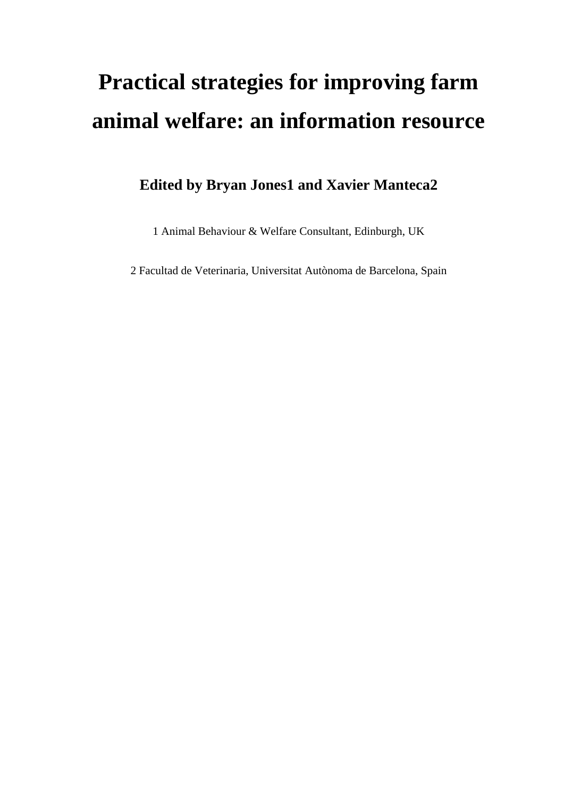# **Practical strategies for improving farm animal welfare: an information resource**

# **Edited by Bryan Jones1 and Xavier Manteca2**

1 Animal Behaviour & Welfare Consultant, Edinburgh, UK

2 Facultad de Veterinaria, Universitat Autònoma de Barcelona, Spain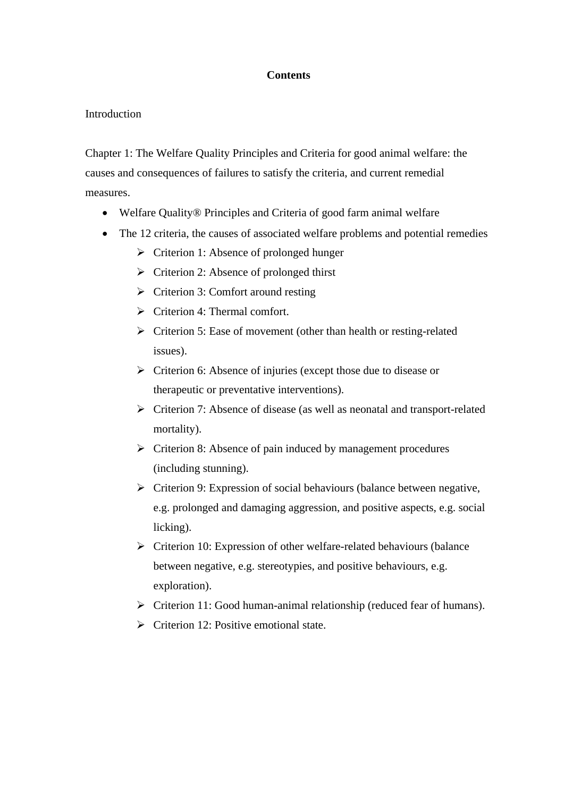#### **Contents**

#### **Introduction**

Chapter 1: The Welfare Quality Principles and Criteria for good animal welfare: the causes and consequences of failures to satisfy the criteria, and current remedial measures.

- Welfare Quality® Principles and Criteria of good farm animal welfare
- The 12 criteria, the causes of associated welfare problems and potential remedies
	- $\triangleright$  Criterion 1: Absence of prolonged hunger
	- $\triangleright$  Criterion 2: Absence of prolonged thirst
	- $\triangleright$  Criterion 3: Comfort around resting
	- $\triangleright$  Criterion 4: Thermal comfort.
	- $\triangleright$  Criterion 5: Ease of movement (other than health or resting-related issues).
	- $\triangleright$  Criterion 6: Absence of injuries (except those due to disease or therapeutic or preventative interventions).
	- Criterion 7: Absence of disease (as well as neonatal and transport-related mortality).
	- $\triangleright$  Criterion 8: Absence of pain induced by management procedures (including stunning).
	- $\triangleright$  Criterion 9: Expression of social behaviours (balance between negative, e.g. prolonged and damaging aggression, and positive aspects, e.g. social licking).
	- $\triangleright$  Criterion 10: Expression of other welfare-related behaviours (balance between negative, e.g. stereotypies, and positive behaviours, e.g. exploration).
	- $\triangleright$  Criterion 11: Good human-animal relationship (reduced fear of humans).
	- $\triangleright$  Criterion 12: Positive emotional state.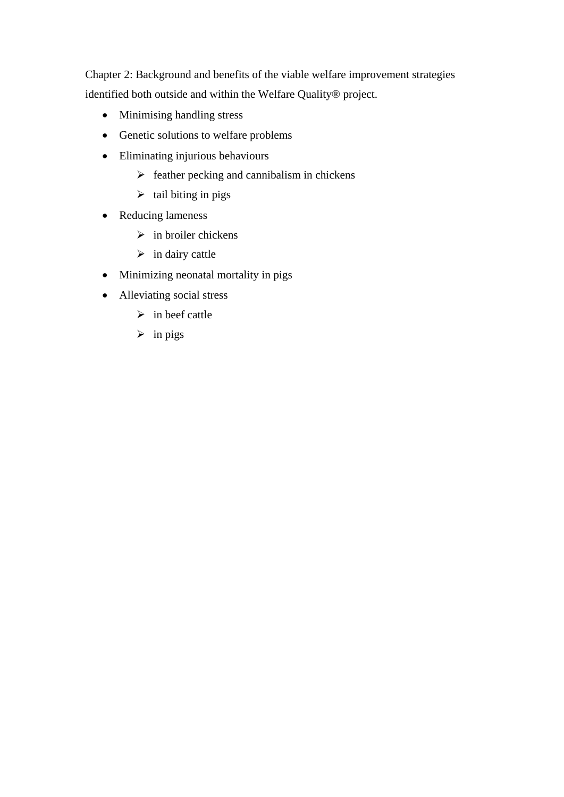Chapter 2: Background and benefits of the viable welfare improvement strategies identified both outside and within the Welfare Quality® project.

- Minimising handling stress
- Genetic solutions to welfare problems
- Eliminating injurious behaviours
	- $\triangleright$  feather pecking and cannibalism in chickens
	- $\triangleright$  tail biting in pigs
- Reducing lameness
	- $\triangleright$  in broiler chickens
	- $\triangleright$  in dairy cattle
- Minimizing neonatal mortality in pigs
- Alleviating social stress
	- $\triangleright$  in beef cattle
	- $\triangleright$  in pigs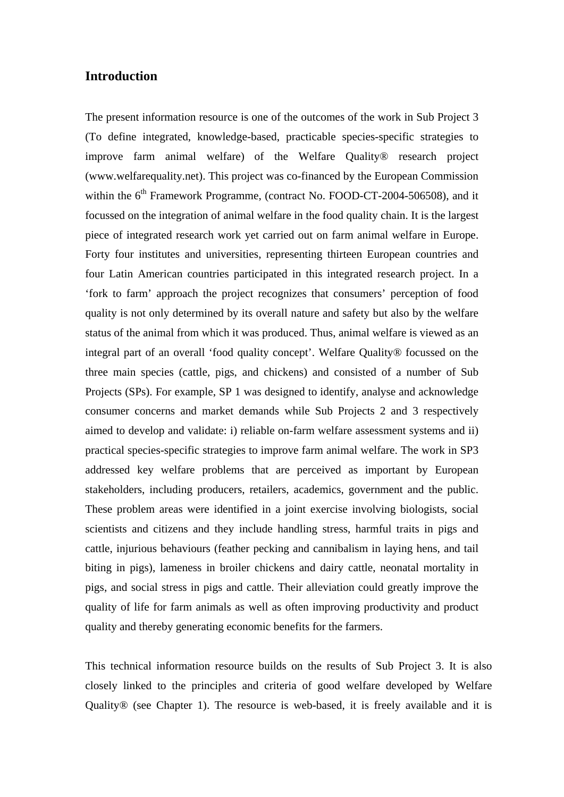#### **Introduction**

The present information resource is one of the outcomes of the work in Sub Project 3 (To define integrated, knowledge-based, practicable species-specific strategies to improve farm animal welfare) of the Welfare Quality® research project (www.welfarequality.net). This project was co-financed by the European Commission within the  $6<sup>th</sup>$  Framework Programme, (contract No. FOOD-CT-2004-506508), and it focussed on the integration of animal welfare in the food quality chain. It is the largest piece of integrated research work yet carried out on farm animal welfare in Europe. Forty four institutes and universities, representing thirteen European countries and four Latin American countries participated in this integrated research project. In a 'fork to farm' approach the project recognizes that consumers' perception of food quality is not only determined by its overall nature and safety but also by the welfare status of the animal from which it was produced. Thus, animal welfare is viewed as an integral part of an overall 'food quality concept'. Welfare Quality® focussed on the three main species (cattle, pigs, and chickens) and consisted of a number of Sub Projects (SPs). For example, SP 1 was designed to identify, analyse and acknowledge consumer concerns and market demands while Sub Projects 2 and 3 respectively aimed to develop and validate: i) reliable on-farm welfare assessment systems and ii) practical species-specific strategies to improve farm animal welfare. The work in SP3 addressed key welfare problems that are perceived as important by European stakeholders, including producers, retailers, academics, government and the public. These problem areas were identified in a joint exercise involving biologists, social scientists and citizens and they include handling stress, harmful traits in pigs and cattle, injurious behaviours (feather pecking and cannibalism in laying hens, and tail biting in pigs), lameness in broiler chickens and dairy cattle, neonatal mortality in pigs, and social stress in pigs and cattle. Their alleviation could greatly improve the quality of life for farm animals as well as often improving productivity and product quality and thereby generating economic benefits for the farmers.

This technical information resource builds on the results of Sub Project 3. It is also closely linked to the principles and criteria of good welfare developed by Welfare Quality® (see Chapter 1). The resource is web-based, it is freely available and it is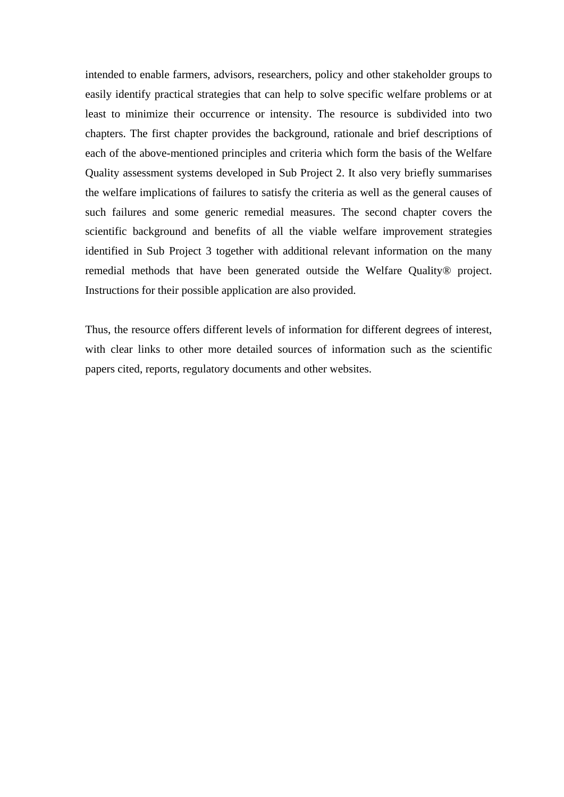intended to enable farmers, advisors, researchers, policy and other stakeholder groups to easily identify practical strategies that can help to solve specific welfare problems or at least to minimize their occurrence or intensity. The resource is subdivided into two chapters. The first chapter provides the background, rationale and brief descriptions of each of the above-mentioned principles and criteria which form the basis of the Welfare Quality assessment systems developed in Sub Project 2. It also very briefly summarises the welfare implications of failures to satisfy the criteria as well as the general causes of such failures and some generic remedial measures. The second chapter covers the scientific background and benefits of all the viable welfare improvement strategies identified in Sub Project 3 together with additional relevant information on the many remedial methods that have been generated outside the Welfare Quality® project. Instructions for their possible application are also provided.

Thus, the resource offers different levels of information for different degrees of interest, with clear links to other more detailed sources of information such as the scientific papers cited, reports, regulatory documents and other websites.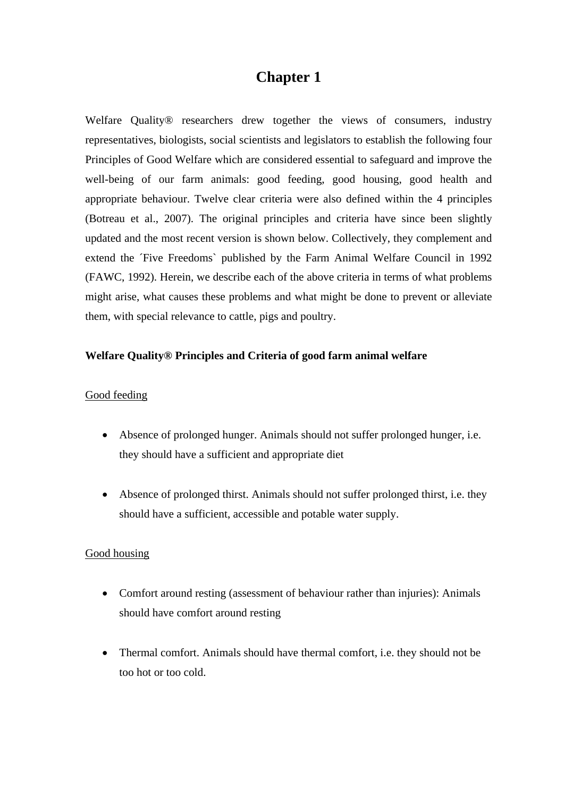## **Chapter 1**

Welfare Quality<sup>®</sup> researchers drew together the views of consumers, industry representatives, biologists, social scientists and legislators to establish the following four Principles of Good Welfare which are considered essential to safeguard and improve the well-being of our farm animals: good feeding, good housing, good health and appropriate behaviour. Twelve clear criteria were also defined within the 4 principles (Botreau et al., 2007). The original principles and criteria have since been slightly updated and the most recent version is shown below. Collectively, they complement and extend the 'Five Freedoms' published by the Farm Animal Welfare Council in 1992 (FAWC, 1992). Herein, we describe each of the above criteria in terms of what problems might arise, what causes these problems and what might be done to prevent or alleviate them, with special relevance to cattle, pigs and poultry.

#### **Welfare Quality® Principles and Criteria of good farm animal welfare**

#### Good feeding

- Absence of prolonged hunger. Animals should not suffer prolonged hunger, i.e. they should have a sufficient and appropriate diet
- Absence of prolonged thirst. Animals should not suffer prolonged thirst, i.e. they should have a sufficient, accessible and potable water supply.

#### Good housing

- Comfort around resting (assessment of behaviour rather than injuries): Animals should have comfort around resting
- Thermal comfort. Animals should have thermal comfort, i.e. they should not be too hot or too cold.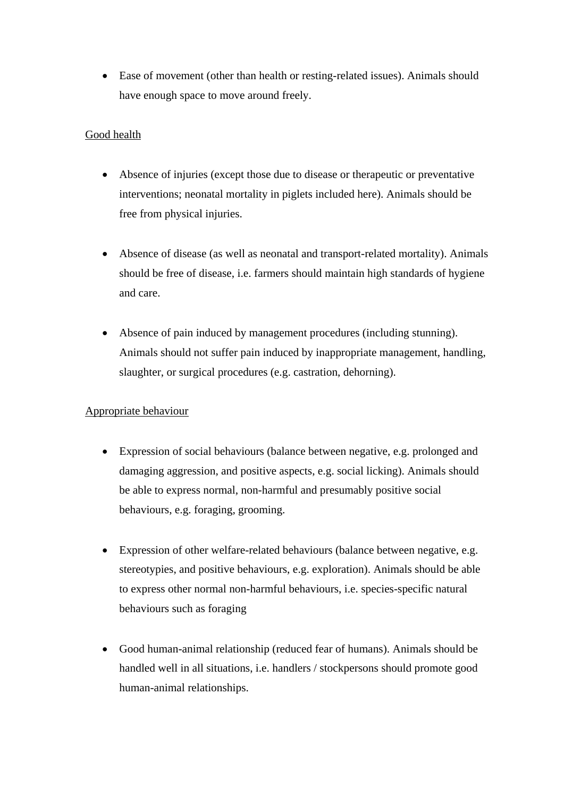Ease of movement (other than health or resting-related issues). Animals should have enough space to move around freely.

#### Good health

- Absence of injuries (except those due to disease or therapeutic or preventative interventions; neonatal mortality in piglets included here). Animals should be free from physical injuries.
- Absence of disease (as well as neonatal and transport-related mortality). Animals should be free of disease, i.e. farmers should maintain high standards of hygiene and care.
- Absence of pain induced by management procedures (including stunning). Animals should not suffer pain induced by inappropriate management, handling, slaughter, or surgical procedures (e.g. castration, dehorning).

#### Appropriate behaviour

- Expression of social behaviours (balance between negative, e.g. prolonged and damaging aggression, and positive aspects, e.g. social licking). Animals should be able to express normal, non-harmful and presumably positive social behaviours, e.g. foraging, grooming.
- Expression of other welfare-related behaviours (balance between negative, e.g. stereotypies, and positive behaviours, e.g. exploration). Animals should be able to express other normal non-harmful behaviours, i.e. species-specific natural behaviours such as foraging
- Good human-animal relationship (reduced fear of humans). Animals should be handled well in all situations, i.e. handlers / stockpersons should promote good human-animal relationships.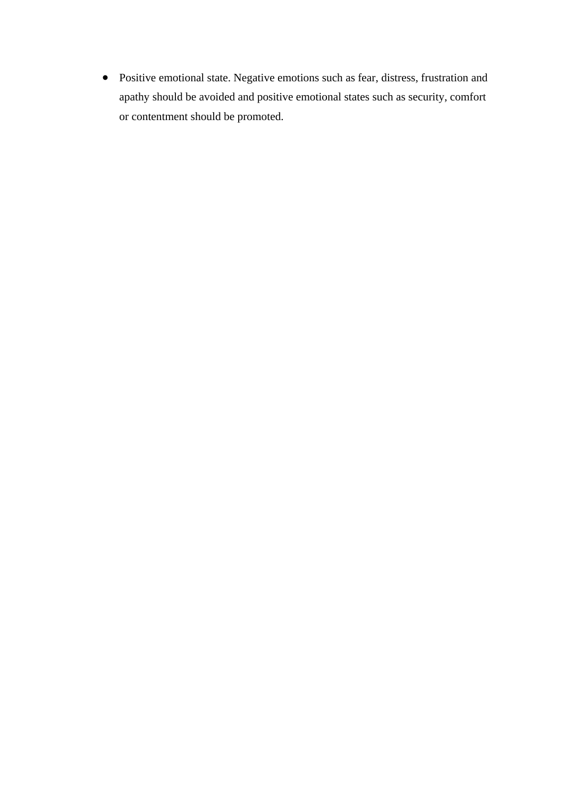Positive emotional state. Negative emotions such as fear, distress, frustration and apathy should be avoided and positive emotional states such as security, comfort or contentment should be promoted.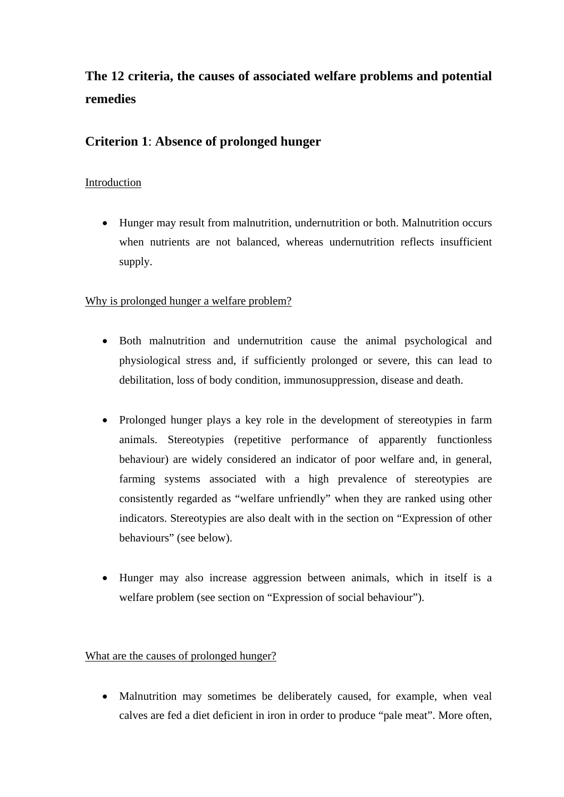# **The 12 criteria, the causes of associated welfare problems and potential remedies**

### **Criterion 1**: **Absence of prolonged hunger**

### Introduction

 Hunger may result from malnutrition, undernutrition or both. Malnutrition occurs when nutrients are not balanced, whereas undernutrition reflects insufficient supply.

### Why is prolonged hunger a welfare problem?

- Both malnutrition and undernutrition cause the animal psychological and physiological stress and, if sufficiently prolonged or severe, this can lead to debilitation, loss of body condition, immunosuppression, disease and death.
- Prolonged hunger plays a key role in the development of stereotypies in farm animals. Stereotypies (repetitive performance of apparently functionless behaviour) are widely considered an indicator of poor welfare and, in general, farming systems associated with a high prevalence of stereotypies are consistently regarded as "welfare unfriendly" when they are ranked using other indicators. Stereotypies are also dealt with in the section on "Expression of other behaviours" (see below).
- Hunger may also increase aggression between animals, which in itself is a welfare problem (see section on "Expression of social behaviour").

#### What are the causes of prolonged hunger?

• Malnutrition may sometimes be deliberately caused, for example, when veal calves are fed a diet deficient in iron in order to produce "pale meat". More often,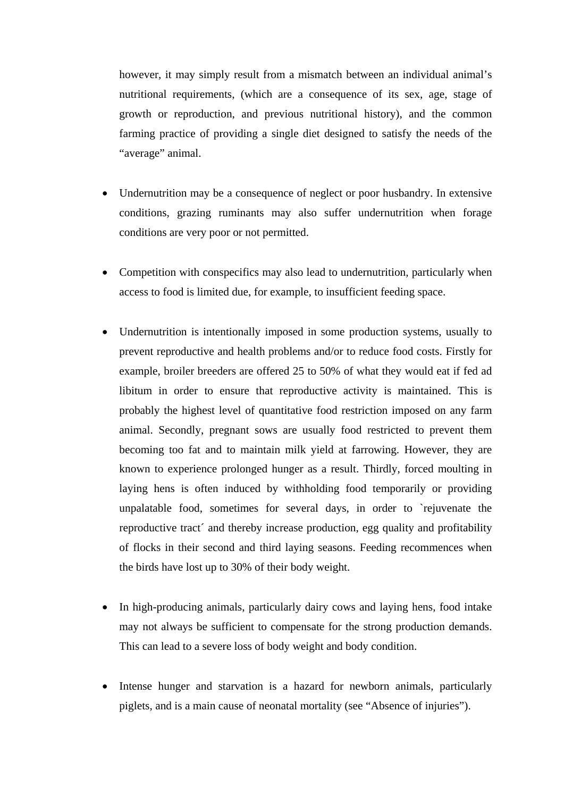however, it may simply result from a mismatch between an individual animal's nutritional requirements, (which are a consequence of its sex, age, stage of growth or reproduction, and previous nutritional history), and the common farming practice of providing a single diet designed to satisfy the needs of the "average" animal.

- Undernutrition may be a consequence of neglect or poor husbandry. In extensive conditions, grazing ruminants may also suffer undernutrition when forage conditions are very poor or not permitted.
- Competition with conspecifics may also lead to undernutrition, particularly when access to food is limited due, for example, to insufficient feeding space.
- Undernutrition is intentionally imposed in some production systems, usually to prevent reproductive and health problems and/or to reduce food costs. Firstly for example, broiler breeders are offered 25 to 50% of what they would eat if fed ad libitum in order to ensure that reproductive activity is maintained. This is probably the highest level of quantitative food restriction imposed on any farm animal. Secondly, pregnant sows are usually food restricted to prevent them becoming too fat and to maintain milk yield at farrowing. However, they are known to experience prolonged hunger as a result. Thirdly, forced moulting in laying hens is often induced by withholding food temporarily or providing unpalatable food, sometimes for several days, in order to `rejuvenate the reproductive tract´ and thereby increase production, egg quality and profitability of flocks in their second and third laying seasons. Feeding recommences when the birds have lost up to 30% of their body weight.
- In high-producing animals, particularly dairy cows and laying hens, food intake may not always be sufficient to compensate for the strong production demands. This can lead to a severe loss of body weight and body condition.
- Intense hunger and starvation is a hazard for newborn animals, particularly piglets, and is a main cause of neonatal mortality (see "Absence of injuries").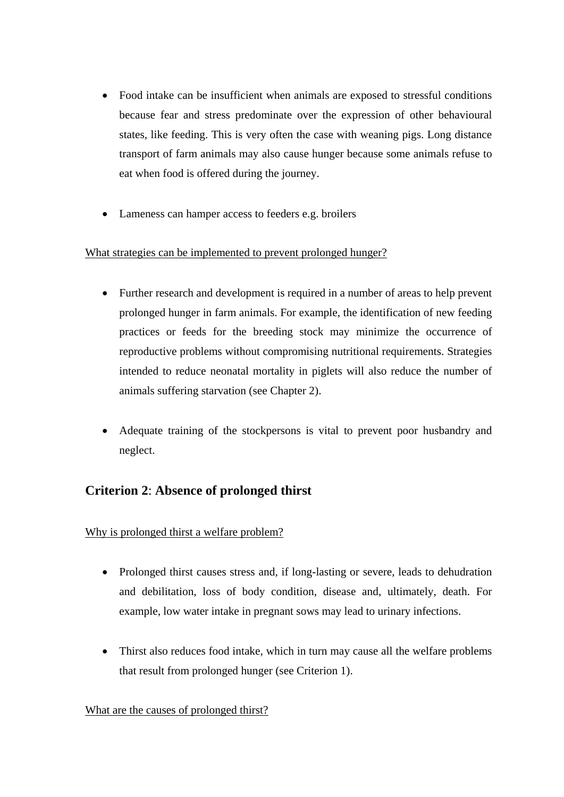- Food intake can be insufficient when animals are exposed to stressful conditions because fear and stress predominate over the expression of other behavioural states, like feeding. This is very often the case with weaning pigs. Long distance transport of farm animals may also cause hunger because some animals refuse to eat when food is offered during the journey.
- Lameness can hamper access to feeders e.g. broilers

#### What strategies can be implemented to prevent prolonged hunger?

- Further research and development is required in a number of areas to help prevent prolonged hunger in farm animals. For example, the identification of new feeding practices or feeds for the breeding stock may minimize the occurrence of reproductive problems without compromising nutritional requirements. Strategies intended to reduce neonatal mortality in piglets will also reduce the number of animals suffering starvation (see Chapter 2).
- Adequate training of the stockpersons is vital to prevent poor husbandry and neglect.

### **Criterion 2**: **Absence of prolonged thirst**

Why is prolonged thirst a welfare problem?

- Prolonged thirst causes stress and, if long-lasting or severe, leads to dehudration and debilitation, loss of body condition, disease and, ultimately, death. For example, low water intake in pregnant sows may lead to urinary infections.
- Thirst also reduces food intake, which in turn may cause all the welfare problems that result from prolonged hunger (see Criterion 1).

#### What are the causes of prolonged thirst?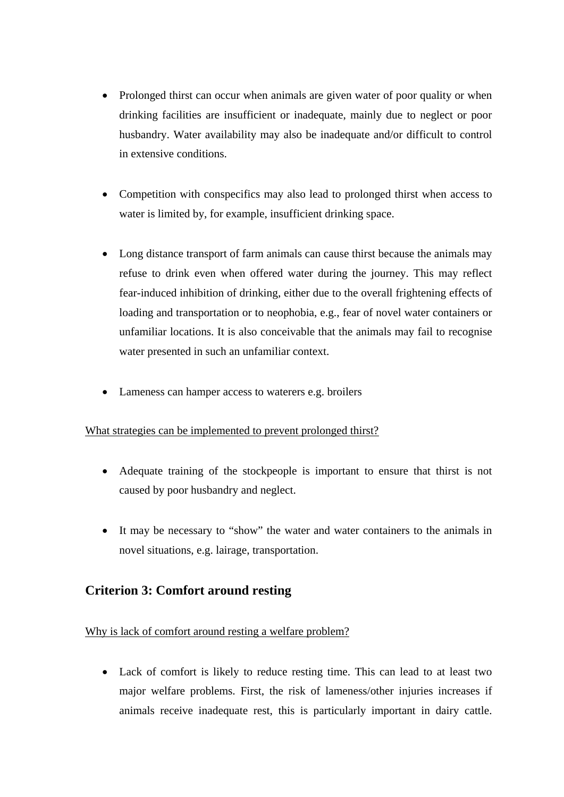- Prolonged thirst can occur when animals are given water of poor quality or when drinking facilities are insufficient or inadequate, mainly due to neglect or poor husbandry. Water availability may also be inadequate and/or difficult to control in extensive conditions.
- Competition with conspecifics may also lead to prolonged thirst when access to water is limited by, for example, insufficient drinking space.
- Long distance transport of farm animals can cause thirst because the animals may refuse to drink even when offered water during the journey. This may reflect fear-induced inhibition of drinking, either due to the overall frightening effects of loading and transportation or to neophobia, e.g., fear of novel water containers or unfamiliar locations. It is also conceivable that the animals may fail to recognise water presented in such an unfamiliar context.
- Lameness can hamper access to waterers e.g. broilers

#### What strategies can be implemented to prevent prolonged thirst?

- Adequate training of the stockpeople is important to ensure that thirst is not caused by poor husbandry and neglect.
- It may be necessary to "show" the water and water containers to the animals in novel situations, e.g. lairage, transportation.

### **Criterion 3: Comfort around resting**

#### Why is lack of comfort around resting a welfare problem?

 Lack of comfort is likely to reduce resting time. This can lead to at least two major welfare problems. First, the risk of lameness/other injuries increases if animals receive inadequate rest, this is particularly important in dairy cattle.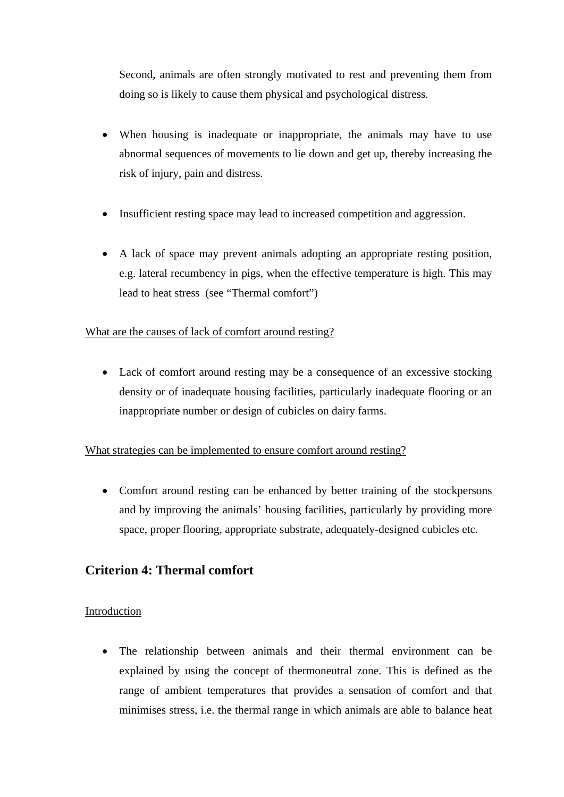Second, animals are often strongly motivated to rest and preventing them from doing so is likely to cause them physical and psychological distress.

- When housing is inadequate or inappropriate, the animals may have to use abnormal sequences of movements to lie down and get up, thereby increasing the risk of injury, pain and distress.
- Insufficient resting space may lead to increased competition and aggression.
- A lack of space may prevent animals adopting an appropriate resting position, e.g. lateral recumbency in pigs, when the effective temperature is high. This may lead to heat stress (see "Thermal comfort")

### What are the causes of lack of comfort around resting?

 Lack of comfort around resting may be a consequence of an excessive stocking density or of inadequate housing facilities, particularly inadequate flooring or an inappropriate number or design of cubicles on dairy farms.

### What strategies can be implemented to ensure comfort around resting?

• Comfort around resting can be enhanced by better training of the stockpersons and by improving the animals' housing facilities, particularly by providing more space, proper flooring, appropriate substrate, adequately-designed cubicles etc.

### **Criterion 4: Thermal comfort**

#### Introduction

 The relationship between animals and their thermal environment can be explained by using the concept of thermoneutral zone. This is defined as the range of ambient temperatures that provides a sensation of comfort and that minimises stress, i.e. the thermal range in which animals are able to balance heat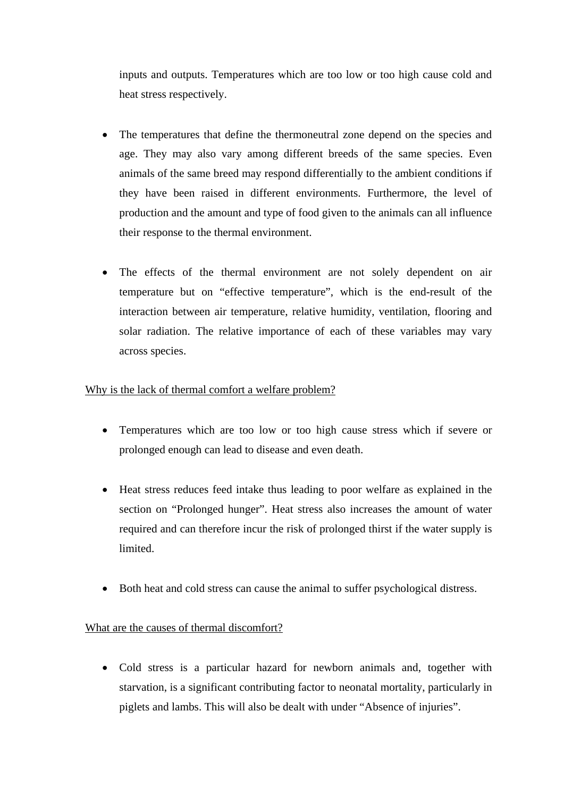inputs and outputs. Temperatures which are too low or too high cause cold and heat stress respectively.

- The temperatures that define the thermoneutral zone depend on the species and age. They may also vary among different breeds of the same species. Even animals of the same breed may respond differentially to the ambient conditions if they have been raised in different environments. Furthermore, the level of production and the amount and type of food given to the animals can all influence their response to the thermal environment.
- The effects of the thermal environment are not solely dependent on air temperature but on "effective temperature", which is the end-result of the interaction between air temperature, relative humidity, ventilation, flooring and solar radiation. The relative importance of each of these variables may vary across species.

#### Why is the lack of thermal comfort a welfare problem?

- Temperatures which are too low or too high cause stress which if severe or prolonged enough can lead to disease and even death.
- Heat stress reduces feed intake thus leading to poor welfare as explained in the section on "Prolonged hunger". Heat stress also increases the amount of water required and can therefore incur the risk of prolonged thirst if the water supply is limited.
- Both heat and cold stress can cause the animal to suffer psychological distress.

### What are the causes of thermal discomfort?

 Cold stress is a particular hazard for newborn animals and, together with starvation, is a significant contributing factor to neonatal mortality, particularly in piglets and lambs. This will also be dealt with under "Absence of injuries".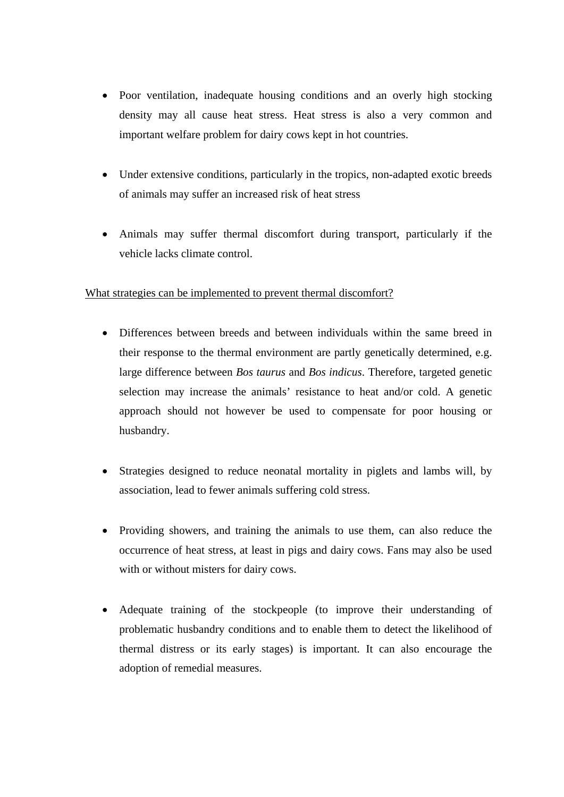- Poor ventilation, inadequate housing conditions and an overly high stocking density may all cause heat stress. Heat stress is also a very common and important welfare problem for dairy cows kept in hot countries.
- Under extensive conditions, particularly in the tropics, non-adapted exotic breeds of animals may suffer an increased risk of heat stress
- Animals may suffer thermal discomfort during transport, particularly if the vehicle lacks climate control.

#### What strategies can be implemented to prevent thermal discomfort?

- Differences between breeds and between individuals within the same breed in their response to the thermal environment are partly genetically determined, e.g. large difference between *Bos taurus* and *Bos indicus*. Therefore, targeted genetic selection may increase the animals' resistance to heat and/or cold. A genetic approach should not however be used to compensate for poor housing or husbandry.
- Strategies designed to reduce neonatal mortality in piglets and lambs will, by association, lead to fewer animals suffering cold stress.
- Providing showers, and training the animals to use them, can also reduce the occurrence of heat stress, at least in pigs and dairy cows. Fans may also be used with or without misters for dairy cows.
- Adequate training of the stockpeople (to improve their understanding of problematic husbandry conditions and to enable them to detect the likelihood of thermal distress or its early stages) is important. It can also encourage the adoption of remedial measures.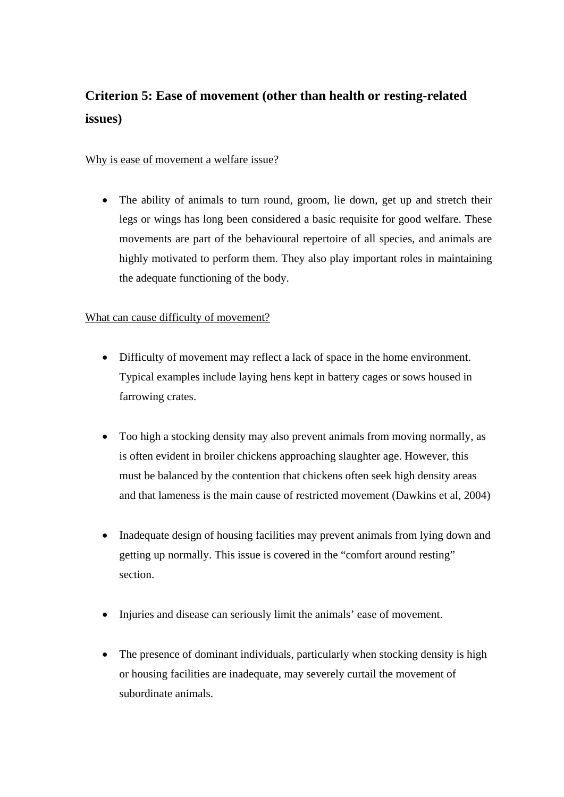# **Criterion 5: Ease of movement (other than health or resting-related issues)**

#### Why is ease of movement a welfare issue?

• The ability of animals to turn round, groom, lie down, get up and stretch their legs or wings has long been considered a basic requisite for good welfare. These movements are part of the behavioural repertoire of all species, and animals are highly motivated to perform them. They also play important roles in maintaining the adequate functioning of the body.

### What can cause difficulty of movement?

- Difficulty of movement may reflect a lack of space in the home environment. Typical examples include laying hens kept in battery cages or sows housed in farrowing crates.
- Too high a stocking density may also prevent animals from moving normally, as is often evident in broiler chickens approaching slaughter age. However, this must be balanced by the contention that chickens often seek high density areas and that lameness is the main cause of restricted movement (Dawkins et al, 2004)
- Inadequate design of housing facilities may prevent animals from lying down and getting up normally. This issue is covered in the "comfort around resting" section.
- Injuries and disease can seriously limit the animals' ease of movement.
- The presence of dominant individuals, particularly when stocking density is high or housing facilities are inadequate, may severely curtail the movement of subordinate animals.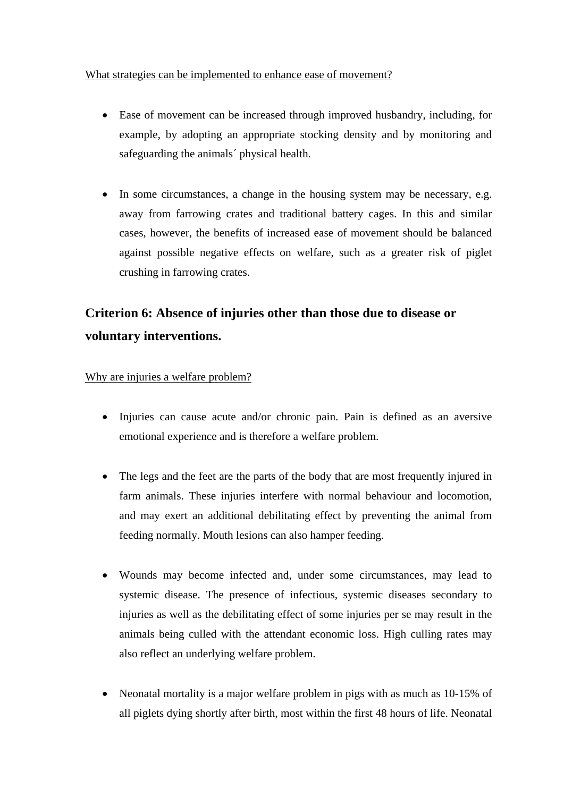What strategies can be implemented to enhance ease of movement?

- Ease of movement can be increased through improved husbandry, including, for example, by adopting an appropriate stocking density and by monitoring and safeguarding the animals´ physical health.
- In some circumstances, a change in the housing system may be necessary, e.g. away from farrowing crates and traditional battery cages. In this and similar cases, however, the benefits of increased ease of movement should be balanced against possible negative effects on welfare, such as a greater risk of piglet crushing in farrowing crates.

# **Criterion 6: Absence of injuries other than those due to disease or voluntary interventions.**

#### Why are injuries a welfare problem?

- Injuries can cause acute and/or chronic pain. Pain is defined as an aversive emotional experience and is therefore a welfare problem.
- The legs and the feet are the parts of the body that are most frequently injured in farm animals. These injuries interfere with normal behaviour and locomotion, and may exert an additional debilitating effect by preventing the animal from feeding normally. Mouth lesions can also hamper feeding.
- Wounds may become infected and, under some circumstances, may lead to systemic disease. The presence of infectious, systemic diseases secondary to injuries as well as the debilitating effect of some injuries per se may result in the animals being culled with the attendant economic loss. High culling rates may also reflect an underlying welfare problem.
- Neonatal mortality is a major welfare problem in pigs with as much as 10-15% of all piglets dying shortly after birth, most within the first 48 hours of life. Neonatal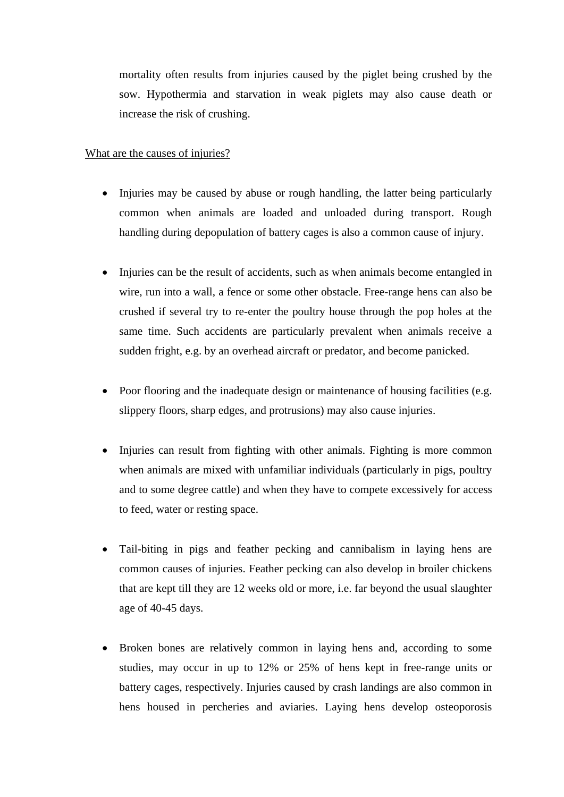mortality often results from injuries caused by the piglet being crushed by the sow. Hypothermia and starvation in weak piglets may also cause death or increase the risk of crushing.

#### What are the causes of injuries?

- Injuries may be caused by abuse or rough handling, the latter being particularly common when animals are loaded and unloaded during transport. Rough handling during depopulation of battery cages is also a common cause of injury.
- Injuries can be the result of accidents, such as when animals become entangled in wire, run into a wall, a fence or some other obstacle. Free-range hens can also be crushed if several try to re-enter the poultry house through the pop holes at the same time. Such accidents are particularly prevalent when animals receive a sudden fright, e.g. by an overhead aircraft or predator, and become panicked.
- Poor flooring and the inadequate design or maintenance of housing facilities (e.g. slippery floors, sharp edges, and protrusions) may also cause injuries.
- Injuries can result from fighting with other animals. Fighting is more common when animals are mixed with unfamiliar individuals (particularly in pigs, poultry and to some degree cattle) and when they have to compete excessively for access to feed, water or resting space.
- Tail-biting in pigs and feather pecking and cannibalism in laying hens are common causes of injuries. Feather pecking can also develop in broiler chickens that are kept till they are 12 weeks old or more, i.e. far beyond the usual slaughter age of 40-45 days.
- Broken bones are relatively common in laying hens and, according to some studies, may occur in up to 12% or 25% of hens kept in free-range units or battery cages, respectively. Injuries caused by crash landings are also common in hens housed in percheries and aviaries. Laying hens develop osteoporosis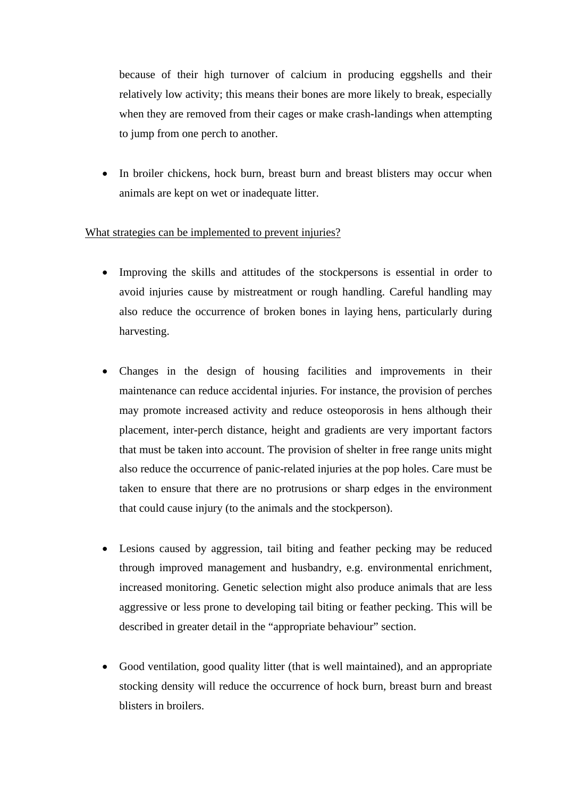because of their high turnover of calcium in producing eggshells and their relatively low activity; this means their bones are more likely to break, especially when they are removed from their cages or make crash-landings when attempting to jump from one perch to another.

 In broiler chickens, hock burn, breast burn and breast blisters may occur when animals are kept on wet or inadequate litter.

#### What strategies can be implemented to prevent injuries?

- Improving the skills and attitudes of the stockpersons is essential in order to avoid injuries cause by mistreatment or rough handling. Careful handling may also reduce the occurrence of broken bones in laying hens, particularly during harvesting.
- Changes in the design of housing facilities and improvements in their maintenance can reduce accidental injuries. For instance, the provision of perches may promote increased activity and reduce osteoporosis in hens although their placement, inter-perch distance, height and gradients are very important factors that must be taken into account. The provision of shelter in free range units might also reduce the occurrence of panic-related injuries at the pop holes. Care must be taken to ensure that there are no protrusions or sharp edges in the environment that could cause injury (to the animals and the stockperson).
- Lesions caused by aggression, tail biting and feather pecking may be reduced through improved management and husbandry, e.g. environmental enrichment, increased monitoring. Genetic selection might also produce animals that are less aggressive or less prone to developing tail biting or feather pecking. This will be described in greater detail in the "appropriate behaviour" section.
- Good ventilation, good quality litter (that is well maintained), and an appropriate stocking density will reduce the occurrence of hock burn, breast burn and breast blisters in broilers.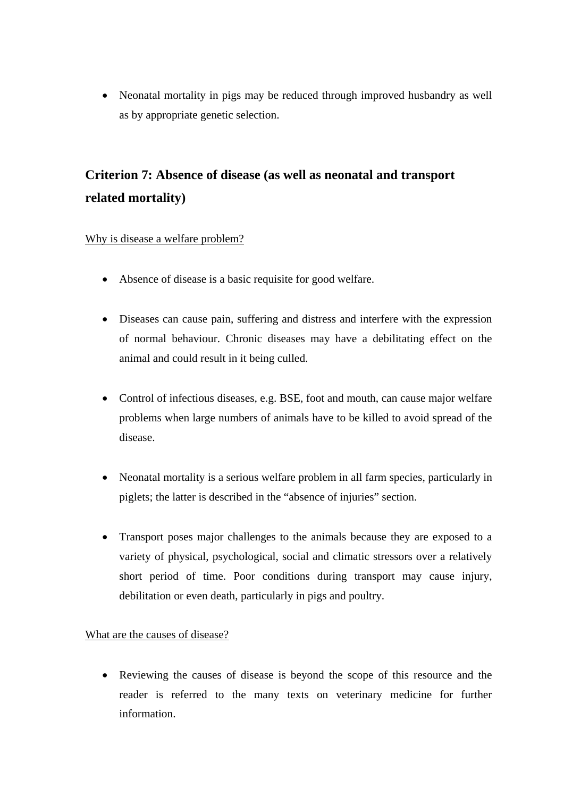• Neonatal mortality in pigs may be reduced through improved husbandry as well as by appropriate genetic selection.

# **Criterion 7: Absence of disease (as well as neonatal and transport related mortality)**

### Why is disease a welfare problem?

- Absence of disease is a basic requisite for good welfare.
- Diseases can cause pain, suffering and distress and interfere with the expression of normal behaviour. Chronic diseases may have a debilitating effect on the animal and could result in it being culled.
- Control of infectious diseases, e.g. BSE, foot and mouth, can cause major welfare problems when large numbers of animals have to be killed to avoid spread of the disease.
- Neonatal mortality is a serious welfare problem in all farm species, particularly in piglets; the latter is described in the "absence of injuries" section.
- Transport poses major challenges to the animals because they are exposed to a variety of physical, psychological, social and climatic stressors over a relatively short period of time. Poor conditions during transport may cause injury, debilitation or even death, particularly in pigs and poultry.

#### What are the causes of disease?

• Reviewing the causes of disease is beyond the scope of this resource and the reader is referred to the many texts on veterinary medicine for further information.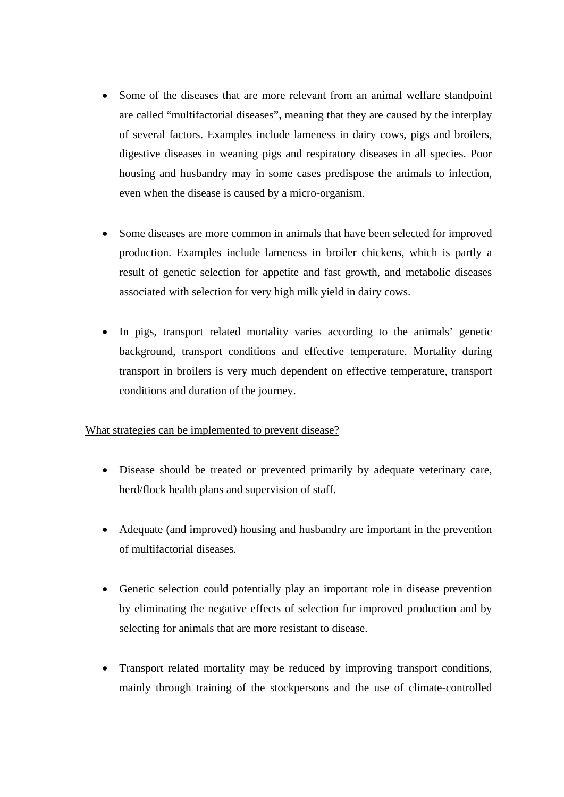- Some of the diseases that are more relevant from an animal welfare standpoint are called "multifactorial diseases", meaning that they are caused by the interplay of several factors. Examples include lameness in dairy cows, pigs and broilers, digestive diseases in weaning pigs and respiratory diseases in all species. Poor housing and husbandry may in some cases predispose the animals to infection, even when the disease is caused by a micro-organism.
- Some diseases are more common in animals that have been selected for improved production. Examples include lameness in broiler chickens, which is partly a result of genetic selection for appetite and fast growth, and metabolic diseases associated with selection for very high milk yield in dairy cows.
- In pigs, transport related mortality varies according to the animals' genetic background, transport conditions and effective temperature. Mortality during transport in broilers is very much dependent on effective temperature, transport conditions and duration of the journey.

#### What strategies can be implemented to prevent disease?

- Disease should be treated or prevented primarily by adequate veterinary care, herd/flock health plans and supervision of staff.
- Adequate (and improved) housing and husbandry are important in the prevention of multifactorial diseases.
- Genetic selection could potentially play an important role in disease prevention by eliminating the negative effects of selection for improved production and by selecting for animals that are more resistant to disease.
- Transport related mortality may be reduced by improving transport conditions, mainly through training of the stockpersons and the use of climate-controlled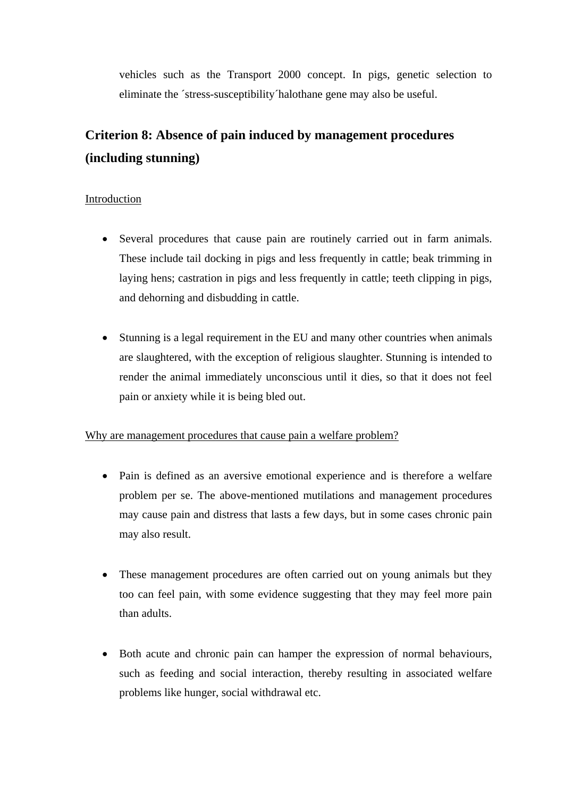vehicles such as the Transport 2000 concept. In pigs, genetic selection to eliminate the ´stress-susceptibility´halothane gene may also be useful.

# **Criterion 8: Absence of pain induced by management procedures (including stunning)**

### Introduction

- Several procedures that cause pain are routinely carried out in farm animals. These include tail docking in pigs and less frequently in cattle; beak trimming in laying hens; castration in pigs and less frequently in cattle; teeth clipping in pigs, and dehorning and disbudding in cattle.
- Stunning is a legal requirement in the EU and many other countries when animals are slaughtered, with the exception of religious slaughter. Stunning is intended to render the animal immediately unconscious until it dies, so that it does not feel pain or anxiety while it is being bled out.

#### Why are management procedures that cause pain a welfare problem?

- Pain is defined as an aversive emotional experience and is therefore a welfare problem per se. The above-mentioned mutilations and management procedures may cause pain and distress that lasts a few days, but in some cases chronic pain may also result.
- These management procedures are often carried out on young animals but they too can feel pain, with some evidence suggesting that they may feel more pain than adults.
- Both acute and chronic pain can hamper the expression of normal behaviours, such as feeding and social interaction, thereby resulting in associated welfare problems like hunger, social withdrawal etc.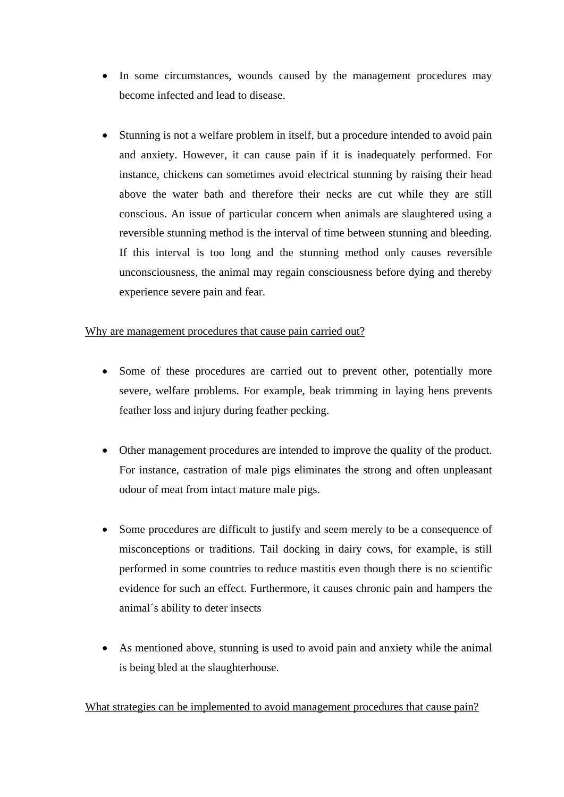- In some circumstances, wounds caused by the management procedures may become infected and lead to disease.
- Stunning is not a welfare problem in itself, but a procedure intended to avoid pain and anxiety. However, it can cause pain if it is inadequately performed. For instance, chickens can sometimes avoid electrical stunning by raising their head above the water bath and therefore their necks are cut while they are still conscious. An issue of particular concern when animals are slaughtered using a reversible stunning method is the interval of time between stunning and bleeding. If this interval is too long and the stunning method only causes reversible unconsciousness, the animal may regain consciousness before dying and thereby experience severe pain and fear.

#### Why are management procedures that cause pain carried out?

- Some of these procedures are carried out to prevent other, potentially more severe, welfare problems. For example, beak trimming in laying hens prevents feather loss and injury during feather pecking.
- Other management procedures are intended to improve the quality of the product. For instance, castration of male pigs eliminates the strong and often unpleasant odour of meat from intact mature male pigs.
- Some procedures are difficult to justify and seem merely to be a consequence of misconceptions or traditions. Tail docking in dairy cows, for example, is still performed in some countries to reduce mastitis even though there is no scientific evidence for such an effect. Furthermore, it causes chronic pain and hampers the animal´s ability to deter insects
- As mentioned above, stunning is used to avoid pain and anxiety while the animal is being bled at the slaughterhouse.

What strategies can be implemented to avoid management procedures that cause pain?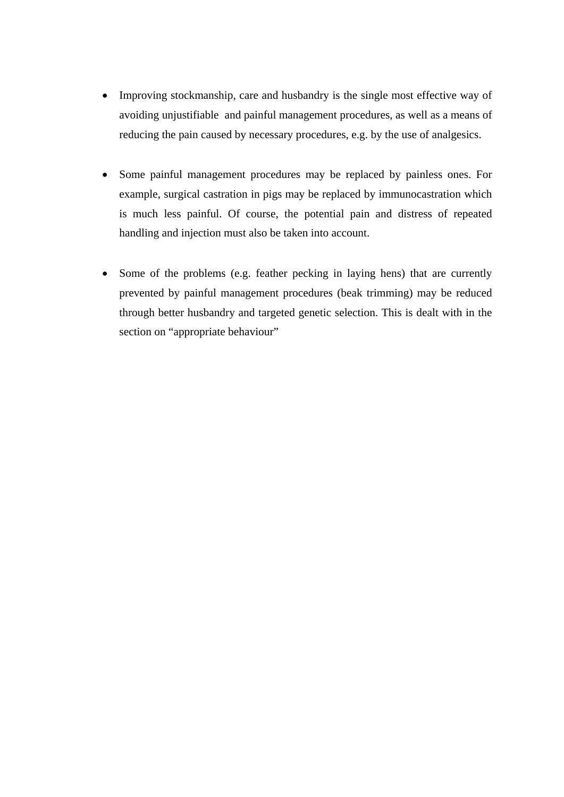- Improving stockmanship, care and husbandry is the single most effective way of avoiding unjustifiable and painful management procedures, as well as a means of reducing the pain caused by necessary procedures, e.g. by the use of analgesics.
- Some painful management procedures may be replaced by painless ones. For example, surgical castration in pigs may be replaced by immunocastration which is much less painful. Of course, the potential pain and distress of repeated handling and injection must also be taken into account.
- Some of the problems (e.g. feather pecking in laying hens) that are currently prevented by painful management procedures (beak trimming) may be reduced through better husbandry and targeted genetic selection. This is dealt with in the section on "appropriate behaviour"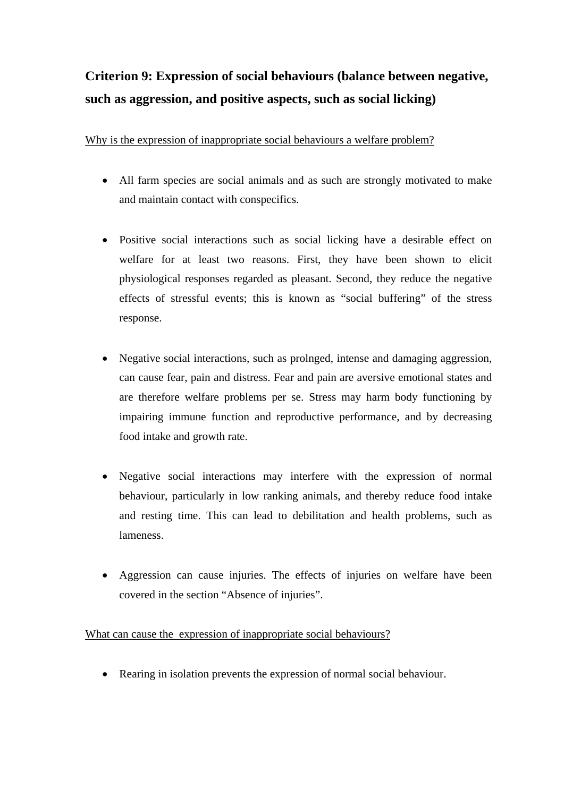# **Criterion 9: Expression of social behaviours (balance between negative, such as aggression, and positive aspects, such as social licking)**

Why is the expression of inappropriate social behaviours a welfare problem?

- All farm species are social animals and as such are strongly motivated to make and maintain contact with conspecifics.
- Positive social interactions such as social licking have a desirable effect on welfare for at least two reasons. First, they have been shown to elicit physiological responses regarded as pleasant. Second, they reduce the negative effects of stressful events; this is known as "social buffering" of the stress response.
- Negative social interactions, such as prolnged, intense and damaging aggression, can cause fear, pain and distress. Fear and pain are aversive emotional states and are therefore welfare problems per se. Stress may harm body functioning by impairing immune function and reproductive performance, and by decreasing food intake and growth rate.
- Negative social interactions may interfere with the expression of normal behaviour, particularly in low ranking animals, and thereby reduce food intake and resting time. This can lead to debilitation and health problems, such as lameness.
- Aggression can cause injuries. The effects of injuries on welfare have been covered in the section "Absence of injuries".

What can cause the expression of inappropriate social behaviours?

Rearing in isolation prevents the expression of normal social behaviour.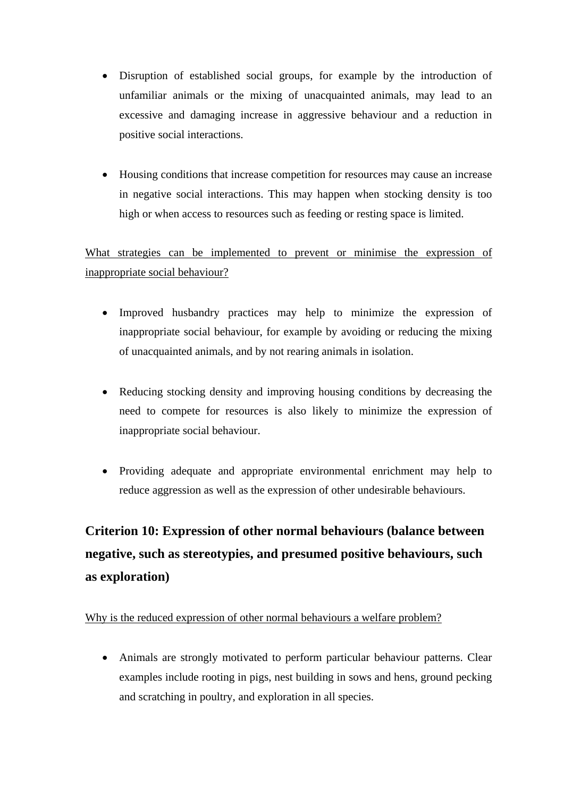- Disruption of established social groups, for example by the introduction of unfamiliar animals or the mixing of unacquainted animals, may lead to an excessive and damaging increase in aggressive behaviour and a reduction in positive social interactions.
- Housing conditions that increase competition for resources may cause an increase in negative social interactions. This may happen when stocking density is too high or when access to resources such as feeding or resting space is limited.

What strategies can be implemented to prevent or minimise the expression of inappropriate social behaviour?

- Improved husbandry practices may help to minimize the expression of inappropriate social behaviour, for example by avoiding or reducing the mixing of unacquainted animals, and by not rearing animals in isolation.
- Reducing stocking density and improving housing conditions by decreasing the need to compete for resources is also likely to minimize the expression of inappropriate social behaviour.
- Providing adequate and appropriate environmental enrichment may help to reduce aggression as well as the expression of other undesirable behaviours.

# **Criterion 10: Expression of other normal behaviours (balance between negative, such as stereotypies, and presumed positive behaviours, such as exploration)**

#### Why is the reduced expression of other normal behaviours a welfare problem?

 Animals are strongly motivated to perform particular behaviour patterns. Clear examples include rooting in pigs, nest building in sows and hens, ground pecking and scratching in poultry, and exploration in all species.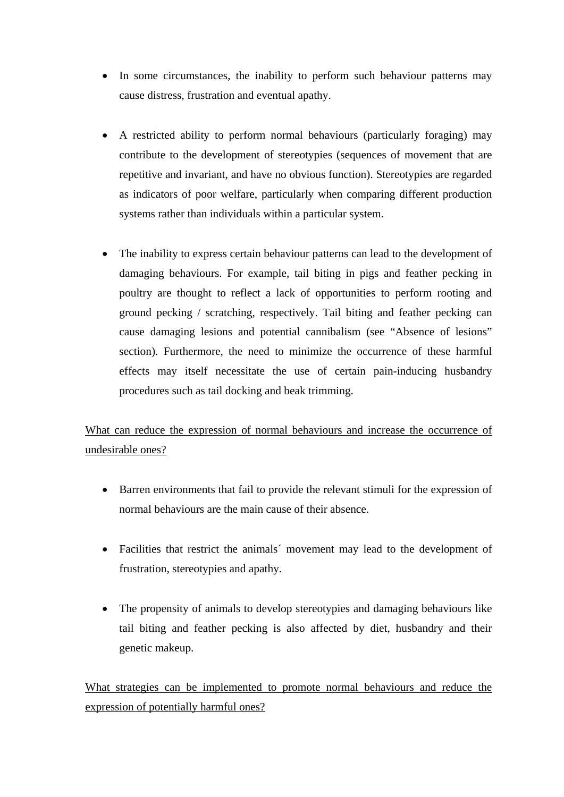- In some circumstances, the inability to perform such behaviour patterns may cause distress, frustration and eventual apathy.
- A restricted ability to perform normal behaviours (particularly foraging) may contribute to the development of stereotypies (sequences of movement that are repetitive and invariant, and have no obvious function). Stereotypies are regarded as indicators of poor welfare, particularly when comparing different production systems rather than individuals within a particular system.
- The inability to express certain behaviour patterns can lead to the development of damaging behaviours. For example, tail biting in pigs and feather pecking in poultry are thought to reflect a lack of opportunities to perform rooting and ground pecking / scratching, respectively. Tail biting and feather pecking can cause damaging lesions and potential cannibalism (see "Absence of lesions" section). Furthermore, the need to minimize the occurrence of these harmful effects may itself necessitate the use of certain pain-inducing husbandry procedures such as tail docking and beak trimming.

What can reduce the expression of normal behaviours and increase the occurrence of undesirable ones?

- Barren environments that fail to provide the relevant stimuli for the expression of normal behaviours are the main cause of their absence.
- Facilities that restrict the animals' movement may lead to the development of frustration, stereotypies and apathy.
- The propensity of animals to develop stereotypies and damaging behaviours like tail biting and feather pecking is also affected by diet, husbandry and their genetic makeup.

What strategies can be implemented to promote normal behaviours and reduce the expression of potentially harmful ones?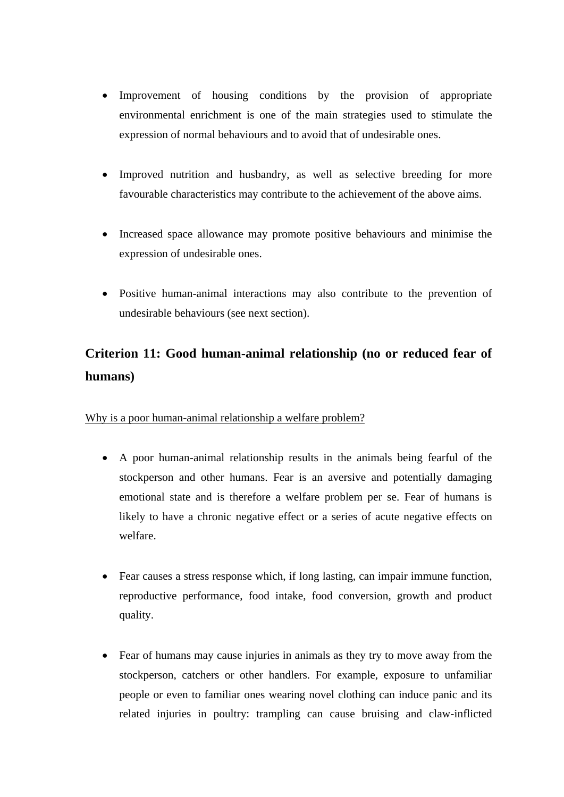- Improvement of housing conditions by the provision of appropriate environmental enrichment is one of the main strategies used to stimulate the expression of normal behaviours and to avoid that of undesirable ones.
- Improved nutrition and husbandry, as well as selective breeding for more favourable characteristics may contribute to the achievement of the above aims.
- Increased space allowance may promote positive behaviours and minimise the expression of undesirable ones.
- Positive human-animal interactions may also contribute to the prevention of undesirable behaviours (see next section).

# **Criterion 11: Good human-animal relationship (no or reduced fear of humans)**

#### Why is a poor human-animal relationship a welfare problem?

- A poor human-animal relationship results in the animals being fearful of the stockperson and other humans. Fear is an aversive and potentially damaging emotional state and is therefore a welfare problem per se. Fear of humans is likely to have a chronic negative effect or a series of acute negative effects on welfare.
- Fear causes a stress response which, if long lasting, can impair immune function, reproductive performance, food intake, food conversion, growth and product quality.
- Fear of humans may cause injuries in animals as they try to move away from the stockperson, catchers or other handlers. For example, exposure to unfamiliar people or even to familiar ones wearing novel clothing can induce panic and its related injuries in poultry: trampling can cause bruising and claw-inflicted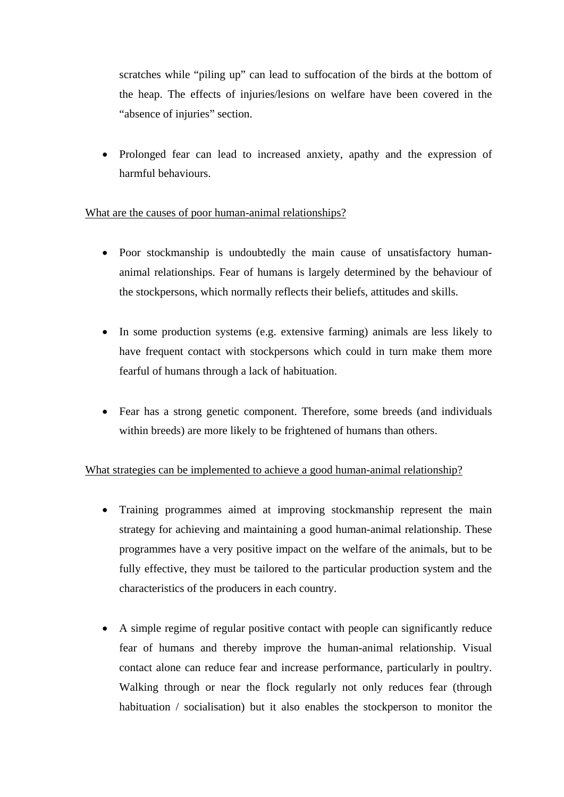scratches while "piling up" can lead to suffocation of the birds at the bottom of the heap. The effects of injuries/lesions on welfare have been covered in the "absence of injuries" section.

 Prolonged fear can lead to increased anxiety, apathy and the expression of harmful behaviours.

#### What are the causes of poor human-animal relationships?

- Poor stockmanship is undoubtedly the main cause of unsatisfactory humananimal relationships. Fear of humans is largely determined by the behaviour of the stockpersons, which normally reflects their beliefs, attitudes and skills.
- In some production systems (e.g. extensive farming) animals are less likely to have frequent contact with stockpersons which could in turn make them more fearful of humans through a lack of habituation.
- Fear has a strong genetic component. Therefore, some breeds (and individuals within breeds) are more likely to be frightened of humans than others.

#### What strategies can be implemented to achieve a good human-animal relationship?

- Training programmes aimed at improving stockmanship represent the main strategy for achieving and maintaining a good human-animal relationship. These programmes have a very positive impact on the welfare of the animals, but to be fully effective, they must be tailored to the particular production system and the characteristics of the producers in each country.
- A simple regime of regular positive contact with people can significantly reduce fear of humans and thereby improve the human-animal relationship. Visual contact alone can reduce fear and increase performance, particularly in poultry. Walking through or near the flock regularly not only reduces fear (through habituation / socialisation) but it also enables the stockperson to monitor the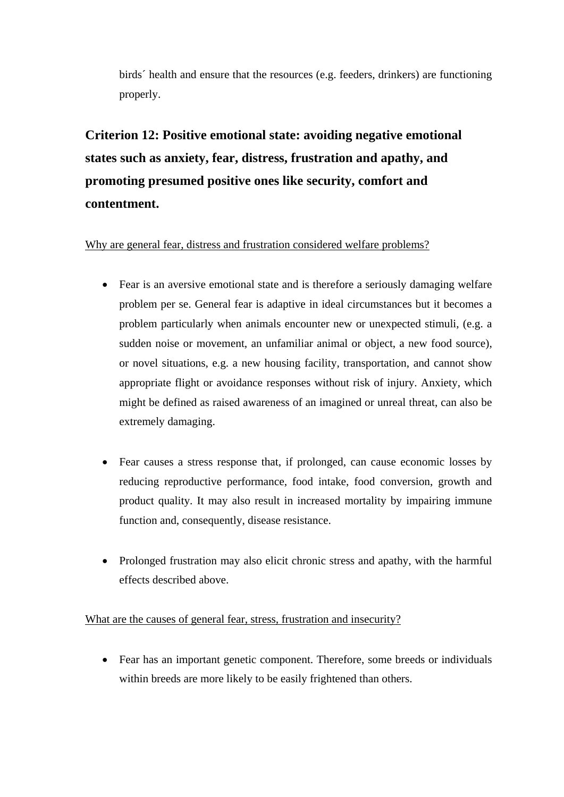birds´ health and ensure that the resources (e.g. feeders, drinkers) are functioning properly.

# **Criterion 12: Positive emotional state: avoiding negative emotional states such as anxiety, fear, distress, frustration and apathy, and promoting presumed positive ones like security, comfort and contentment.**

#### Why are general fear, distress and frustration considered welfare problems?

- Fear is an aversive emotional state and is therefore a seriously damaging welfare problem per se. General fear is adaptive in ideal circumstances but it becomes a problem particularly when animals encounter new or unexpected stimuli, (e.g. a sudden noise or movement, an unfamiliar animal or object, a new food source), or novel situations, e.g. a new housing facility, transportation, and cannot show appropriate flight or avoidance responses without risk of injury. Anxiety, which might be defined as raised awareness of an imagined or unreal threat, can also be extremely damaging.
- Fear causes a stress response that, if prolonged, can cause economic losses by reducing reproductive performance, food intake, food conversion, growth and product quality. It may also result in increased mortality by impairing immune function and, consequently, disease resistance.
- Prolonged frustration may also elicit chronic stress and apathy, with the harmful effects described above.

#### What are the causes of general fear, stress, frustration and insecurity?

 Fear has an important genetic component. Therefore, some breeds or individuals within breeds are more likely to be easily frightened than others.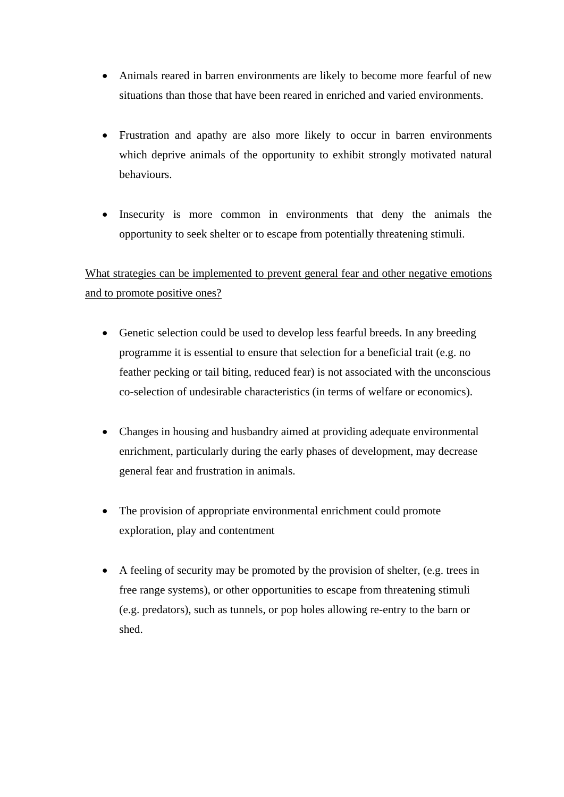- Animals reared in barren environments are likely to become more fearful of new situations than those that have been reared in enriched and varied environments.
- Frustration and apathy are also more likely to occur in barren environments which deprive animals of the opportunity to exhibit strongly motivated natural behaviours.
- Insecurity is more common in environments that deny the animals the opportunity to seek shelter or to escape from potentially threatening stimuli.

What strategies can be implemented to prevent general fear and other negative emotions and to promote positive ones?

- Genetic selection could be used to develop less fearful breeds. In any breeding programme it is essential to ensure that selection for a beneficial trait (e.g. no feather pecking or tail biting, reduced fear) is not associated with the unconscious co-selection of undesirable characteristics (in terms of welfare or economics).
- Changes in housing and husbandry aimed at providing adequate environmental enrichment, particularly during the early phases of development, may decrease general fear and frustration in animals.
- The provision of appropriate environmental enrichment could promote exploration, play and contentment
- A feeling of security may be promoted by the provision of shelter, (e.g. trees in free range systems), or other opportunities to escape from threatening stimuli (e.g. predators), such as tunnels, or pop holes allowing re-entry to the barn or shed.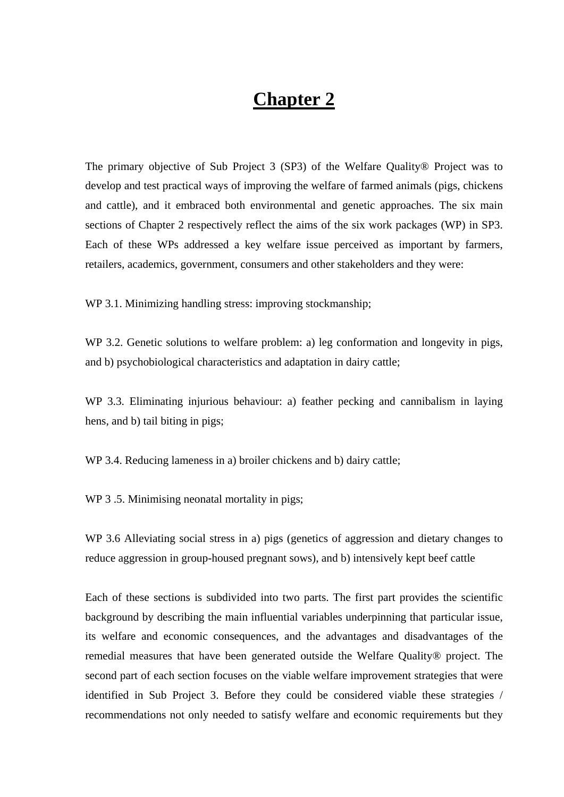# **Chapter 2**

The primary objective of Sub Project 3 (SP3) of the Welfare Quality® Project was to develop and test practical ways of improving the welfare of farmed animals (pigs, chickens and cattle), and it embraced both environmental and genetic approaches. The six main sections of Chapter 2 respectively reflect the aims of the six work packages (WP) in SP3. Each of these WPs addressed a key welfare issue perceived as important by farmers, retailers, academics, government, consumers and other stakeholders and they were:

WP 3.1. Minimizing handling stress: improving stockmanship;

WP 3.2. Genetic solutions to welfare problem: a) leg conformation and longevity in pigs, and b) psychobiological characteristics and adaptation in dairy cattle;

WP 3.3. Eliminating injurious behaviour: a) feather pecking and cannibalism in laying hens, and b) tail biting in pigs;

WP 3.4. Reducing lameness in a) broiler chickens and b) dairy cattle;

WP 3.5. Minimising neonatal mortality in pigs;

WP 3.6 Alleviating social stress in a) pigs (genetics of aggression and dietary changes to reduce aggression in group-housed pregnant sows), and b) intensively kept beef cattle

Each of these sections is subdivided into two parts. The first part provides the scientific background by describing the main influential variables underpinning that particular issue, its welfare and economic consequences, and the advantages and disadvantages of the remedial measures that have been generated outside the Welfare Quality® project. The second part of each section focuses on the viable welfare improvement strategies that were identified in Sub Project 3. Before they could be considered viable these strategies / recommendations not only needed to satisfy welfare and economic requirements but they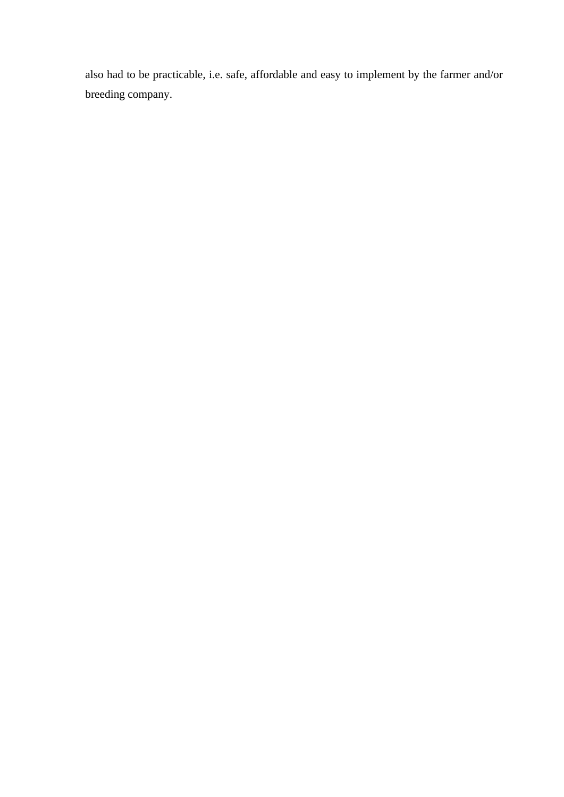also had to be practicable, i.e. safe, affordable and easy to implement by the farmer and/or breeding company.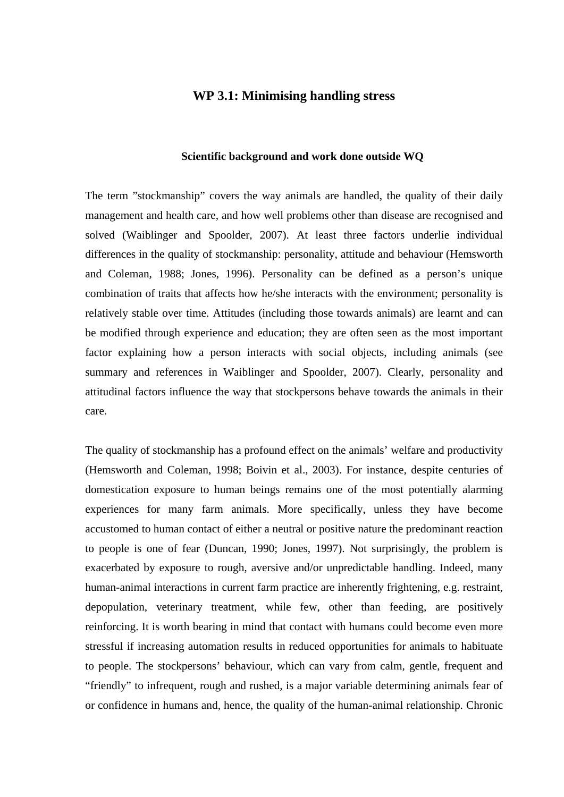#### **WP 3.1: Minimising handling stress**

#### **Scientific background and work done outside WQ**

The term "stockmanship" covers the way animals are handled, the quality of their daily management and health care, and how well problems other than disease are recognised and solved (Waiblinger and Spoolder, 2007). At least three factors underlie individual differences in the quality of stockmanship: personality, attitude and behaviour (Hemsworth and Coleman, 1988; Jones, 1996). Personality can be defined as a person's unique combination of traits that affects how he/she interacts with the environment; personality is relatively stable over time. Attitudes (including those towards animals) are learnt and can be modified through experience and education; they are often seen as the most important factor explaining how a person interacts with social objects, including animals (see summary and references in Waiblinger and Spoolder, 2007). Clearly, personality and attitudinal factors influence the way that stockpersons behave towards the animals in their care.

The quality of stockmanship has a profound effect on the animals' welfare and productivity (Hemsworth and Coleman, 1998; Boivin et al., 2003). For instance, despite centuries of domestication exposure to human beings remains one of the most potentially alarming experiences for many farm animals. More specifically, unless they have become accustomed to human contact of either a neutral or positive nature the predominant reaction to people is one of fear (Duncan, 1990; Jones, 1997). Not surprisingly, the problem is exacerbated by exposure to rough, aversive and/or unpredictable handling. Indeed, many human-animal interactions in current farm practice are inherently frightening, e.g. restraint, depopulation, veterinary treatment, while few, other than feeding, are positively reinforcing. It is worth bearing in mind that contact with humans could become even more stressful if increasing automation results in reduced opportunities for animals to habituate to people. The stockpersons' behaviour, which can vary from calm, gentle, frequent and "friendly" to infrequent, rough and rushed, is a major variable determining animals fear of or confidence in humans and, hence, the quality of the human-animal relationship. Chronic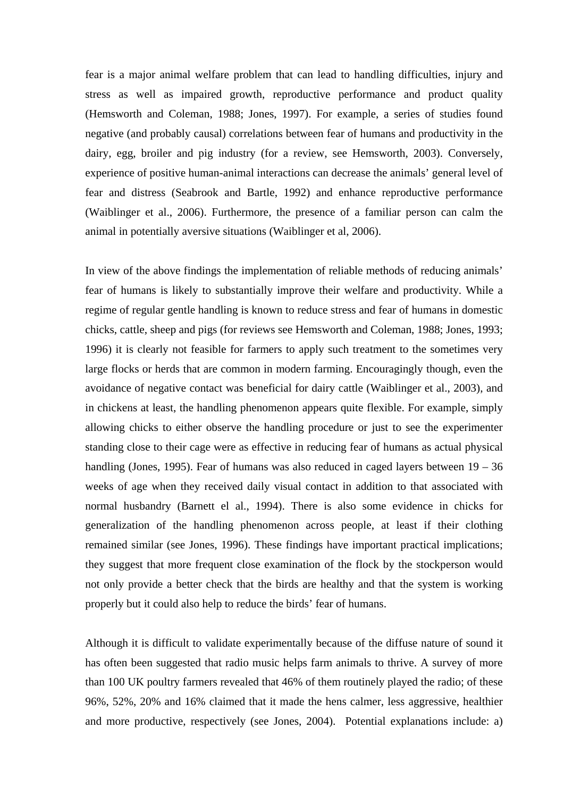fear is a major animal welfare problem that can lead to handling difficulties, injury and stress as well as impaired growth, reproductive performance and product quality (Hemsworth and Coleman, 1988; Jones, 1997). For example, a series of studies found negative (and probably causal) correlations between fear of humans and productivity in the dairy, egg, broiler and pig industry (for a review, see Hemsworth, 2003). Conversely, experience of positive human-animal interactions can decrease the animals' general level of fear and distress (Seabrook and Bartle, 1992) and enhance reproductive performance (Waiblinger et al., 2006). Furthermore, the presence of a familiar person can calm the animal in potentially aversive situations (Waiblinger et al, 2006).

In view of the above findings the implementation of reliable methods of reducing animals' fear of humans is likely to substantially improve their welfare and productivity. While a regime of regular gentle handling is known to reduce stress and fear of humans in domestic chicks, cattle, sheep and pigs (for reviews see Hemsworth and Coleman, 1988; Jones, 1993; 1996) it is clearly not feasible for farmers to apply such treatment to the sometimes very large flocks or herds that are common in modern farming. Encouragingly though, even the avoidance of negative contact was beneficial for dairy cattle (Waiblinger et al., 2003), and in chickens at least, the handling phenomenon appears quite flexible. For example, simply allowing chicks to either observe the handling procedure or just to see the experimenter standing close to their cage were as effective in reducing fear of humans as actual physical handling (Jones, 1995). Fear of humans was also reduced in caged layers between  $19 - 36$ weeks of age when they received daily visual contact in addition to that associated with normal husbandry (Barnett el al., 1994). There is also some evidence in chicks for generalization of the handling phenomenon across people, at least if their clothing remained similar (see Jones, 1996). These findings have important practical implications; they suggest that more frequent close examination of the flock by the stockperson would not only provide a better check that the birds are healthy and that the system is working properly but it could also help to reduce the birds' fear of humans.

Although it is difficult to validate experimentally because of the diffuse nature of sound it has often been suggested that radio music helps farm animals to thrive. A survey of more than 100 UK poultry farmers revealed that 46% of them routinely played the radio; of these 96%, 52%, 20% and 16% claimed that it made the hens calmer, less aggressive, healthier and more productive, respectively (see Jones, 2004). Potential explanations include: a)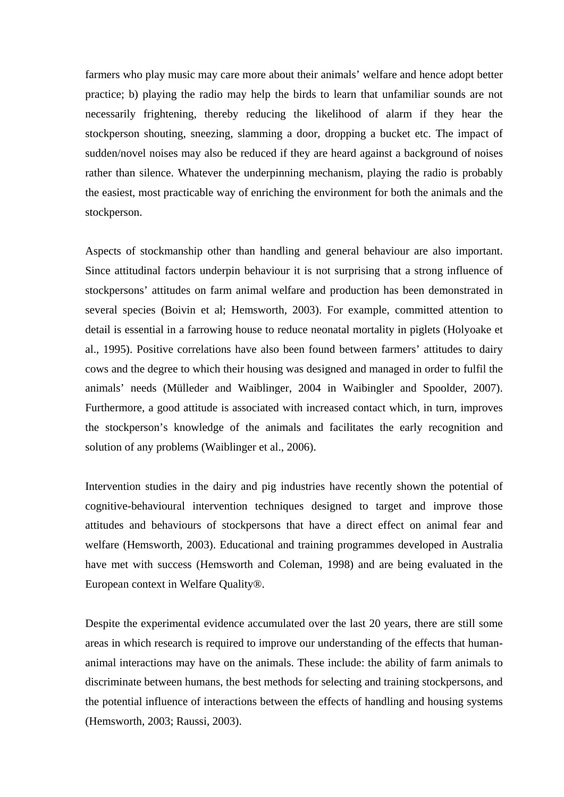farmers who play music may care more about their animals' welfare and hence adopt better practice; b) playing the radio may help the birds to learn that unfamiliar sounds are not necessarily frightening, thereby reducing the likelihood of alarm if they hear the stockperson shouting, sneezing, slamming a door, dropping a bucket etc. The impact of sudden/novel noises may also be reduced if they are heard against a background of noises rather than silence. Whatever the underpinning mechanism, playing the radio is probably the easiest, most practicable way of enriching the environment for both the animals and the stockperson.

Aspects of stockmanship other than handling and general behaviour are also important. Since attitudinal factors underpin behaviour it is not surprising that a strong influence of stockpersons' attitudes on farm animal welfare and production has been demonstrated in several species (Boivin et al; Hemsworth, 2003). For example, committed attention to detail is essential in a farrowing house to reduce neonatal mortality in piglets (Holyoake et al., 1995). Positive correlations have also been found between farmers' attitudes to dairy cows and the degree to which their housing was designed and managed in order to fulfil the animals' needs (Mülleder and Waiblinger, 2004 in Waibingler and Spoolder, 2007). Furthermore, a good attitude is associated with increased contact which, in turn, improves the stockperson's knowledge of the animals and facilitates the early recognition and solution of any problems (Waiblinger et al., 2006).

Intervention studies in the dairy and pig industries have recently shown the potential of cognitive-behavioural intervention techniques designed to target and improve those attitudes and behaviours of stockpersons that have a direct effect on animal fear and welfare (Hemsworth, 2003). Educational and training programmes developed in Australia have met with success (Hemsworth and Coleman, 1998) and are being evaluated in the European context in Welfare Quality®.

Despite the experimental evidence accumulated over the last 20 years, there are still some areas in which research is required to improve our understanding of the effects that humananimal interactions may have on the animals. These include: the ability of farm animals to discriminate between humans, the best methods for selecting and training stockpersons, and the potential influence of interactions between the effects of handling and housing systems (Hemsworth, 2003; Raussi, 2003).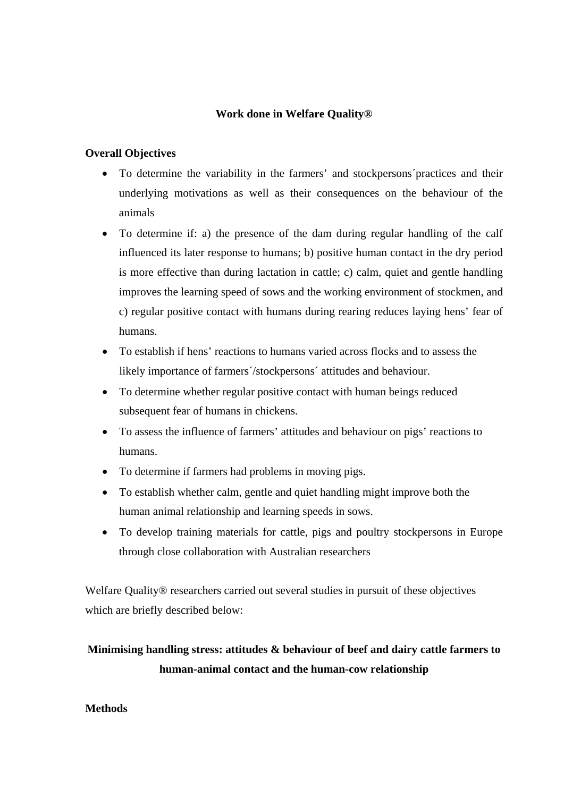# **Work done in Welfare Quality®**

## **Overall Objectives**

- To determine the variability in the farmers' and stockpersons´practices and their underlying motivations as well as their consequences on the behaviour of the animals
- To determine if: a) the presence of the dam during regular handling of the calf influenced its later response to humans; b) positive human contact in the dry period is more effective than during lactation in cattle; c) calm, quiet and gentle handling improves the learning speed of sows and the working environment of stockmen, and c) regular positive contact with humans during rearing reduces laying hens' fear of humans.
- To establish if hens' reactions to humans varied across flocks and to assess the likely importance of farmers´/stockpersons´ attitudes and behaviour.
- To determine whether regular positive contact with human beings reduced subsequent fear of humans in chickens.
- To assess the influence of farmers' attitudes and behaviour on pigs' reactions to humans.
- To determine if farmers had problems in moving pigs.
- To establish whether calm, gentle and quiet handling might improve both the human animal relationship and learning speeds in sows.
- To develop training materials for cattle, pigs and poultry stockpersons in Europe through close collaboration with Australian researchers

Welfare Quality® researchers carried out several studies in pursuit of these objectives which are briefly described below:

# **Minimising handling stress: attitudes & behaviour of beef and dairy cattle farmers to human-animal contact and the human-cow relationship**

## **Methods**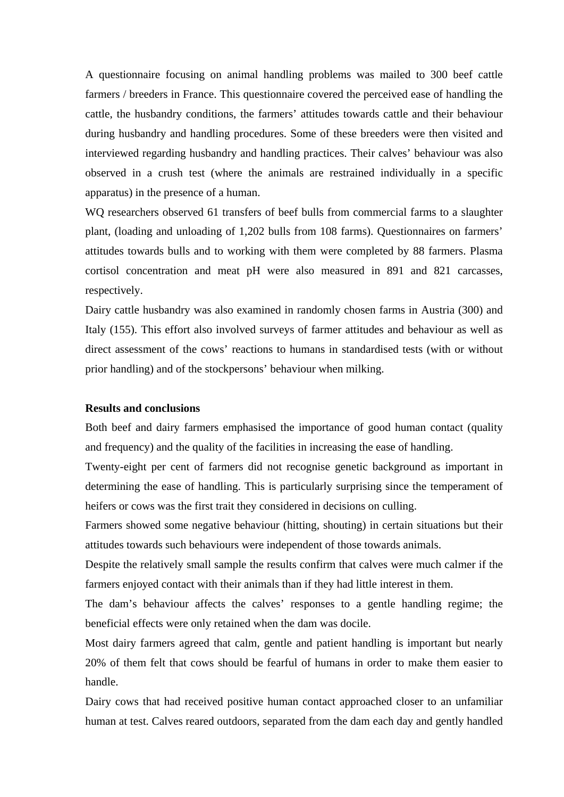A questionnaire focusing on animal handling problems was mailed to 300 beef cattle farmers / breeders in France. This questionnaire covered the perceived ease of handling the cattle, the husbandry conditions, the farmers' attitudes towards cattle and their behaviour during husbandry and handling procedures. Some of these breeders were then visited and interviewed regarding husbandry and handling practices. Their calves' behaviour was also observed in a crush test (where the animals are restrained individually in a specific apparatus) in the presence of a human.

WQ researchers observed 61 transfers of beef bulls from commercial farms to a slaughter plant, (loading and unloading of 1,202 bulls from 108 farms). Questionnaires on farmers' attitudes towards bulls and to working with them were completed by 88 farmers. Plasma cortisol concentration and meat pH were also measured in 891 and 821 carcasses, respectively.

Dairy cattle husbandry was also examined in randomly chosen farms in Austria (300) and Italy (155). This effort also involved surveys of farmer attitudes and behaviour as well as direct assessment of the cows' reactions to humans in standardised tests (with or without prior handling) and of the stockpersons' behaviour when milking.

#### **Results and conclusions**

Both beef and dairy farmers emphasised the importance of good human contact (quality and frequency) and the quality of the facilities in increasing the ease of handling.

Twenty-eight per cent of farmers did not recognise genetic background as important in determining the ease of handling. This is particularly surprising since the temperament of heifers or cows was the first trait they considered in decisions on culling.

Farmers showed some negative behaviour (hitting, shouting) in certain situations but their attitudes towards such behaviours were independent of those towards animals.

Despite the relatively small sample the results confirm that calves were much calmer if the farmers enjoyed contact with their animals than if they had little interest in them.

The dam's behaviour affects the calves' responses to a gentle handling regime; the beneficial effects were only retained when the dam was docile.

Most dairy farmers agreed that calm, gentle and patient handling is important but nearly 20% of them felt that cows should be fearful of humans in order to make them easier to handle.

Dairy cows that had received positive human contact approached closer to an unfamiliar human at test. Calves reared outdoors, separated from the dam each day and gently handled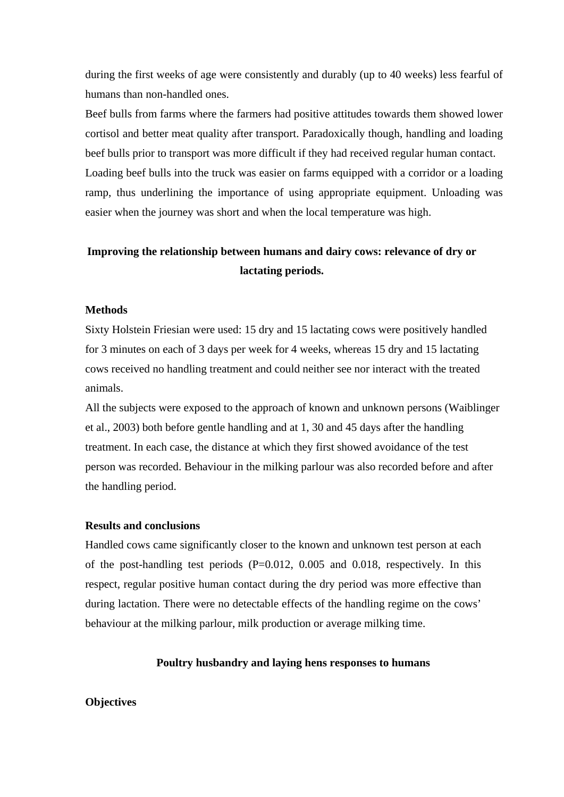during the first weeks of age were consistently and durably (up to 40 weeks) less fearful of humans than non-handled ones.

Beef bulls from farms where the farmers had positive attitudes towards them showed lower cortisol and better meat quality after transport. Paradoxically though, handling and loading beef bulls prior to transport was more difficult if they had received regular human contact. Loading beef bulls into the truck was easier on farms equipped with a corridor or a loading ramp, thus underlining the importance of using appropriate equipment. Unloading was easier when the journey was short and when the local temperature was high.

# **Improving the relationship between humans and dairy cows: relevance of dry or lactating periods.**

## **Methods**

Sixty Holstein Friesian were used: 15 dry and 15 lactating cows were positively handled for 3 minutes on each of 3 days per week for 4 weeks, whereas 15 dry and 15 lactating cows received no handling treatment and could neither see nor interact with the treated animals.

All the subjects were exposed to the approach of known and unknown persons (Waiblinger et al., 2003) both before gentle handling and at 1, 30 and 45 days after the handling treatment. In each case, the distance at which they first showed avoidance of the test person was recorded. Behaviour in the milking parlour was also recorded before and after the handling period.

#### **Results and conclusions**

Handled cows came significantly closer to the known and unknown test person at each of the post-handling test periods  $(P=0.012, 0.005, 0.018,$  respectively. In this respect, regular positive human contact during the dry period was more effective than during lactation. There were no detectable effects of the handling regime on the cows' behaviour at the milking parlour, milk production or average milking time.

## **Poultry husbandry and laying hens responses to humans**

## **Objectives**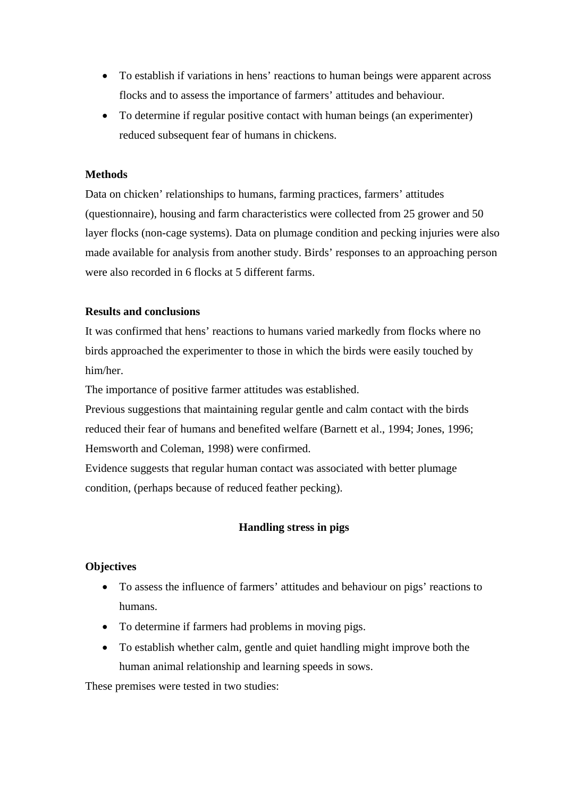- To establish if variations in hens' reactions to human beings were apparent across flocks and to assess the importance of farmers' attitudes and behaviour.
- To determine if regular positive contact with human beings (an experimenter) reduced subsequent fear of humans in chickens.

# **Methods**

Data on chicken' relationships to humans, farming practices, farmers' attitudes (questionnaire), housing and farm characteristics were collected from 25 grower and 50 layer flocks (non-cage systems). Data on plumage condition and pecking injuries were also made available for analysis from another study. Birds' responses to an approaching person were also recorded in 6 flocks at 5 different farms.

## **Results and conclusions**

It was confirmed that hens' reactions to humans varied markedly from flocks where no birds approached the experimenter to those in which the birds were easily touched by him/her.

The importance of positive farmer attitudes was established.

Previous suggestions that maintaining regular gentle and calm contact with the birds reduced their fear of humans and benefited welfare (Barnett et al., 1994; Jones, 1996; Hemsworth and Coleman, 1998) were confirmed.

Evidence suggests that regular human contact was associated with better plumage condition, (perhaps because of reduced feather pecking).

# **Handling stress in pigs**

## **Objectives**

- To assess the influence of farmers' attitudes and behaviour on pigs' reactions to humans.
- To determine if farmers had problems in moving pigs.
- To establish whether calm, gentle and quiet handling might improve both the human animal relationship and learning speeds in sows.

These premises were tested in two studies: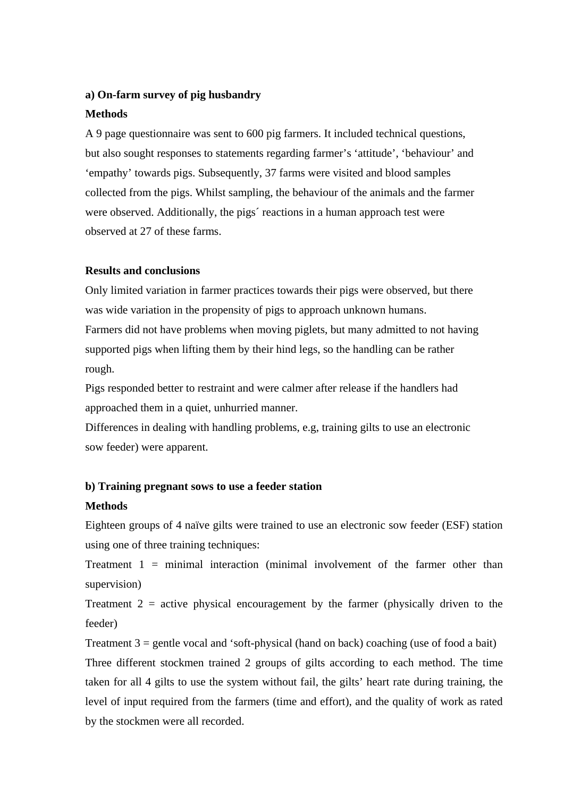## **a) On-farm survey of pig husbandry**

## **Methods**

A 9 page questionnaire was sent to 600 pig farmers. It included technical questions, but also sought responses to statements regarding farmer's 'attitude', 'behaviour' and 'empathy' towards pigs. Subsequently, 37 farms were visited and blood samples collected from the pigs. Whilst sampling, the behaviour of the animals and the farmer were observed. Additionally, the pigs' reactions in a human approach test were observed at 27 of these farms.

#### **Results and conclusions**

Only limited variation in farmer practices towards their pigs were observed, but there was wide variation in the propensity of pigs to approach unknown humans. Farmers did not have problems when moving piglets, but many admitted to not having supported pigs when lifting them by their hind legs, so the handling can be rather rough.

Pigs responded better to restraint and were calmer after release if the handlers had approached them in a quiet, unhurried manner.

Differences in dealing with handling problems, e.g, training gilts to use an electronic sow feeder) were apparent.

# **b) Training pregnant sows to use a feeder station**

## **Methods**

Eighteen groups of 4 naïve gilts were trained to use an electronic sow feeder (ESF) station using one of three training techniques:

Treatment  $1 = \text{minimal interaction (minimal involvement of the farmer other than})$ supervision)

Treatment  $2$  = active physical encouragement by the farmer (physically driven to the feeder)

Treatment  $3 =$  gentle vocal and 'soft-physical (hand on back) coaching (use of food a bait) Three different stockmen trained 2 groups of gilts according to each method. The time taken for all 4 gilts to use the system without fail, the gilts' heart rate during training, the level of input required from the farmers (time and effort), and the quality of work as rated by the stockmen were all recorded.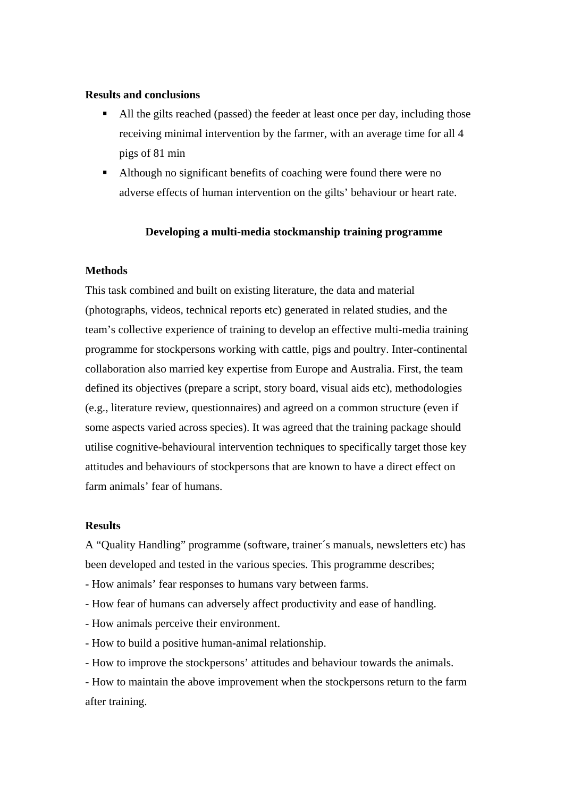## **Results and conclusions**

- All the gilts reached (passed) the feeder at least once per day, including those receiving minimal intervention by the farmer, with an average time for all 4 pigs of 81 min
- Although no significant benefits of coaching were found there were no adverse effects of human intervention on the gilts' behaviour or heart rate.

#### **Developing a multi-media stockmanship training programme**

## **Methods**

This task combined and built on existing literature, the data and material (photographs, videos, technical reports etc) generated in related studies, and the team's collective experience of training to develop an effective multi-media training programme for stockpersons working with cattle, pigs and poultry. Inter-continental collaboration also married key expertise from Europe and Australia. First, the team defined its objectives (prepare a script, story board, visual aids etc), methodologies (e.g., literature review, questionnaires) and agreed on a common structure (even if some aspects varied across species). It was agreed that the training package should utilise cognitive-behavioural intervention techniques to specifically target those key attitudes and behaviours of stockpersons that are known to have a direct effect on farm animals' fear of humans.

#### **Results**

A "Quality Handling" programme (software, trainer´s manuals, newsletters etc) has been developed and tested in the various species. This programme describes;

- How animals' fear responses to humans vary between farms.
- How fear of humans can adversely affect productivity and ease of handling.
- How animals perceive their environment.
- How to build a positive human-animal relationship.
- How to improve the stockpersons' attitudes and behaviour towards the animals.

- How to maintain the above improvement when the stockpersons return to the farm after training.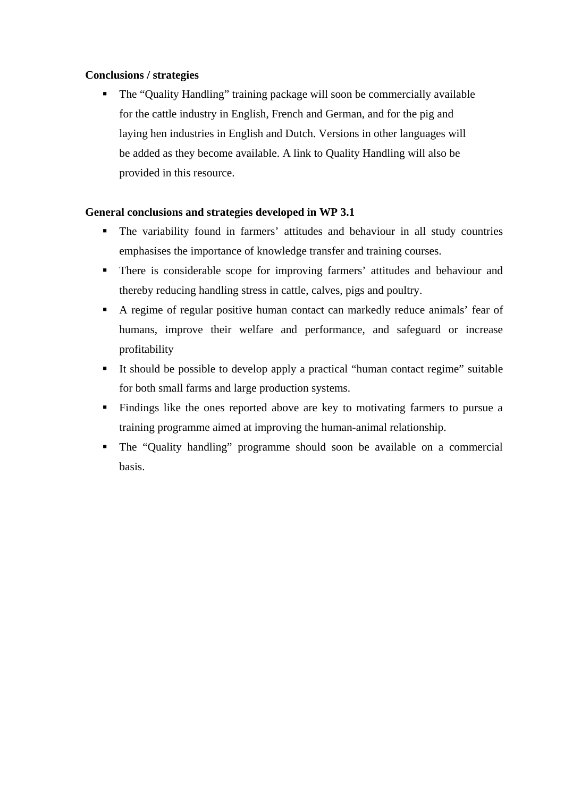# **Conclusions / strategies**

 The "Quality Handling" training package will soon be commercially available for the cattle industry in English, French and German, and for the pig and laying hen industries in English and Dutch. Versions in other languages will be added as they become available. A link to Quality Handling will also be provided in this resource.

# **General conclusions and strategies developed in WP 3.1**

- The variability found in farmers' attitudes and behaviour in all study countries emphasises the importance of knowledge transfer and training courses.
- There is considerable scope for improving farmers' attitudes and behaviour and thereby reducing handling stress in cattle, calves, pigs and poultry.
- A regime of regular positive human contact can markedly reduce animals' fear of humans, improve their welfare and performance, and safeguard or increase profitability
- It should be possible to develop apply a practical "human contact regime" suitable for both small farms and large production systems.
- Findings like the ones reported above are key to motivating farmers to pursue a training programme aimed at improving the human-animal relationship.
- The "Quality handling" programme should soon be available on a commercial basis.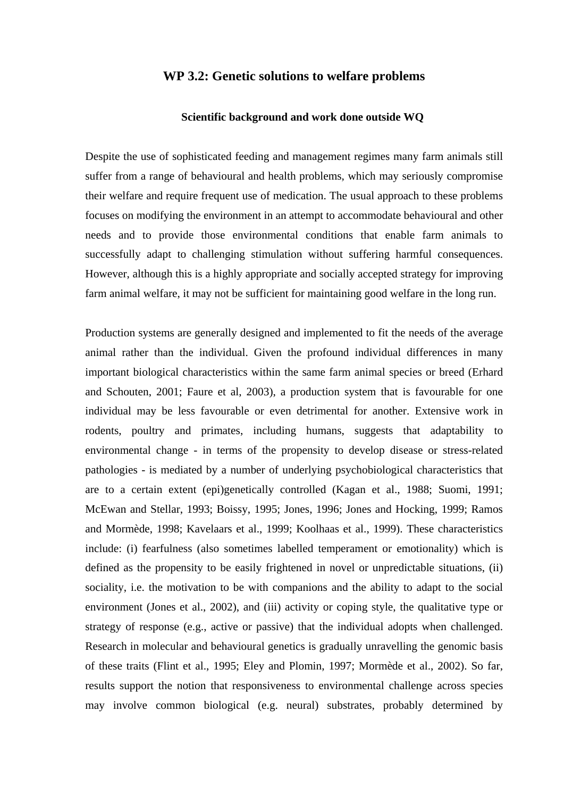# **WP 3.2: Genetic solutions to welfare problems**

#### **Scientific background and work done outside WQ**

Despite the use of sophisticated feeding and management regimes many farm animals still suffer from a range of behavioural and health problems, which may seriously compromise their welfare and require frequent use of medication. The usual approach to these problems focuses on modifying the environment in an attempt to accommodate behavioural and other needs and to provide those environmental conditions that enable farm animals to successfully adapt to challenging stimulation without suffering harmful consequences. However, although this is a highly appropriate and socially accepted strategy for improving farm animal welfare, it may not be sufficient for maintaining good welfare in the long run.

Production systems are generally designed and implemented to fit the needs of the average animal rather than the individual. Given the profound individual differences in many important biological characteristics within the same farm animal species or breed (Erhard and Schouten, 2001; Faure et al, 2003), a production system that is favourable for one individual may be less favourable or even detrimental for another. Extensive work in rodents, poultry and primates, including humans, suggests that adaptability to environmental change - in terms of the propensity to develop disease or stress-related pathologies - is mediated by a number of underlying psychobiological characteristics that are to a certain extent (epi)genetically controlled (Kagan et al., 1988; Suomi, 1991; McEwan and Stellar, 1993; Boissy, 1995; Jones, 1996; Jones and Hocking, 1999; Ramos and Mormède, 1998; Kavelaars et al., 1999; Koolhaas et al., 1999). These characteristics include: (i) fearfulness (also sometimes labelled temperament or emotionality) which is defined as the propensity to be easily frightened in novel or unpredictable situations, (ii) sociality, i.e. the motivation to be with companions and the ability to adapt to the social environment (Jones et al., 2002), and (iii) activity or coping style, the qualitative type or strategy of response (e.g., active or passive) that the individual adopts when challenged. Research in molecular and behavioural genetics is gradually unravelling the genomic basis of these traits (Flint et al., 1995; Eley and Plomin, 1997; Mormède et al., 2002). So far, results support the notion that responsiveness to environmental challenge across species may involve common biological (e.g. neural) substrates, probably determined by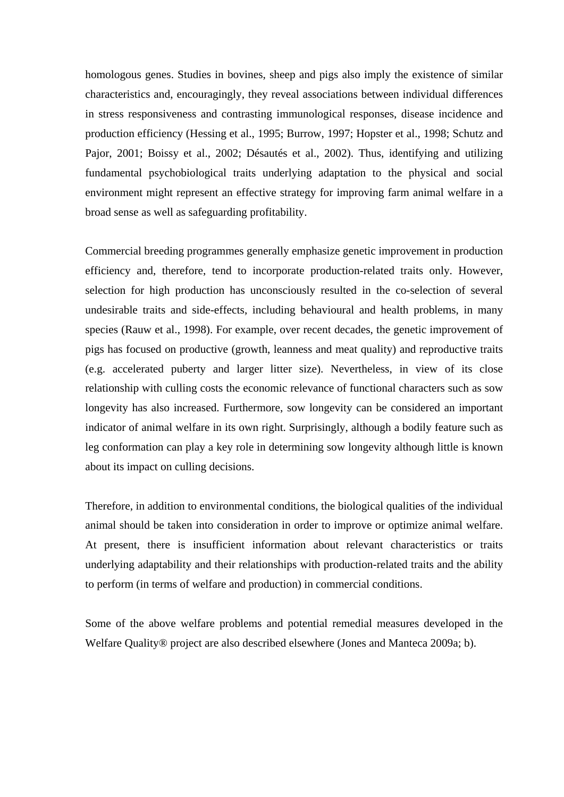homologous genes. Studies in bovines, sheep and pigs also imply the existence of similar characteristics and, encouragingly, they reveal associations between individual differences in stress responsiveness and contrasting immunological responses, disease incidence and production efficiency (Hessing et al., 1995; Burrow, 1997; Hopster et al., 1998; Schutz and Pajor, 2001; Boissy et al., 2002; Désautés et al., 2002). Thus, identifying and utilizing fundamental psychobiological traits underlying adaptation to the physical and social environment might represent an effective strategy for improving farm animal welfare in a broad sense as well as safeguarding profitability.

Commercial breeding programmes generally emphasize genetic improvement in production efficiency and, therefore, tend to incorporate production-related traits only. However, selection for high production has unconsciously resulted in the co-selection of several undesirable traits and side-effects, including behavioural and health problems, in many species (Rauw et al., 1998). For example, over recent decades, the genetic improvement of pigs has focused on productive (growth, leanness and meat quality) and reproductive traits (e.g. accelerated puberty and larger litter size). Nevertheless, in view of its close relationship with culling costs the economic relevance of functional characters such as sow longevity has also increased. Furthermore, sow longevity can be considered an important indicator of animal welfare in its own right. Surprisingly, although a bodily feature such as leg conformation can play a key role in determining sow longevity although little is known about its impact on culling decisions.

Therefore, in addition to environmental conditions, the biological qualities of the individual animal should be taken into consideration in order to improve or optimize animal welfare. At present, there is insufficient information about relevant characteristics or traits underlying adaptability and their relationships with production-related traits and the ability to perform (in terms of welfare and production) in commercial conditions.

Some of the above welfare problems and potential remedial measures developed in the Welfare Quality® project are also described elsewhere (Jones and Manteca 2009a; b).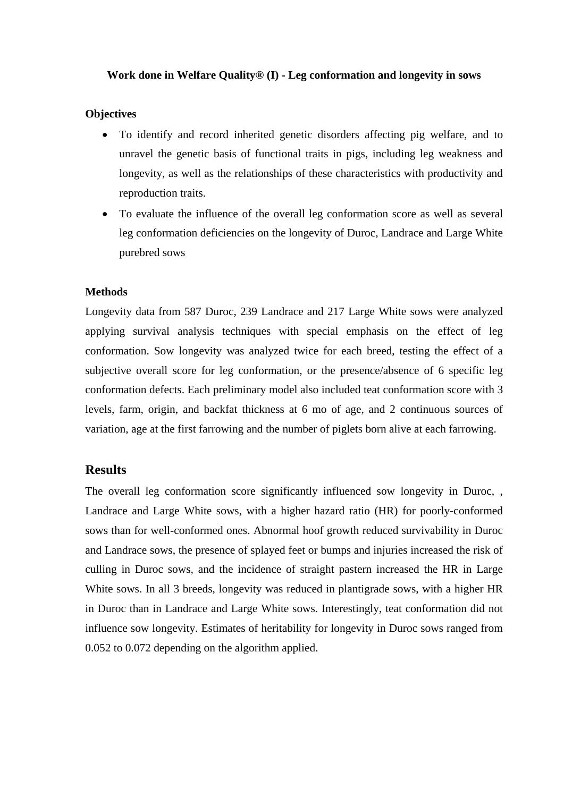## **Work done in Welfare Quality® (I) - Leg conformation and longevity in sows**

## **Objectives**

- To identify and record inherited genetic disorders affecting pig welfare, and to unravel the genetic basis of functional traits in pigs, including leg weakness and longevity, as well as the relationships of these characteristics with productivity and reproduction traits.
- To evaluate the influence of the overall leg conformation score as well as several leg conformation deficiencies on the longevity of Duroc, Landrace and Large White purebred sows

#### **Methods**

Longevity data from 587 Duroc, 239 Landrace and 217 Large White sows were analyzed applying survival analysis techniques with special emphasis on the effect of leg conformation. Sow longevity was analyzed twice for each breed, testing the effect of a subjective overall score for leg conformation, or the presence/absence of 6 specific leg conformation defects. Each preliminary model also included teat conformation score with 3 levels, farm, origin, and backfat thickness at 6 mo of age, and 2 continuous sources of variation, age at the first farrowing and the number of piglets born alive at each farrowing.

## **Results**

The overall leg conformation score significantly influenced sow longevity in Duroc, , Landrace and Large White sows, with a higher hazard ratio (HR) for poorly-conformed sows than for well-conformed ones. Abnormal hoof growth reduced survivability in Duroc and Landrace sows, the presence of splayed feet or bumps and injuries increased the risk of culling in Duroc sows, and the incidence of straight pastern increased the HR in Large White sows. In all 3 breeds, longevity was reduced in plantigrade sows, with a higher HR in Duroc than in Landrace and Large White sows. Interestingly, teat conformation did not influence sow longevity. Estimates of heritability for longevity in Duroc sows ranged from 0.052 to 0.072 depending on the algorithm applied.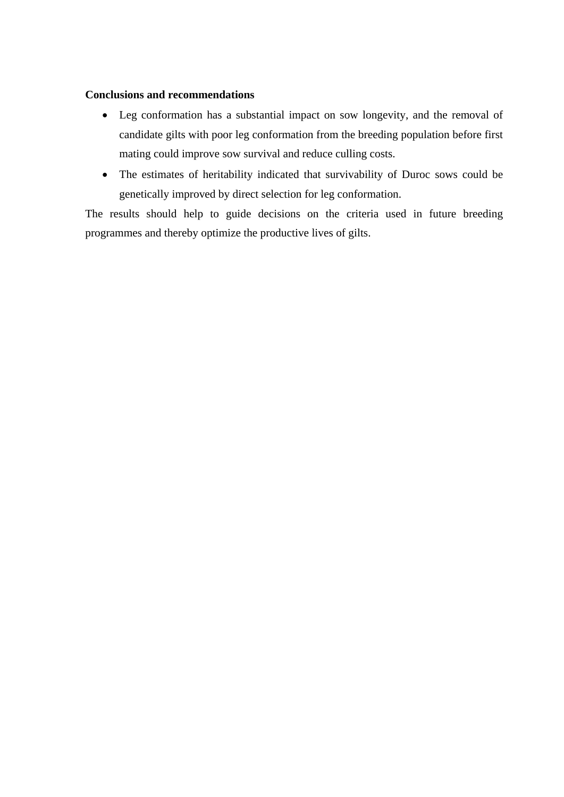# **Conclusions and recommendations**

- Leg conformation has a substantial impact on sow longevity, and the removal of candidate gilts with poor leg conformation from the breeding population before first mating could improve sow survival and reduce culling costs.
- The estimates of heritability indicated that survivability of Duroc sows could be genetically improved by direct selection for leg conformation.

The results should help to guide decisions on the criteria used in future breeding programmes and thereby optimize the productive lives of gilts.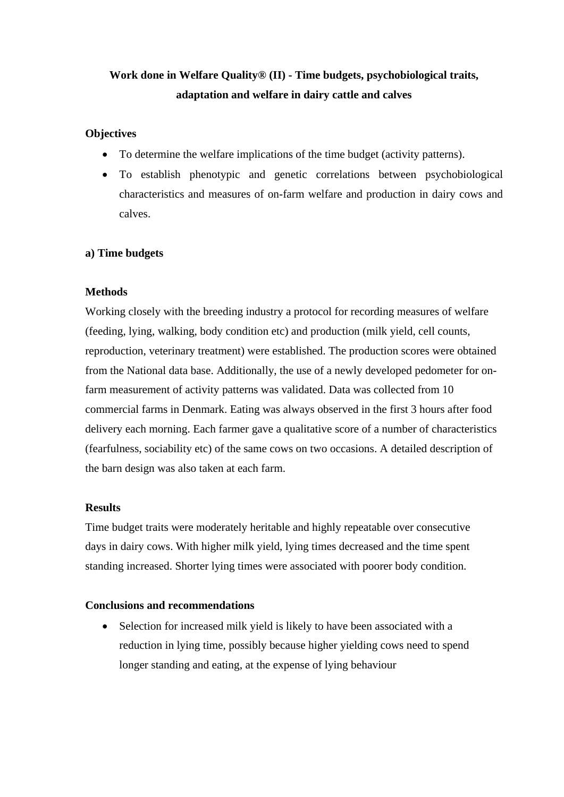# **Work done in Welfare Quality® (II) - Time budgets, psychobiological traits, adaptation and welfare in dairy cattle and calves**

# **Objectives**

- To determine the welfare implications of the time budget (activity patterns).
- To establish phenotypic and genetic correlations between psychobiological characteristics and measures of on-farm welfare and production in dairy cows and calves.

# **a) Time budgets**

# **Methods**

Working closely with the breeding industry a protocol for recording measures of welfare (feeding, lying, walking, body condition etc) and production (milk yield, cell counts, reproduction, veterinary treatment) were established. The production scores were obtained from the National data base. Additionally, the use of a newly developed pedometer for onfarm measurement of activity patterns was validated. Data was collected from 10 commercial farms in Denmark. Eating was always observed in the first 3 hours after food delivery each morning. Each farmer gave a qualitative score of a number of characteristics (fearfulness, sociability etc) of the same cows on two occasions. A detailed description of the barn design was also taken at each farm.

## **Results**

Time budget traits were moderately heritable and highly repeatable over consecutive days in dairy cows. With higher milk yield, lying times decreased and the time spent standing increased. Shorter lying times were associated with poorer body condition.

## **Conclusions and recommendations**

• Selection for increased milk yield is likely to have been associated with a reduction in lying time, possibly because higher yielding cows need to spend longer standing and eating, at the expense of lying behaviour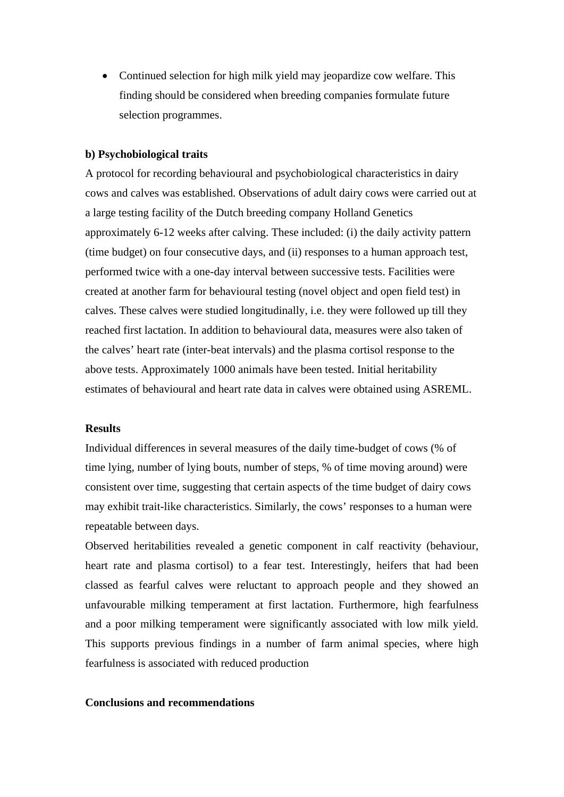Continued selection for high milk yield may jeopardize cow welfare. This finding should be considered when breeding companies formulate future selection programmes.

#### **b) Psychobiological traits**

A protocol for recording behavioural and psychobiological characteristics in dairy cows and calves was established. Observations of adult dairy cows were carried out at a large testing facility of the Dutch breeding company Holland Genetics approximately 6-12 weeks after calving. These included: (i) the daily activity pattern (time budget) on four consecutive days, and (ii) responses to a human approach test, performed twice with a one-day interval between successive tests. Facilities were created at another farm for behavioural testing (novel object and open field test) in calves. These calves were studied longitudinally, i.e. they were followed up till they reached first lactation. In addition to behavioural data, measures were also taken of the calves' heart rate (inter-beat intervals) and the plasma cortisol response to the above tests. Approximately 1000 animals have been tested. Initial heritability estimates of behavioural and heart rate data in calves were obtained using ASREML.

#### **Results**

Individual differences in several measures of the daily time-budget of cows (% of time lying, number of lying bouts, number of steps, % of time moving around) were consistent over time, suggesting that certain aspects of the time budget of dairy cows may exhibit trait-like characteristics. Similarly, the cows' responses to a human were repeatable between days.

Observed heritabilities revealed a genetic component in calf reactivity (behaviour, heart rate and plasma cortisol) to a fear test. Interestingly, heifers that had been classed as fearful calves were reluctant to approach people and they showed an unfavourable milking temperament at first lactation. Furthermore, high fearfulness and a poor milking temperament were significantly associated with low milk yield. This supports previous findings in a number of farm animal species, where high fearfulness is associated with reduced production

## **Conclusions and recommendations**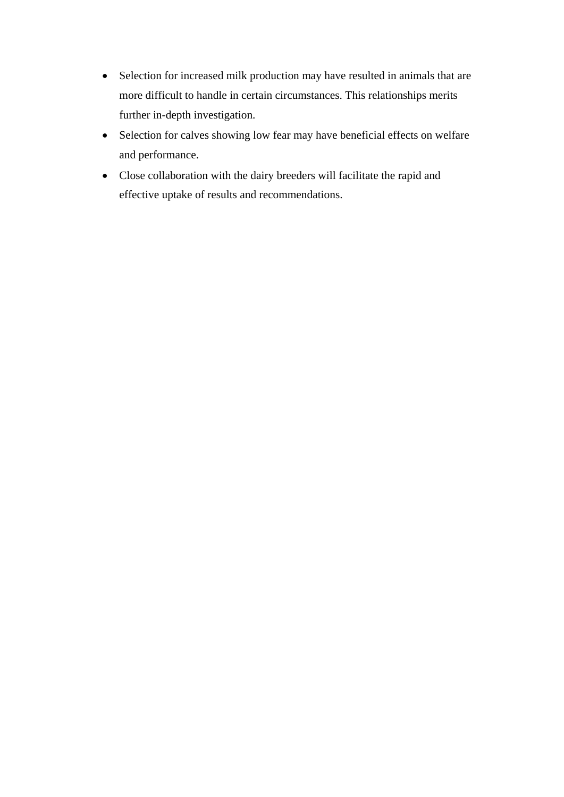- Selection for increased milk production may have resulted in animals that are more difficult to handle in certain circumstances. This relationships merits further in-depth investigation.
- Selection for calves showing low fear may have beneficial effects on welfare and performance.
- Close collaboration with the dairy breeders will facilitate the rapid and effective uptake of results and recommendations.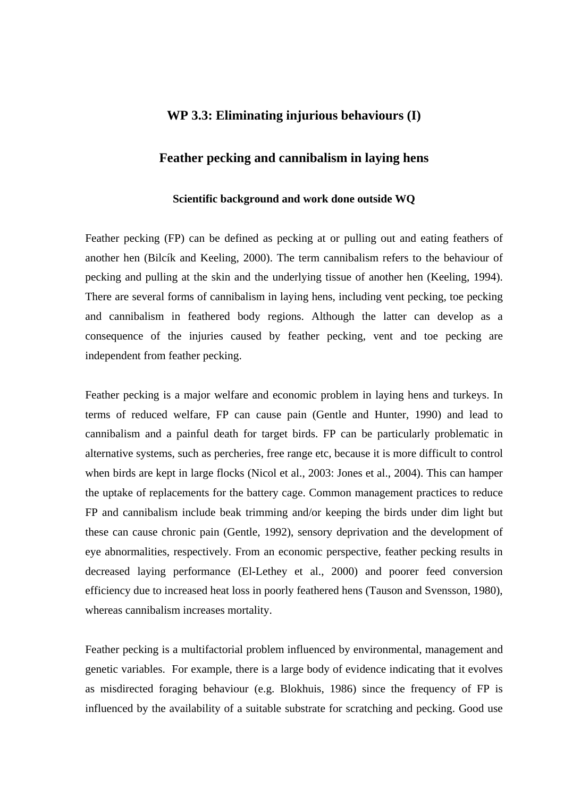# **WP 3.3: Eliminating injurious behaviours (I)**

# **Feather pecking and cannibalism in laying hens**

#### **Scientific background and work done outside WQ**

Feather pecking (FP) can be defined as pecking at or pulling out and eating feathers of another hen (Bilcík and Keeling, 2000). The term cannibalism refers to the behaviour of pecking and pulling at the skin and the underlying tissue of another hen (Keeling, 1994). There are several forms of cannibalism in laying hens, including vent pecking, toe pecking and cannibalism in feathered body regions. Although the latter can develop as a consequence of the injuries caused by feather pecking, vent and toe pecking are independent from feather pecking.

Feather pecking is a major welfare and economic problem in laying hens and turkeys. In terms of reduced welfare, FP can cause pain (Gentle and Hunter, 1990) and lead to cannibalism and a painful death for target birds. FP can be particularly problematic in alternative systems, such as percheries, free range etc, because it is more difficult to control when birds are kept in large flocks (Nicol et al., 2003: Jones et al., 2004). This can hamper the uptake of replacements for the battery cage. Common management practices to reduce FP and cannibalism include beak trimming and/or keeping the birds under dim light but these can cause chronic pain (Gentle, 1992), sensory deprivation and the development of eye abnormalities, respectively. From an economic perspective, feather pecking results in decreased laying performance (El-Lethey et al., 2000) and poorer feed conversion efficiency due to increased heat loss in poorly feathered hens (Tauson and Svensson, 1980), whereas cannibalism increases mortality.

Feather pecking is a multifactorial problem influenced by environmental, management and genetic variables. For example, there is a large body of evidence indicating that it evolves as misdirected foraging behaviour (e.g. Blokhuis, 1986) since the frequency of FP is influenced by the availability of a suitable substrate for scratching and pecking. Good use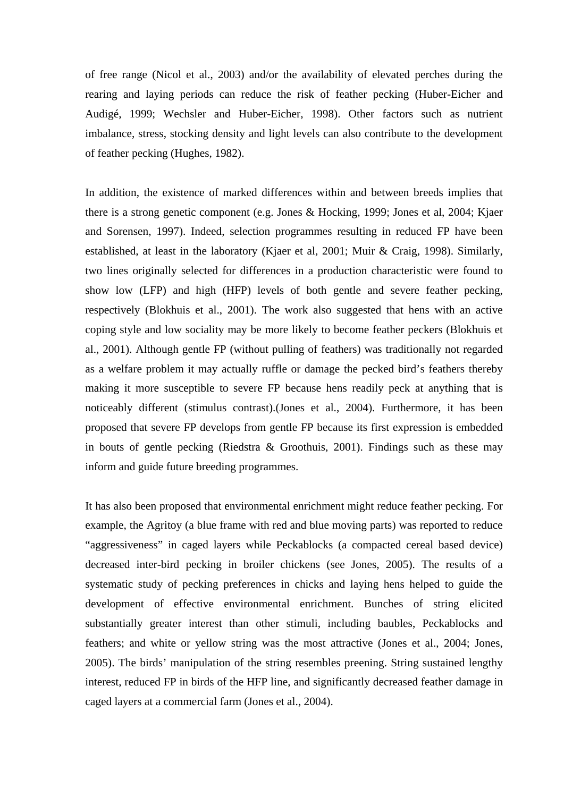of free range (Nicol et al., 2003) and/or the availability of elevated perches during the rearing and laying periods can reduce the risk of feather pecking (Huber-Eicher and Audigé, 1999; Wechsler and Huber-Eicher, 1998). Other factors such as nutrient imbalance, stress, stocking density and light levels can also contribute to the development of feather pecking (Hughes, 1982).

In addition, the existence of marked differences within and between breeds implies that there is a strong genetic component (e.g. Jones & Hocking, 1999; Jones et al, 2004; Kjaer and Sorensen, 1997). Indeed, selection programmes resulting in reduced FP have been established, at least in the laboratory (Kjaer et al, 2001; Muir & Craig, 1998). Similarly, two lines originally selected for differences in a production characteristic were found to show low (LFP) and high (HFP) levels of both gentle and severe feather pecking, respectively (Blokhuis et al., 2001). The work also suggested that hens with an active coping style and low sociality may be more likely to become feather peckers (Blokhuis et al., 2001). Although gentle FP (without pulling of feathers) was traditionally not regarded as a welfare problem it may actually ruffle or damage the pecked bird's feathers thereby making it more susceptible to severe FP because hens readily peck at anything that is noticeably different (stimulus contrast).(Jones et al., 2004). Furthermore, it has been proposed that severe FP develops from gentle FP because its first expression is embedded in bouts of gentle pecking (Riedstra & Groothuis, 2001). Findings such as these may inform and guide future breeding programmes.

It has also been proposed that environmental enrichment might reduce feather pecking. For example, the Agritoy (a blue frame with red and blue moving parts) was reported to reduce "aggressiveness" in caged layers while Peckablocks (a compacted cereal based device) decreased inter-bird pecking in broiler chickens (see Jones, 2005). The results of a systematic study of pecking preferences in chicks and laying hens helped to guide the development of effective environmental enrichment. Bunches of string elicited substantially greater interest than other stimuli, including baubles, Peckablocks and feathers; and white or yellow string was the most attractive (Jones et al., 2004; Jones, 2005). The birds' manipulation of the string resembles preening. String sustained lengthy interest, reduced FP in birds of the HFP line, and significantly decreased feather damage in caged layers at a commercial farm (Jones et al., 2004).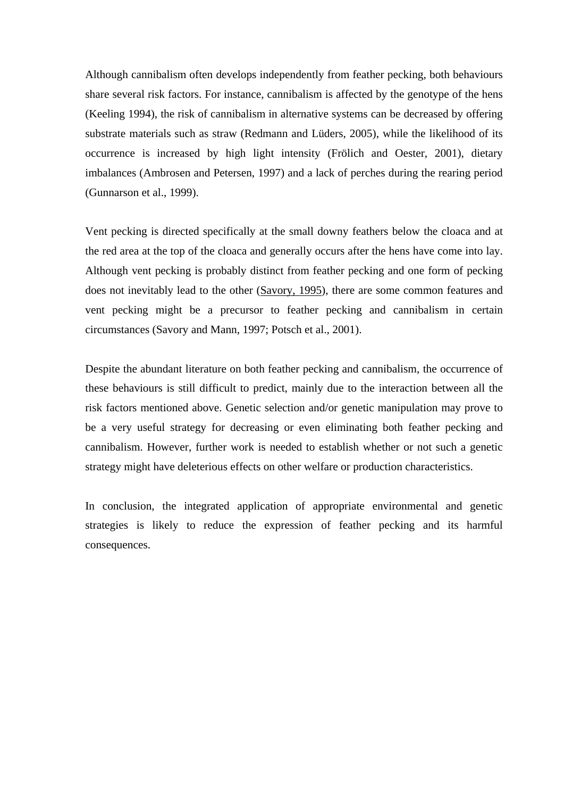Although cannibalism often develops independently from feather pecking, both behaviours share several risk factors. For instance, cannibalism is affected by the genotype of the hens (Keeling 1994), the risk of cannibalism in alternative systems can be decreased by offering substrate materials such as straw (Redmann and Lüders, 2005), while the likelihood of its occurrence is increased by high light intensity (Frölich and Oester, 2001), dietary imbalances (Ambrosen and Petersen, 1997) and a lack of perches during the rearing period (Gunnarson et al., 1999).

Vent pecking is directed specifically at the small downy feathers below the cloaca and at the red area at the top of the cloaca and generally occurs after the hens have come into lay. Although vent pecking is probably distinct from feather pecking and one form of pecking does not inevitably lead to the other ([Savory, 1995\)](http://www.sciencedirect.com/science?_ob=ArticleURL&_udi=B6T48-4RWC843-1&_user=1517286&_coverDate=09%2F30%2F2008&_rdoc=1&_fmt=full&_orig=search&_cdi=4968&_sort=d&_docanchor=&view=c&_searchStrId=1084341742&_rerunOrigin=google&_acct=C000053449&_version=1&_urlVersion=0&_userid=1517286&md5=196ea378578aadd0c4046cde2832c2b3#bib37), there are some common features and vent pecking might be a precursor to feather pecking and cannibalism in certain circumstances (Savory and Mann, 1997; Potsch et al., 2001).

Despite the abundant literature on both feather pecking and cannibalism, the occurrence of these behaviours is still difficult to predict, mainly due to the interaction between all the risk factors mentioned above. Genetic selection and/or genetic manipulation may prove to be a very useful strategy for decreasing or even eliminating both feather pecking and cannibalism. However, further work is needed to establish whether or not such a genetic strategy might have deleterious effects on other welfare or production characteristics.

In conclusion, the integrated application of appropriate environmental and genetic strategies is likely to reduce the expression of feather pecking and its harmful consequences.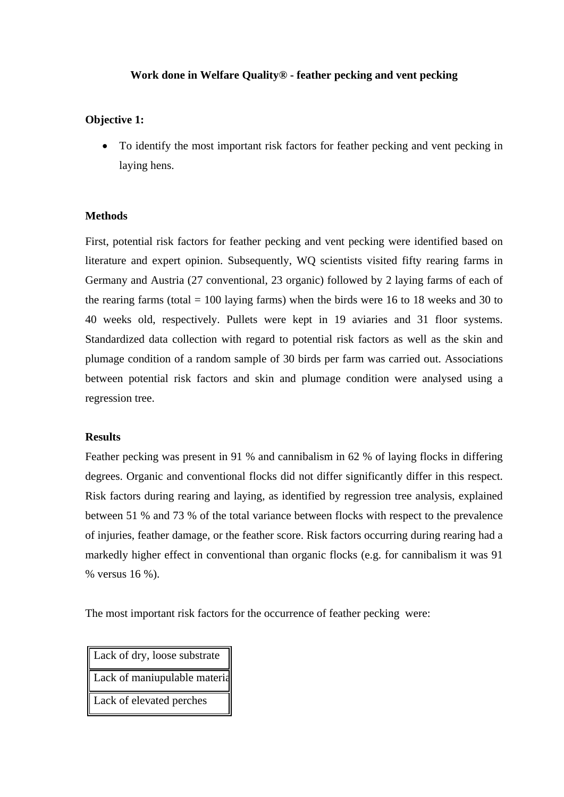## **Work done in Welfare Quality® - feather pecking and vent pecking**

# **Objective 1:**

 To identify the most important risk factors for feather pecking and vent pecking in laying hens.

## **Methods**

First, potential risk factors for feather pecking and vent pecking were identified based on literature and expert opinion. Subsequently, WQ scientists visited fifty rearing farms in Germany and Austria (27 conventional, 23 organic) followed by 2 laying farms of each of the rearing farms (total  $= 100$  laying farms) when the birds were 16 to 18 weeks and 30 to 40 weeks old, respectively. Pullets were kept in 19 aviaries and 31 floor systems. Standardized data collection with regard to potential risk factors as well as the skin and plumage condition of a random sample of 30 birds per farm was carried out. Associations between potential risk factors and skin and plumage condition were analysed using a regression tree.

#### **Results**

Feather pecking was present in 91 % and cannibalism in 62 % of laying flocks in differing degrees. Organic and conventional flocks did not differ significantly differ in this respect. Risk factors during rearing and laying, as identified by regression tree analysis, explained between 51 % and 73 % of the total variance between flocks with respect to the prevalence of injuries, feather damage, or the feather score. Risk factors occurring during rearing had a markedly higher effect in conventional than organic flocks (e.g. for cannibalism it was 91 % versus 16 %).

The most important risk factors for the occurrence of feather pecking were:

Lack of dry, loose substrate Lack of maniupulable materia Lack of elevated perches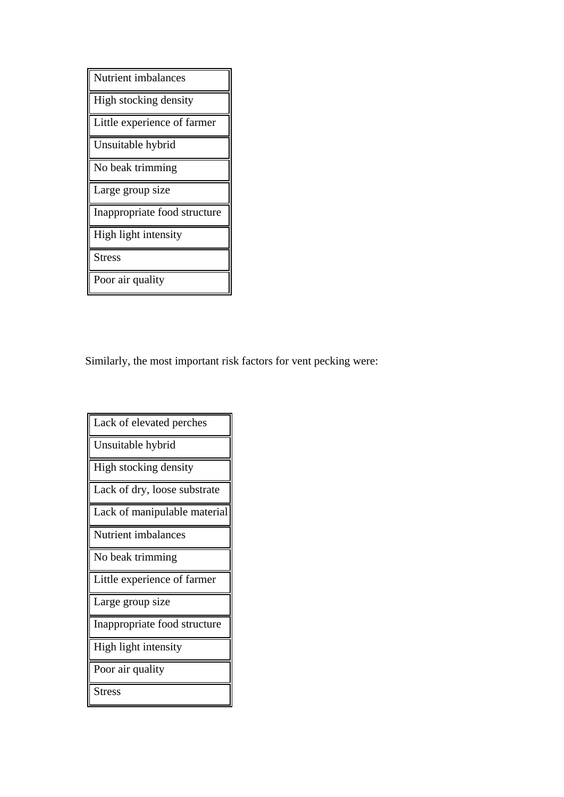| Nutrient imbalances          |
|------------------------------|
| High stocking density        |
| Little experience of farmer  |
| Unsuitable hybrid            |
| No beak trimming             |
|                              |
| Large group size             |
| Inappropriate food structure |
| High light intensity         |
| <b>Stress</b>                |

Similarly, the most important risk factors for vent pecking were:

| Lack of elevated perches     |
|------------------------------|
| Unsuitable hybrid            |
| High stocking density        |
| Lack of dry, loose substrate |
| Lack of manipulable material |
| Nutrient imbalances          |
| No beak trimming             |
| Little experience of farmer  |
| Large group size             |
| Inappropriate food structure |
| High light intensity         |
| Poor air quality             |
| <b>Stress</b>                |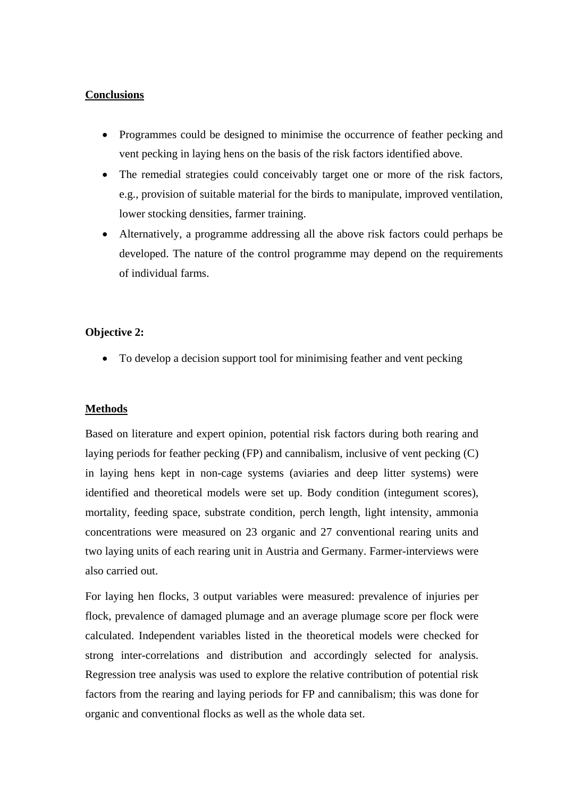## **Conclusions**

- Programmes could be designed to minimise the occurrence of feather pecking and vent pecking in laying hens on the basis of the risk factors identified above.
- The remedial strategies could conceivably target one or more of the risk factors, e.g., provision of suitable material for the birds to manipulate, improved ventilation, lower stocking densities, farmer training.
- Alternatively, a programme addressing all the above risk factors could perhaps be developed. The nature of the control programme may depend on the requirements of individual farms.

## **Objective 2:**

• To develop a decision support tool for minimising feather and vent pecking

#### **Methods**

Based on literature and expert opinion, potential risk factors during both rearing and laying periods for feather pecking (FP) and cannibalism, inclusive of vent pecking (C) in laying hens kept in non-cage systems (aviaries and deep litter systems) were identified and theoretical models were set up. Body condition (integument scores), mortality, feeding space, substrate condition, perch length, light intensity, ammonia concentrations were measured on 23 organic and 27 conventional rearing units and two laying units of each rearing unit in Austria and Germany. Farmer-interviews were also carried out.

For laying hen flocks, 3 output variables were measured: prevalence of injuries per flock, prevalence of damaged plumage and an average plumage score per flock were calculated. Independent variables listed in the theoretical models were checked for strong inter-correlations and distribution and accordingly selected for analysis. Regression tree analysis was used to explore the relative contribution of potential risk factors from the rearing and laying periods for FP and cannibalism; this was done for organic and conventional flocks as well as the whole data set.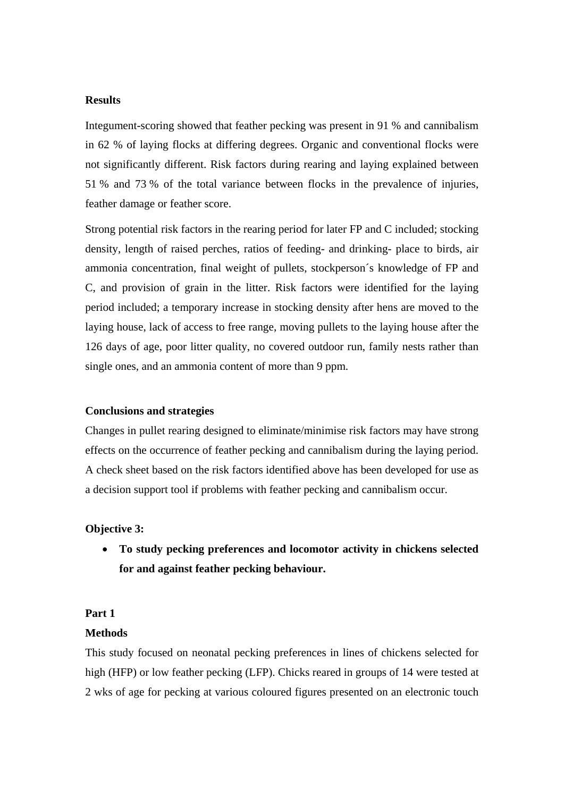## **Results**

Integument-scoring showed that feather pecking was present in 91 % and cannibalism in 62 % of laying flocks at differing degrees. Organic and conventional flocks were not significantly different. Risk factors during rearing and laying explained between 51 % and 73 % of the total variance between flocks in the prevalence of injuries, feather damage or feather score.

Strong potential risk factors in the rearing period for later FP and C included; stocking density, length of raised perches, ratios of feeding- and drinking- place to birds, air ammonia concentration, final weight of pullets, stockperson´s knowledge of FP and C, and provision of grain in the litter. Risk factors were identified for the laying period included; a temporary increase in stocking density after hens are moved to the laying house, lack of access to free range, moving pullets to the laying house after the 126 days of age, poor litter quality, no covered outdoor run, family nests rather than single ones, and an ammonia content of more than 9 ppm.

## **Conclusions and strategies**

Changes in pullet rearing designed to eliminate/minimise risk factors may have strong effects on the occurrence of feather pecking and cannibalism during the laying period. A check sheet based on the risk factors identified above has been developed for use as a decision support tool if problems with feather pecking and cannibalism occur.

## **Objective 3:**

 **To study pecking preferences and locomotor activity in chickens selected for and against feather pecking behaviour.** 

#### **Part 1**

#### **Methods**

This study focused on neonatal pecking preferences in lines of chickens selected for high (HFP) or low feather pecking (LFP). Chicks reared in groups of 14 were tested at 2 wks of age for pecking at various coloured figures presented on an electronic touch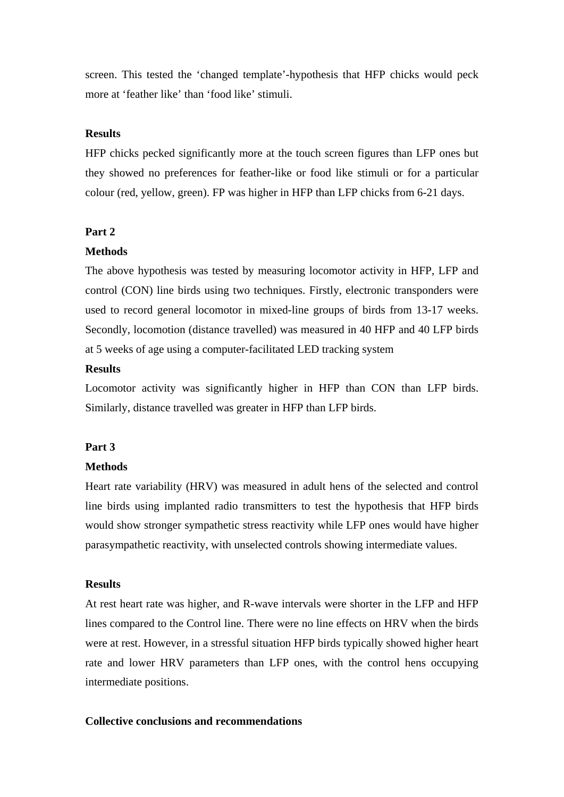screen. This tested the 'changed template'-hypothesis that HFP chicks would peck more at 'feather like' than 'food like' stimuli.

## **Results**

HFP chicks pecked significantly more at the touch screen figures than LFP ones but they showed no preferences for feather-like or food like stimuli or for a particular colour (red, yellow, green). FP was higher in HFP than LFP chicks from 6-21 days.

#### **Part 2**

#### **Methods**

The above hypothesis was tested by measuring locomotor activity in HFP, LFP and control (CON) line birds using two techniques. Firstly, electronic transponders were used to record general locomotor in mixed-line groups of birds from 13-17 weeks. Secondly, locomotion (distance travelled) was measured in 40 HFP and 40 LFP birds at 5 weeks of age using a computer-facilitated LED tracking system

# **Results**

Locomotor activity was significantly higher in HFP than CON than LFP birds. Similarly, distance travelled was greater in HFP than LFP birds.

#### **Part 3**

#### **Methods**

Heart rate variability (HRV) was measured in adult hens of the selected and control line birds using implanted radio transmitters to test the hypothesis that HFP birds would show stronger sympathetic stress reactivity while LFP ones would have higher parasympathetic reactivity, with unselected controls showing intermediate values.

## **Results**

At rest heart rate was higher, and R-wave intervals were shorter in the LFP and HFP lines compared to the Control line. There were no line effects on HRV when the birds were at rest. However, in a stressful situation HFP birds typically showed higher heart rate and lower HRV parameters than LFP ones, with the control hens occupying intermediate positions.

## **Collective conclusions and recommendations**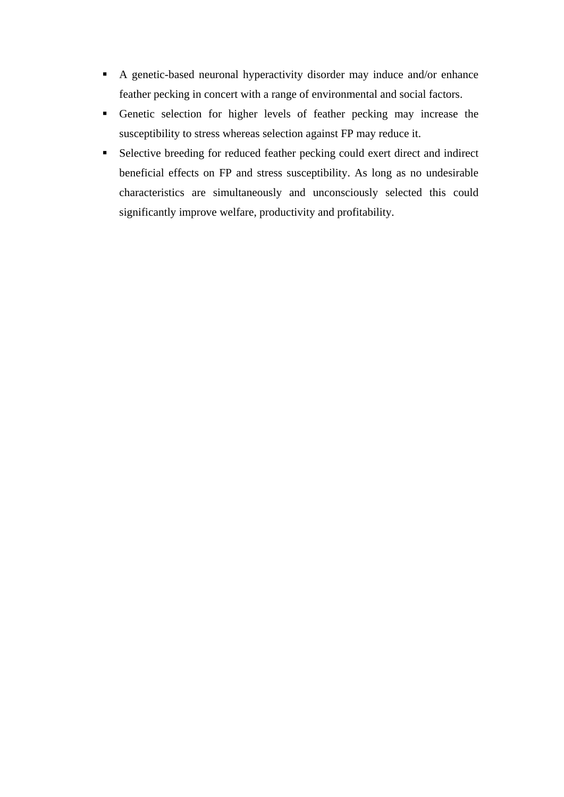- A genetic-based neuronal hyperactivity disorder may induce and/or enhance feather pecking in concert with a range of environmental and social factors.
- Genetic selection for higher levels of feather pecking may increase the susceptibility to stress whereas selection against FP may reduce it.
- Selective breeding for reduced feather pecking could exert direct and indirect beneficial effects on FP and stress susceptibility. As long as no undesirable characteristics are simultaneously and unconsciously selected this could significantly improve welfare, productivity and profitability.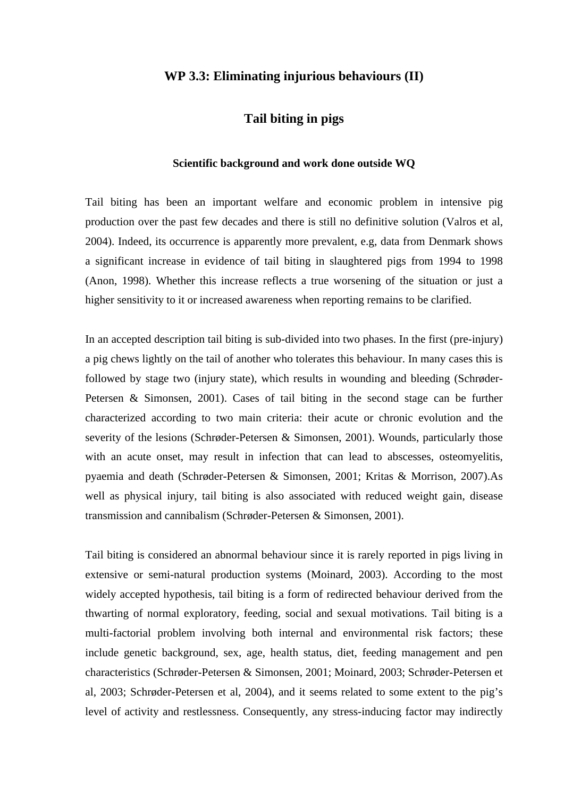# **WP 3.3: Eliminating injurious behaviours (II)**

# **Tail biting in pigs**

## **Scientific background and work done outside WQ**

Tail biting has been an important welfare and economic problem in intensive pig production over the past few decades and there is still no definitive solution (Valros et al, 2004). Indeed, its occurrence is apparently more prevalent, e.g, data from Denmark shows a significant increase in evidence of tail biting in slaughtered pigs from 1994 to 1998 (Anon, 1998). Whether this increase reflects a true worsening of the situation or just a higher sensitivity to it or increased awareness when reporting remains to be clarified.

In an accepted description tail biting is sub-divided into two phases. In the first (pre-injury) a pig chews lightly on the tail of another who tolerates this behaviour. In many cases this is followed by stage two (injury state), which results in wounding and bleeding (Schrøder-Petersen & Simonsen, 2001). Cases of tail biting in the second stage can be further characterized according to two main criteria: their acute or chronic evolution and the severity of the lesions (Schrøder-Petersen & Simonsen, 2001). Wounds, particularly those with an acute onset, may result in infection that can lead to abscesses, osteomyelitis, pyaemia and death (Schrøder-Petersen & Simonsen, 2001; Kritas & Morrison, 2007).As well as physical injury, tail biting is also associated with reduced weight gain, disease transmission and cannibalism (Schrøder-Petersen & Simonsen, 2001).

Tail biting is considered an abnormal behaviour since it is rarely reported in pigs living in extensive or semi-natural production systems (Moinard, 2003). According to the most widely accepted hypothesis, tail biting is a form of redirected behaviour derived from the thwarting of normal exploratory, feeding, social and sexual motivations. Tail biting is a multi-factorial problem involving both internal and environmental risk factors; these include genetic background, sex, age, health status, diet, feeding management and pen characteristics (Schrøder-Petersen & Simonsen, 2001; Moinard, 2003; Schrøder-Petersen et al, 2003; Schrøder-Petersen et al, 2004), and it seems related to some extent to the pig's level of activity and restlessness. Consequently, any stress-inducing factor may indirectly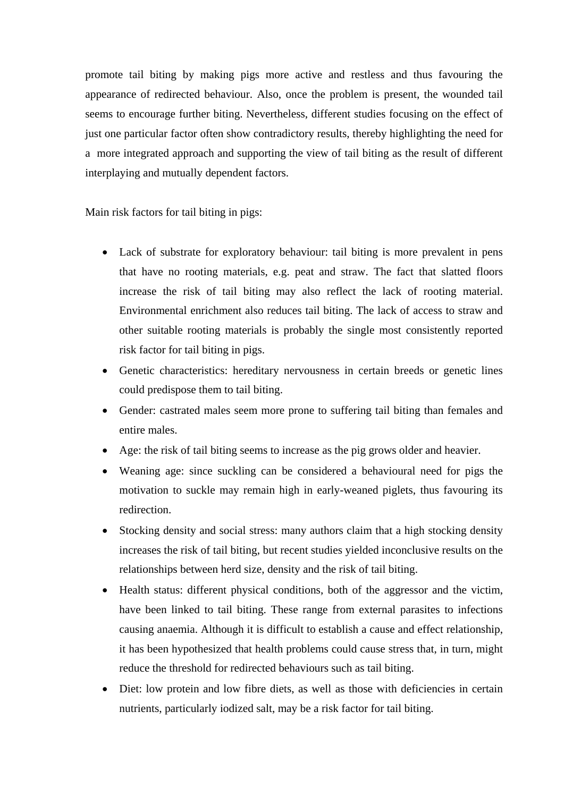promote tail biting by making pigs more active and restless and thus favouring the appearance of redirected behaviour. Also, once the problem is present, the wounded tail seems to encourage further biting. Nevertheless, different studies focusing on the effect of just one particular factor often show contradictory results, thereby highlighting the need for a more integrated approach and supporting the view of tail biting as the result of different interplaying and mutually dependent factors.

Main risk factors for tail biting in pigs:

- Lack of substrate for exploratory behaviour: tail biting is more prevalent in pens that have no rooting materials, e.g. peat and straw. The fact that slatted floors increase the risk of tail biting may also reflect the lack of rooting material. Environmental enrichment also reduces tail biting. The lack of access to straw and other suitable rooting materials is probably the single most consistently reported risk factor for tail biting in pigs.
- Genetic characteristics: hereditary nervousness in certain breeds or genetic lines could predispose them to tail biting.
- Gender: castrated males seem more prone to suffering tail biting than females and entire males.
- Age: the risk of tail biting seems to increase as the pig grows older and heavier.
- Weaning age: since suckling can be considered a behavioural need for pigs the motivation to suckle may remain high in early-weaned piglets, thus favouring its redirection.
- Stocking density and social stress: many authors claim that a high stocking density increases the risk of tail biting, but recent studies yielded inconclusive results on the relationships between herd size, density and the risk of tail biting.
- Health status: different physical conditions, both of the aggressor and the victim, have been linked to tail biting. These range from external parasites to infections causing anaemia. Although it is difficult to establish a cause and effect relationship, it has been hypothesized that health problems could cause stress that, in turn, might reduce the threshold for redirected behaviours such as tail biting.
- Diet: low protein and low fibre diets, as well as those with deficiencies in certain nutrients, particularly iodized salt, may be a risk factor for tail biting.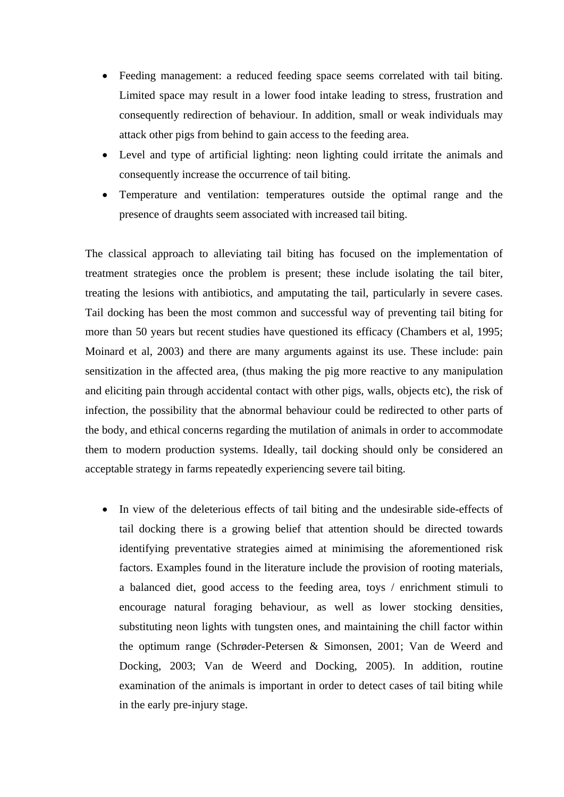- Feeding management: a reduced feeding space seems correlated with tail biting. Limited space may result in a lower food intake leading to stress, frustration and consequently redirection of behaviour. In addition, small or weak individuals may attack other pigs from behind to gain access to the feeding area.
- Level and type of artificial lighting: neon lighting could irritate the animals and consequently increase the occurrence of tail biting.
- Temperature and ventilation: temperatures outside the optimal range and the presence of draughts seem associated with increased tail biting.

The classical approach to alleviating tail biting has focused on the implementation of treatment strategies once the problem is present; these include isolating the tail biter, treating the lesions with antibiotics, and amputating the tail, particularly in severe cases. Tail docking has been the most common and successful way of preventing tail biting for more than 50 years but recent studies have questioned its efficacy (Chambers et al, 1995; Moinard et al, 2003) and there are many arguments against its use. These include: pain sensitization in the affected area, (thus making the pig more reactive to any manipulation and eliciting pain through accidental contact with other pigs, walls, objects etc), the risk of infection, the possibility that the abnormal behaviour could be redirected to other parts of the body, and ethical concerns regarding the mutilation of animals in order to accommodate them to modern production systems. Ideally, tail docking should only be considered an acceptable strategy in farms repeatedly experiencing severe tail biting.

 In view of the deleterious effects of tail biting and the undesirable side-effects of tail docking there is a growing belief that attention should be directed towards identifying preventative strategies aimed at minimising the aforementioned risk factors. Examples found in the literature include the provision of rooting materials, a balanced diet, good access to the feeding area, toys / enrichment stimuli to encourage natural foraging behaviour, as well as lower stocking densities, substituting neon lights with tungsten ones, and maintaining the chill factor within the optimum range (Schrøder-Petersen & Simonsen, 2001; Van de Weerd and Docking, 2003; Van de Weerd and Docking, 2005). In addition, routine examination of the animals is important in order to detect cases of tail biting while in the early pre-injury stage.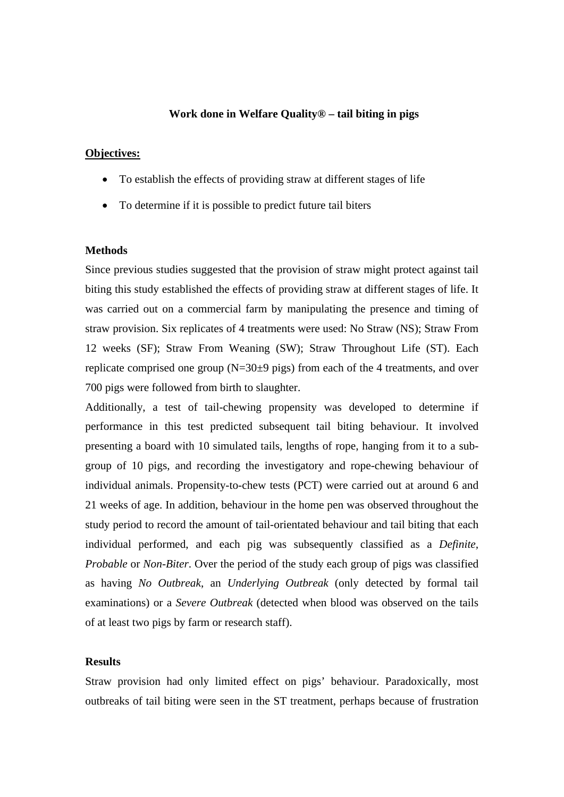## **Work done in Welfare Quality® – tail biting in pigs**

#### **Objectives:**

- To establish the effects of providing straw at different stages of life
- To determine if it is possible to predict future tail biters

#### **Methods**

Since previous studies suggested that the provision of straw might protect against tail biting this study established the effects of providing straw at different stages of life. It was carried out on a commercial farm by manipulating the presence and timing of straw provision. Six replicates of 4 treatments were used: No Straw (NS); Straw From 12 weeks (SF); Straw From Weaning (SW); Straw Throughout Life (ST). Each replicate comprised one group  $(N=30\pm 9 \text{ pigs})$  from each of the 4 treatments, and over 700 pigs were followed from birth to slaughter.

Additionally, a test of tail-chewing propensity was developed to determine if performance in this test predicted subsequent tail biting behaviour. It involved presenting a board with 10 simulated tails, lengths of rope, hanging from it to a subgroup of 10 pigs, and recording the investigatory and rope-chewing behaviour of individual animals. Propensity-to-chew tests (PCT) were carried out at around 6 and 21 weeks of age. In addition, behaviour in the home pen was observed throughout the study period to record the amount of tail-orientated behaviour and tail biting that each individual performed, and each pig was subsequently classified as a *Definite, Probable* or *Non-Biter*. Over the period of the study each group of pigs was classified as having *No Outbreak*, an *Underlying Outbreak* (only detected by formal tail examinations) or a *Severe Outbreak* (detected when blood was observed on the tails of at least two pigs by farm or research staff).

## **Results**

Straw provision had only limited effect on pigs' behaviour. Paradoxically, most outbreaks of tail biting were seen in the ST treatment, perhaps because of frustration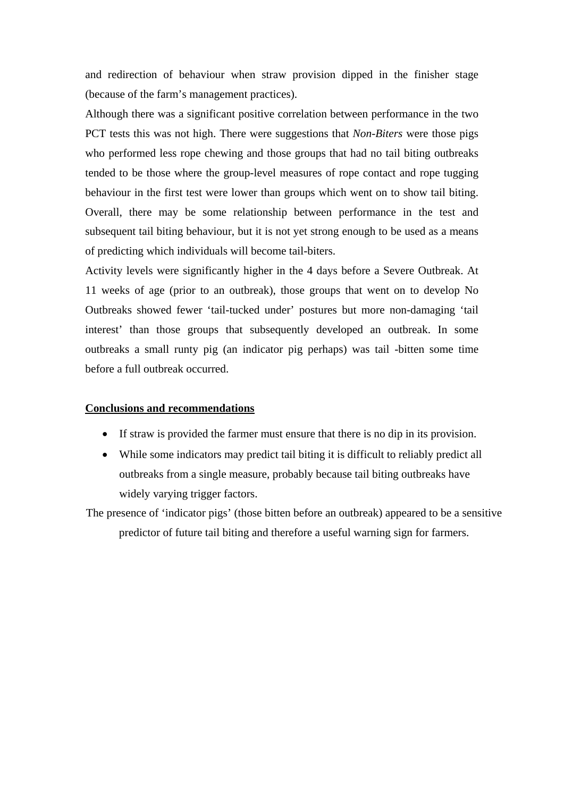and redirection of behaviour when straw provision dipped in the finisher stage (because of the farm's management practices).

Although there was a significant positive correlation between performance in the two PCT tests this was not high. There were suggestions that *Non-Biters* were those pigs who performed less rope chewing and those groups that had no tail biting outbreaks tended to be those where the group-level measures of rope contact and rope tugging behaviour in the first test were lower than groups which went on to show tail biting. Overall, there may be some relationship between performance in the test and subsequent tail biting behaviour, but it is not yet strong enough to be used as a means of predicting which individuals will become tail-biters.

Activity levels were significantly higher in the 4 days before a Severe Outbreak. At 11 weeks of age (prior to an outbreak), those groups that went on to develop No Outbreaks showed fewer 'tail-tucked under' postures but more non-damaging 'tail interest' than those groups that subsequently developed an outbreak. In some outbreaks a small runty pig (an indicator pig perhaps) was tail -bitten some time before a full outbreak occurred.

#### **Conclusions and recommendations**

- If straw is provided the farmer must ensure that there is no dip in its provision.
- While some indicators may predict tail biting it is difficult to reliably predict all outbreaks from a single measure, probably because tail biting outbreaks have widely varying trigger factors.

The presence of 'indicator pigs' (those bitten before an outbreak) appeared to be a sensitive predictor of future tail biting and therefore a useful warning sign for farmers.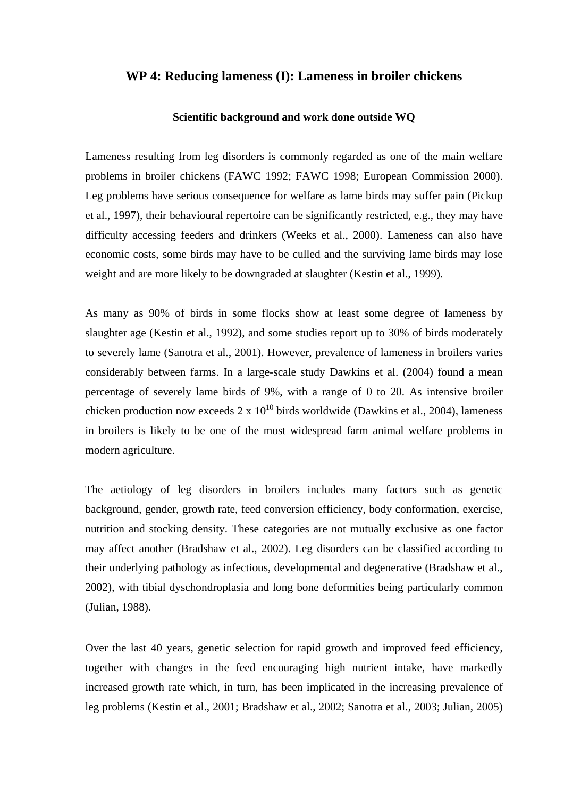# **WP 4: Reducing lameness (I): Lameness in broiler chickens**

#### **Scientific background and work done outside WQ**

Lameness resulting from leg disorders is commonly regarded as one of the main welfare problems in broiler chickens (FAWC 1992; FAWC 1998; European Commission 2000). Leg problems have serious consequence for welfare as lame birds may suffer pain (Pickup et al., 1997), their behavioural repertoire can be significantly restricted, e.g., they may have difficulty accessing feeders and drinkers (Weeks et al., 2000). Lameness can also have economic costs, some birds may have to be culled and the surviving lame birds may lose weight and are more likely to be downgraded at slaughter (Kestin et al., 1999).

As many as 90% of birds in some flocks show at least some degree of lameness by slaughter age (Kestin et al., 1992), and some studies report up to 30% of birds moderately to severely lame (Sanotra et al., 2001). However, prevalence of lameness in broilers varies considerably between farms. In a large-scale study Dawkins et al. (2004) found a mean percentage of severely lame birds of 9%, with a range of 0 to 20. As intensive broiler chicken production now exceeds  $2 \times 10^{10}$  birds worldwide (Dawkins et al., 2004), lameness in broilers is likely to be one of the most widespread farm animal welfare problems in modern agriculture.

The aetiology of leg disorders in broilers includes many factors such as genetic background, gender, growth rate, feed conversion efficiency, body conformation, exercise, nutrition and stocking density. These categories are not mutually exclusive as one factor may affect another (Bradshaw et al., 2002). Leg disorders can be classified according to their underlying pathology as infectious, developmental and degenerative (Bradshaw et al., 2002), with tibial dyschondroplasia and long bone deformities being particularly common (Julian, 1988).

Over the last 40 years, genetic selection for rapid growth and improved feed efficiency, together with changes in the feed encouraging high nutrient intake, have markedly increased growth rate which, in turn, has been implicated in the increasing prevalence of leg problems (Kestin et al., 2001; Bradshaw et al., 2002; Sanotra et al., 2003; Julian, 2005)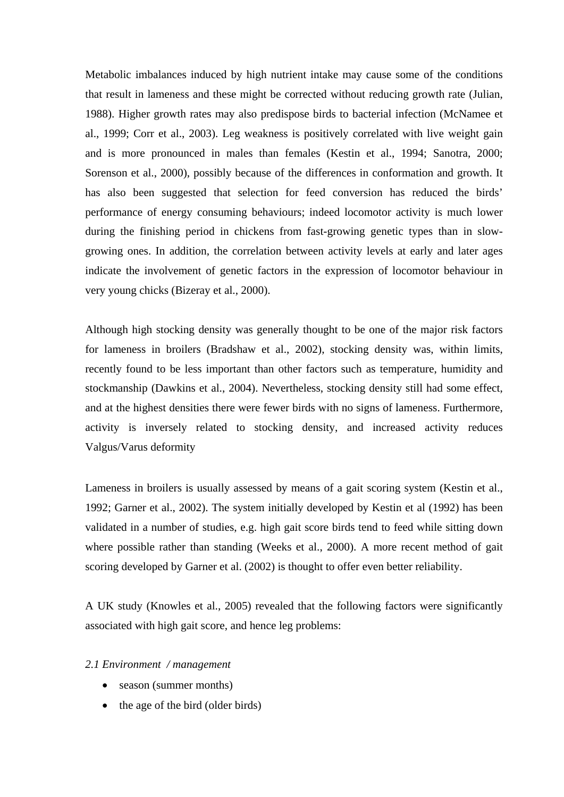Metabolic imbalances induced by high nutrient intake may cause some of the conditions that result in lameness and these might be corrected without reducing growth rate (Julian, 1988). Higher growth rates may also predispose birds to bacterial infection (McNamee et al., 1999; Corr et al., 2003). Leg weakness is positively correlated with live weight gain and is more pronounced in males than females (Kestin et al., 1994; Sanotra, 2000; Sorenson et al., 2000), possibly because of the differences in conformation and growth. It has also been suggested that selection for feed conversion has reduced the birds' performance of energy consuming behaviours; indeed locomotor activity is much lower during the finishing period in chickens from fast-growing genetic types than in slowgrowing ones. In addition, the correlation between activity levels at early and later ages indicate the involvement of genetic factors in the expression of locomotor behaviour in very young chicks (Bizeray et al., 2000).

Although high stocking density was generally thought to be one of the major risk factors for lameness in broilers (Bradshaw et al., 2002), stocking density was, within limits, recently found to be less important than other factors such as temperature, humidity and stockmanship (Dawkins et al., 2004). Nevertheless, stocking density still had some effect, and at the highest densities there were fewer birds with no signs of lameness. Furthermore, activity is inversely related to stocking density, and increased activity reduces Valgus/Varus deformity

Lameness in broilers is usually assessed by means of a gait scoring system (Kestin et al., 1992; Garner et al., 2002). The system initially developed by Kestin et al (1992) has been validated in a number of studies, e.g. high gait score birds tend to feed while sitting down where possible rather than standing (Weeks et al., 2000). A more recent method of gait scoring developed by Garner et al. (2002) is thought to offer even better reliability.

A UK study (Knowles et al., 2005) revealed that the following factors were significantly associated with high gait score, and hence leg problems:

#### *2.1 Environment / management*

- season (summer months)
- $\bullet$  the age of the bird (older birds)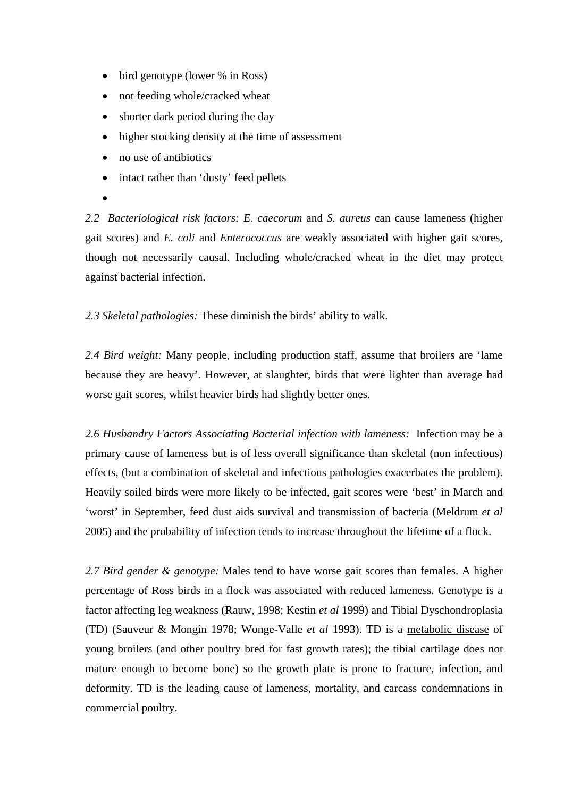- bird genotype (lower % in Ross)
- not feeding whole/cracked wheat
- shorter dark period during the day
- higher stocking density at the time of assessment
- no use of antibiotics
- intact rather than 'dusty' feed pellets
- $\bullet$

*2.2 Bacteriological risk factors: E. caecorum* and *S. aureus* can cause lameness (higher gait scores) and *E. coli* and *Enterococcus* are weakly associated with higher gait scores, though not necessarily causal. Including whole/cracked wheat in the diet may protect against bacterial infection.

*2.3 Skeletal pathologies:* These diminish the birds' ability to walk.

*2.4 Bird weight:* Many people, including production staff, assume that broilers are 'lame because they are heavy'. However, at slaughter, birds that were lighter than average had worse gait scores, whilst heavier birds had slightly better ones.

*2.6 Husbandry Factors Associating Bacterial infection with lameness:* Infection may be a primary cause of lameness but is of less overall significance than skeletal (non infectious) effects, (but a combination of skeletal and infectious pathologies exacerbates the problem). Heavily soiled birds were more likely to be infected, gait scores were 'best' in March and 'worst' in September, feed dust aids survival and transmission of bacteria (Meldrum *et al* 2005) and the probability of infection tends to increase throughout the lifetime of a flock.

*2.7 Bird gender & genotype:* Males tend to have worse gait scores than females. A higher percentage of Ross birds in a flock was associated with reduced lameness. Genotype is a factor affecting leg weakness (Rauw, 1998; Kestin *et al* 1999) and Tibial Dyschondroplasia (TD) (Sauveur & Mongin 1978; Wonge-Valle *et al* 1993). TD is a [metabolic disease](http://en.wikipedia.org/wiki/Metabolic_disease) of young broilers (and other poultry bred for fast growth rates); the tibial cartilage does not mature enough to become bone) so the growth plate is prone to fracture, infection, and deformity. TD is the leading cause of lameness, mortality, and carcass condemnations in commercial poultry.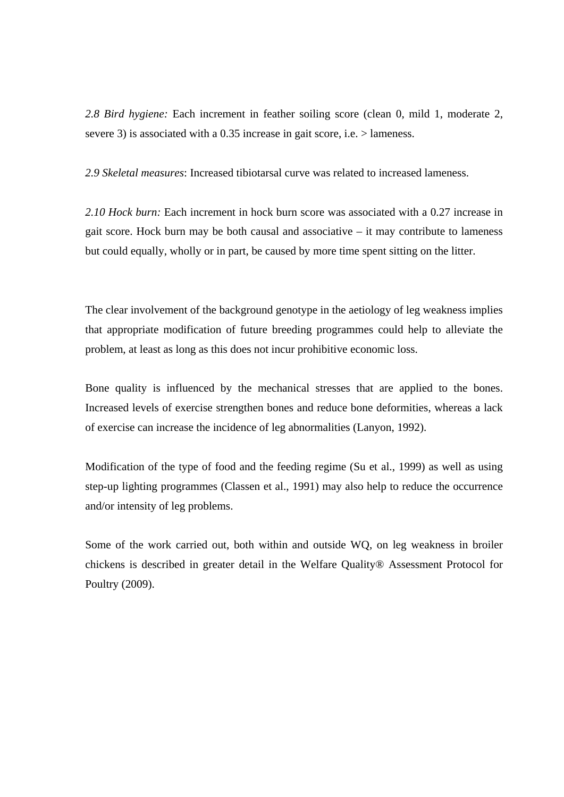*2.8 Bird hygiene:* Each increment in feather soiling score (clean 0, mild 1, moderate 2, severe 3) is associated with a 0.35 increase in gait score, i.e. > lameness.

*2.9 Skeletal measures*: Increased tibiotarsal curve was related to increased lameness.

*2.10 Hock burn:* Each increment in hock burn score was associated with a 0.27 increase in gait score. Hock burn may be both causal and associative – it may contribute to lameness but could equally, wholly or in part, be caused by more time spent sitting on the litter.

The clear involvement of the background genotype in the aetiology of leg weakness implies that appropriate modification of future breeding programmes could help to alleviate the problem, at least as long as this does not incur prohibitive economic loss.

Bone quality is influenced by the mechanical stresses that are applied to the bones. Increased levels of exercise strengthen bones and reduce bone deformities, whereas a lack of exercise can increase the incidence of leg abnormalities (Lanyon, 1992).

Modification of the type of food and the feeding regime (Su et al., 1999) as well as using step-up lighting programmes (Classen et al., 1991) may also help to reduce the occurrence and/or intensity of leg problems.

Some of the work carried out, both within and outside WQ, on leg weakness in broiler chickens is described in greater detail in the Welfare Quality® Assessment Protocol for Poultry (2009).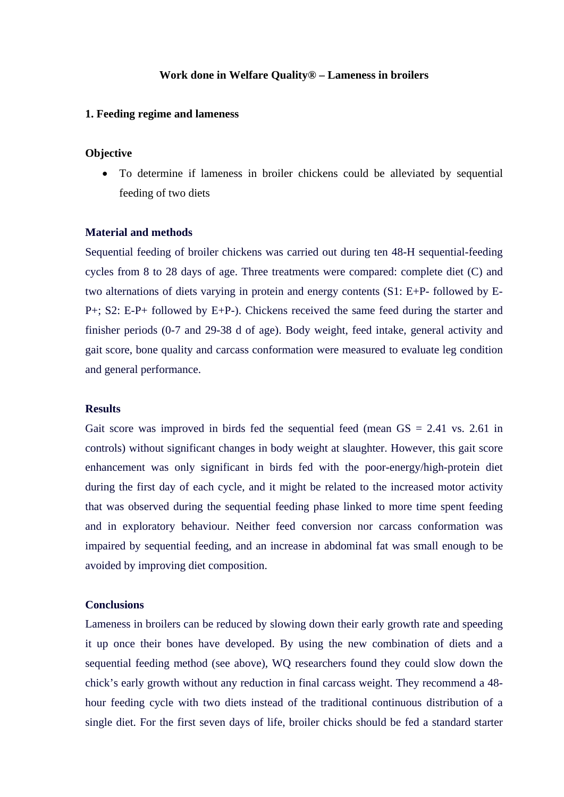#### **Work done in Welfare Quality® – Lameness in broilers**

#### **1. Feeding regime and lameness**

## **Objective**

 To determine if lameness in broiler chickens could be alleviated by sequential feeding of two diets

## **Material and methods**

Sequential feeding of broiler chickens was carried out during ten 48-H sequential-feeding cycles from 8 to 28 days of age. Three treatments were compared: complete diet (C) and two alternations of diets varying in protein and energy contents (S1: E+P- followed by E-P+; S2: E-P+ followed by E+P-). Chickens received the same feed during the starter and finisher periods (0-7 and 29-38 d of age). Body weight, feed intake, general activity and gait score, bone quality and carcass conformation were measured to evaluate leg condition and general performance.

## **Results**

Gait score was improved in birds fed the sequential feed (mean  $GS = 2.41$  vs. 2.61 in controls) without significant changes in body weight at slaughter. However, this gait score enhancement was only significant in birds fed with the poor-energy/high-protein diet during the first day of each cycle, and it might be related to the increased motor activity that was observed during the sequential feeding phase linked to more time spent feeding and in exploratory behaviour. Neither feed conversion nor carcass conformation was impaired by sequential feeding, and an increase in abdominal fat was small enough to be avoided by improving diet composition.

#### **Conclusions**

Lameness in broilers can be reduced by slowing down their early growth rate and speeding it up once their bones have developed. By using the new combination of diets and a sequential feeding method (see above), WQ researchers found they could slow down the chick's early growth without any reduction in final carcass weight. They recommend a 48 hour feeding cycle with two diets instead of the traditional continuous distribution of a single diet. For the first seven days of life, broiler chicks should be fed a standard starter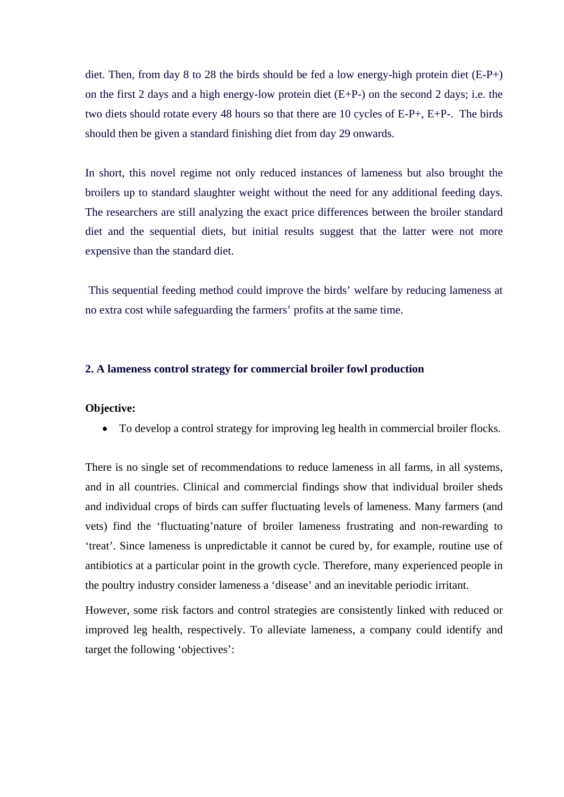diet. Then, from day 8 to 28 the birds should be fed a low energy-high protein diet (E-P+) on the first 2 days and a high energy-low protein diet (E+P-) on the second 2 days; i.e. the two diets should rotate every 48 hours so that there are 10 cycles of E-P+, E+P-. The birds should then be given a standard finishing diet from day 29 onwards.

In short, this novel regime not only reduced instances of lameness but also brought the broilers up to standard slaughter weight without the need for any additional feeding days. The researchers are still analyzing the exact price differences between the broiler standard diet and the sequential diets, but initial results suggest that the latter were not more expensive than the standard diet.

 This sequential feeding method could improve the birds' welfare by reducing lameness at no extra cost while safeguarding the farmers' profits at the same time.

## **2. A lameness control strategy for commercial broiler fowl production**

#### **Objective:**

To develop a control strategy for improving leg health in commercial broiler flocks.

There is no single set of recommendations to reduce lameness in all farms, in all systems, and in all countries. Clinical and commercial findings show that individual broiler sheds and individual crops of birds can suffer fluctuating levels of lameness. Many farmers (and vets) find the 'fluctuating'nature of broiler lameness frustrating and non-rewarding to 'treat'. Since lameness is unpredictable it cannot be cured by, for example, routine use of antibiotics at a particular point in the growth cycle. Therefore, many experienced people in the poultry industry consider lameness a 'disease' and an inevitable periodic irritant.

However, some risk factors and control strategies are consistently linked with reduced or improved leg health, respectively. To alleviate lameness, a company could identify and target the following 'objectives':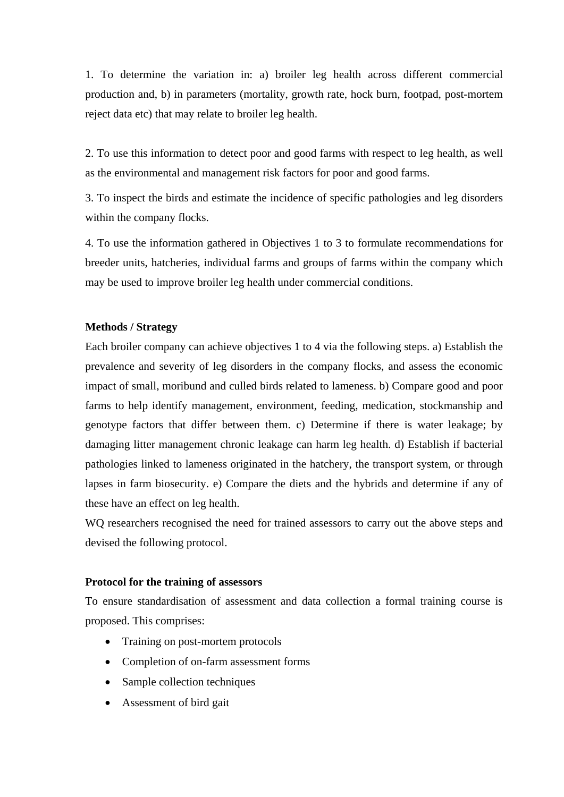1. To determine the variation in: a) broiler leg health across different commercial production and, b) in parameters (mortality, growth rate, hock burn, footpad, post-mortem reject data etc) that may relate to broiler leg health.

2. To use this information to detect poor and good farms with respect to leg health, as well as the environmental and management risk factors for poor and good farms.

3. To inspect the birds and estimate the incidence of specific pathologies and leg disorders within the company flocks.

4. To use the information gathered in Objectives 1 to 3 to formulate recommendations for breeder units, hatcheries, individual farms and groups of farms within the company which may be used to improve broiler leg health under commercial conditions.

## **Methods / Strategy**

Each broiler company can achieve objectives 1 to 4 via the following steps. a) Establish the prevalence and severity of leg disorders in the company flocks, and assess the economic impact of small, moribund and culled birds related to lameness. b) Compare good and poor farms to help identify management, environment, feeding, medication, stockmanship and genotype factors that differ between them. c) Determine if there is water leakage; by damaging litter management chronic leakage can harm leg health. d) Establish if bacterial pathologies linked to lameness originated in the hatchery, the transport system, or through lapses in farm biosecurity. e) Compare the diets and the hybrids and determine if any of these have an effect on leg health.

WQ researchers recognised the need for trained assessors to carry out the above steps and devised the following protocol.

#### **Protocol for the training of assessors**

To ensure standardisation of assessment and data collection a formal training course is proposed. This comprises:

- Training on post-mortem protocols
- Completion of on-farm assessment forms
- Sample collection techniques
- Assessment of bird gait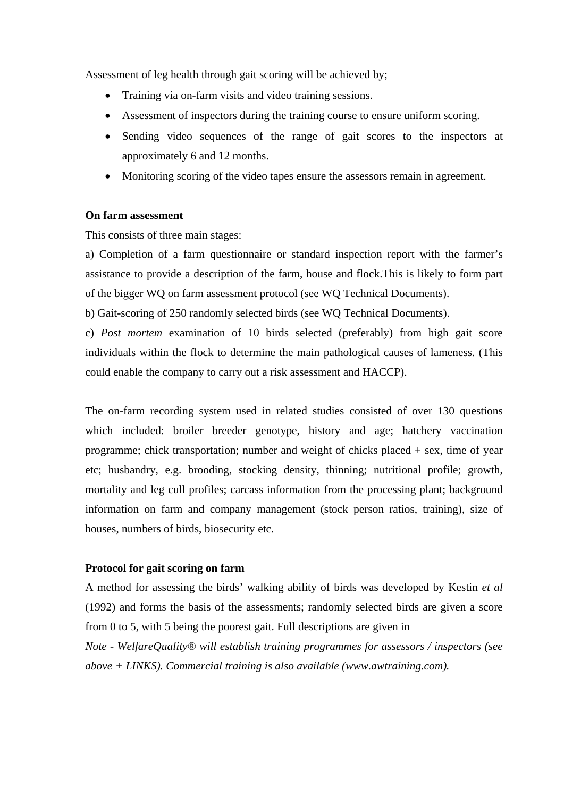Assessment of leg health through gait scoring will be achieved by;

- Training via on-farm visits and video training sessions.
- Assessment of inspectors during the training course to ensure uniform scoring.
- Sending video sequences of the range of gait scores to the inspectors at approximately 6 and 12 months.
- Monitoring scoring of the video tapes ensure the assessors remain in agreement.

#### **On farm assessment**

This consists of three main stages:

a) Completion of a farm questionnaire or standard inspection report with the farmer's assistance to provide a description of the farm, house and flock.This is likely to form part of the bigger WQ on farm assessment protocol (see WQ Technical Documents).

b) Gait-scoring of 250 randomly selected birds (see WQ Technical Documents).

c) *Post mortem* examination of 10 birds selected (preferably) from high gait score individuals within the flock to determine the main pathological causes of lameness. (This could enable the company to carry out a risk assessment and HACCP).

The on-farm recording system used in related studies consisted of over 130 questions which included: broiler breeder genotype, history and age; hatchery vaccination programme; chick transportation; number and weight of chicks placed + sex, time of year etc; husbandry, e.g. brooding, stocking density, thinning; nutritional profile; growth, mortality and leg cull profiles; carcass information from the processing plant; background information on farm and company management (stock person ratios, training), size of houses, numbers of birds, biosecurity etc.

## **Protocol for gait scoring on farm**

A method for assessing the birds' walking ability of birds was developed by Kestin *et al* (1992) and forms the basis of the assessments; randomly selected birds are given a score from 0 to 5, with 5 being the poorest gait. Full descriptions are given in

*Note - WelfareQuality® will establish training programmes for assessors / inspectors (see above + LINKS). Commercial training is also available (www.awtraining.com).*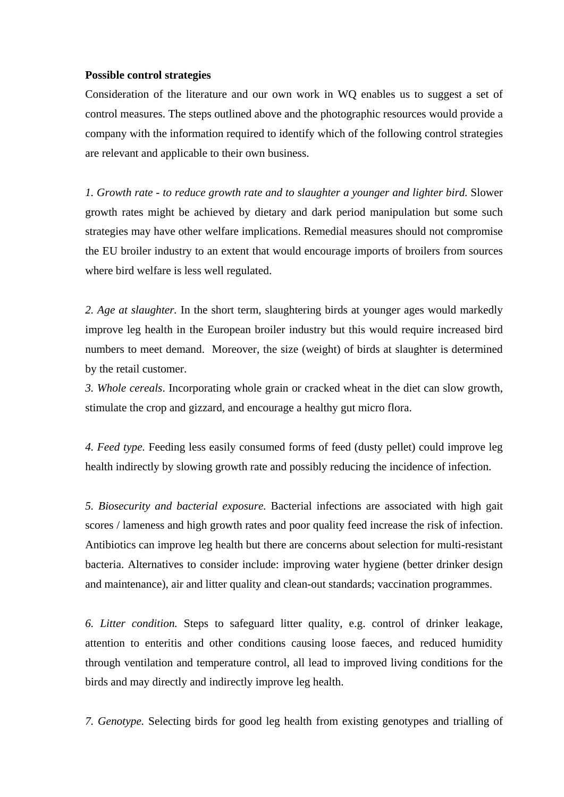### **Possible control strategies**

Consideration of the literature and our own work in WQ enables us to suggest a set of control measures. The steps outlined above and the photographic resources would provide a company with the information required to identify which of the following control strategies are relevant and applicable to their own business.

*1. Growth rate - to reduce growth rate and to slaughter a younger and lighter bird.* Slower growth rates might be achieved by dietary and dark period manipulation but some such strategies may have other welfare implications. Remedial measures should not compromise the EU broiler industry to an extent that would encourage imports of broilers from sources where bird welfare is less well regulated.

*2. Age at slaughter.* In the short term, slaughtering birds at younger ages would markedly improve leg health in the European broiler industry but this would require increased bird numbers to meet demand. Moreover, the size (weight) of birds at slaughter is determined by the retail customer.

*3. Whole cereals*. Incorporating whole grain or cracked wheat in the diet can slow growth, stimulate the crop and gizzard, and encourage a healthy gut micro flora.

*4. Feed type.* Feeding less easily consumed forms of feed (dusty pellet) could improve leg health indirectly by slowing growth rate and possibly reducing the incidence of infection.

*5. Biosecurity and bacterial exposure.* Bacterial infections are associated with high gait scores / lameness and high growth rates and poor quality feed increase the risk of infection. Antibiotics can improve leg health but there are concerns about selection for multi-resistant bacteria. Alternatives to consider include: improving water hygiene (better drinker design and maintenance), air and litter quality and clean-out standards; vaccination programmes.

*6. Litter condition.* Steps to safeguard litter quality, e.g. control of drinker leakage, attention to enteritis and other conditions causing loose faeces, and reduced humidity through ventilation and temperature control, all lead to improved living conditions for the birds and may directly and indirectly improve leg health.

*7. Genotype.* Selecting birds for good leg health from existing genotypes and trialling of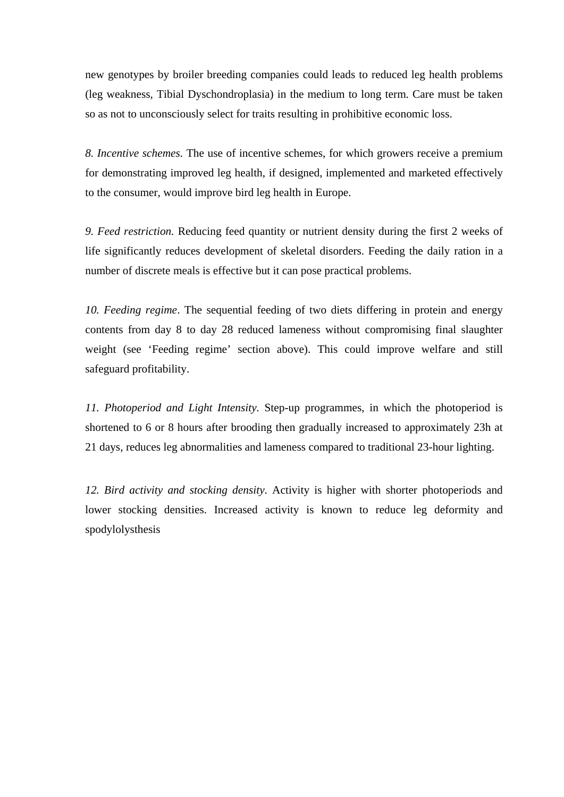new genotypes by broiler breeding companies could leads to reduced leg health problems (leg weakness, Tibial Dyschondroplasia) in the medium to long term. Care must be taken so as not to unconsciously select for traits resulting in prohibitive economic loss.

*8. Incentive schemes.* The use of incentive schemes, for which growers receive a premium for demonstrating improved leg health, if designed, implemented and marketed effectively to the consumer, would improve bird leg health in Europe.

*9. Feed restriction.* Reducing feed quantity or nutrient density during the first 2 weeks of life significantly reduces development of skeletal disorders. Feeding the daily ration in a number of discrete meals is effective but it can pose practical problems.

*10. Feeding regime*. The sequential feeding of two diets differing in protein and energy contents from day 8 to day 28 reduced lameness without compromising final slaughter weight (see 'Feeding regime' section above). This could improve welfare and still safeguard profitability.

*11. Photoperiod and Light Intensity.* Step-up programmes, in which the photoperiod is shortened to 6 or 8 hours after brooding then gradually increased to approximately 23h at 21 days, reduces leg abnormalities and lameness compared to traditional 23-hour lighting.

*12. Bird activity and stocking density*. Activity is higher with shorter photoperiods and lower stocking densities. Increased activity is known to reduce leg deformity and spodylolysthesis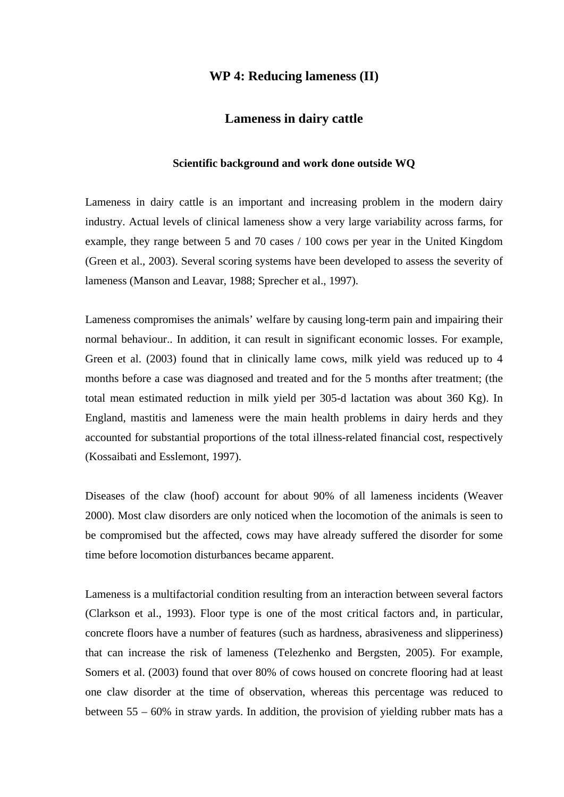# **WP 4: Reducing lameness (II)**

## **Lameness in dairy cattle**

#### **Scientific background and work done outside WQ**

Lameness in dairy cattle is an important and increasing problem in the modern dairy industry. Actual levels of clinical lameness show a very large variability across farms, for example, they range between 5 and 70 cases / 100 cows per year in the United Kingdom (Green et al., 2003). Several scoring systems have been developed to assess the severity of lameness (Manson and Leavar, 1988; Sprecher et al., 1997).

Lameness compromises the animals' welfare by causing long-term pain and impairing their normal behaviour.. In addition, it can result in significant economic losses. For example, Green et al. (2003) found that in clinically lame cows, milk yield was reduced up to 4 months before a case was diagnosed and treated and for the 5 months after treatment; (the total mean estimated reduction in milk yield per 305-d lactation was about 360 Kg). In England, mastitis and lameness were the main health problems in dairy herds and they accounted for substantial proportions of the total illness-related financial cost, respectively (Kossaibati and Esslemont, 1997).

Diseases of the claw (hoof) account for about 90% of all lameness incidents (Weaver 2000). Most claw disorders are only noticed when the locomotion of the animals is seen to be compromised but the affected, cows may have already suffered the disorder for some time before locomotion disturbances became apparent.

Lameness is a multifactorial condition resulting from an interaction between several factors (Clarkson et al., 1993). Floor type is one of the most critical factors and, in particular, concrete floors have a number of features (such as hardness, abrasiveness and slipperiness) that can increase the risk of lameness (Telezhenko and Bergsten, 2005). For example, Somers et al. (2003) found that over 80% of cows housed on concrete flooring had at least one claw disorder at the time of observation, whereas this percentage was reduced to between 55 – 60% in straw yards. In addition, the provision of yielding rubber mats has a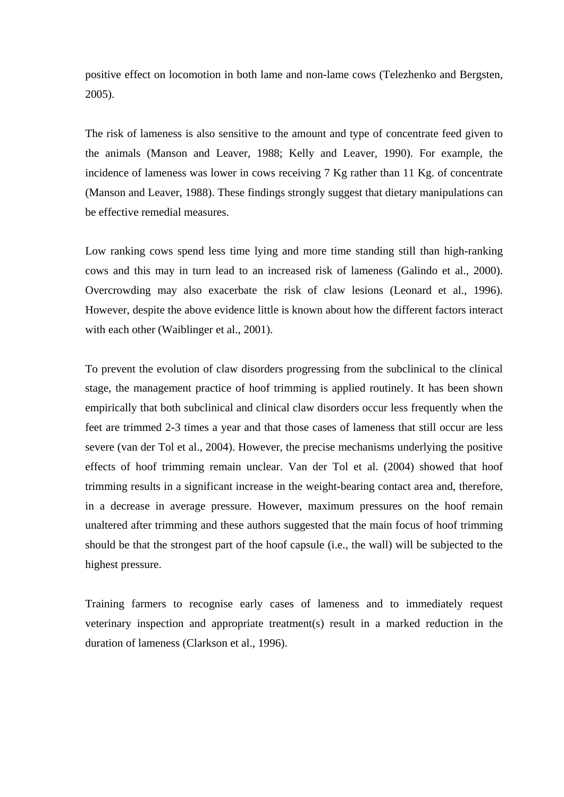positive effect on locomotion in both lame and non-lame cows (Telezhenko and Bergsten, 2005).

The risk of lameness is also sensitive to the amount and type of concentrate feed given to the animals (Manson and Leaver, 1988; Kelly and Leaver, 1990). For example, the incidence of lameness was lower in cows receiving 7 Kg rather than 11 Kg. of concentrate (Manson and Leaver, 1988). These findings strongly suggest that dietary manipulations can be effective remedial measures.

Low ranking cows spend less time lying and more time standing still than high-ranking cows and this may in turn lead to an increased risk of lameness (Galindo et al., 2000). Overcrowding may also exacerbate the risk of claw lesions (Leonard et al., 1996). However, despite the above evidence little is known about how the different factors interact with each other (Waiblinger et al., 2001).

To prevent the evolution of claw disorders progressing from the subclinical to the clinical stage, the management practice of hoof trimming is applied routinely. It has been shown empirically that both subclinical and clinical claw disorders occur less frequently when the feet are trimmed 2-3 times a year and that those cases of lameness that still occur are less severe (van der Tol et al., 2004). However, the precise mechanisms underlying the positive effects of hoof trimming remain unclear. Van der Tol et al. (2004) showed that hoof trimming results in a significant increase in the weight-bearing contact area and, therefore, in a decrease in average pressure. However, maximum pressures on the hoof remain unaltered after trimming and these authors suggested that the main focus of hoof trimming should be that the strongest part of the hoof capsule (i.e., the wall) will be subjected to the highest pressure.

Training farmers to recognise early cases of lameness and to immediately request veterinary inspection and appropriate treatment(s) result in a marked reduction in the duration of lameness (Clarkson et al., 1996).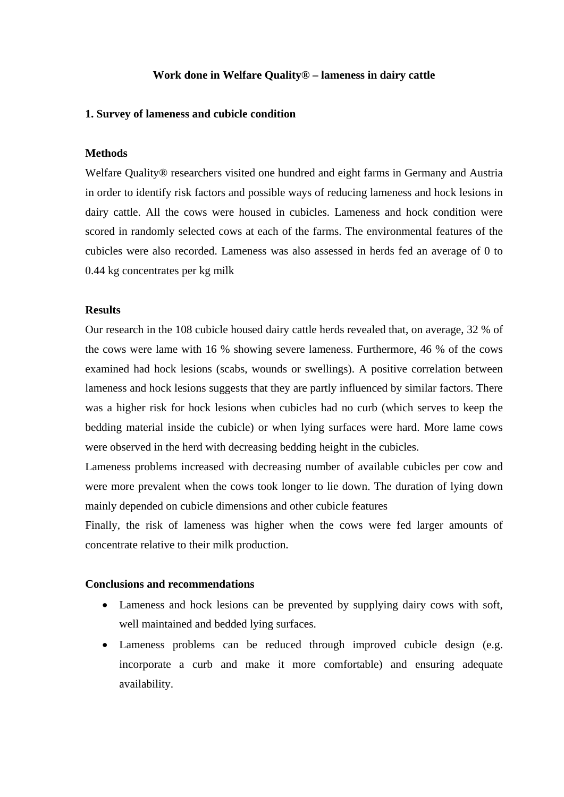### **Work done in Welfare Quality® – lameness in dairy cattle**

#### **1. Survey of lameness and cubicle condition**

## **Methods**

Welfare Quality® researchers visited one hundred and eight farms in Germany and Austria in order to identify risk factors and possible ways of reducing lameness and hock lesions in dairy cattle. All the cows were housed in cubicles. Lameness and hock condition were scored in randomly selected cows at each of the farms. The environmental features of the cubicles were also recorded. Lameness was also assessed in herds fed an average of 0 to 0.44 kg concentrates per kg milk

## **Results**

Our research in the 108 cubicle housed dairy cattle herds revealed that, on average, 32 % of the cows were lame with 16 % showing severe lameness. Furthermore, 46 % of the cows examined had hock lesions (scabs, wounds or swellings). A positive correlation between lameness and hock lesions suggests that they are partly influenced by similar factors. There was a higher risk for hock lesions when cubicles had no curb (which serves to keep the bedding material inside the cubicle) or when lying surfaces were hard. More lame cows were observed in the herd with decreasing bedding height in the cubicles.

Lameness problems increased with decreasing number of available cubicles per cow and were more prevalent when the cows took longer to lie down. The duration of lying down mainly depended on cubicle dimensions and other cubicle features

Finally, the risk of lameness was higher when the cows were fed larger amounts of concentrate relative to their milk production.

## **Conclusions and recommendations**

- Lameness and hock lesions can be prevented by supplying dairy cows with soft, well maintained and bedded lying surfaces.
- Lameness problems can be reduced through improved cubicle design (e.g. incorporate a curb and make it more comfortable) and ensuring adequate availability.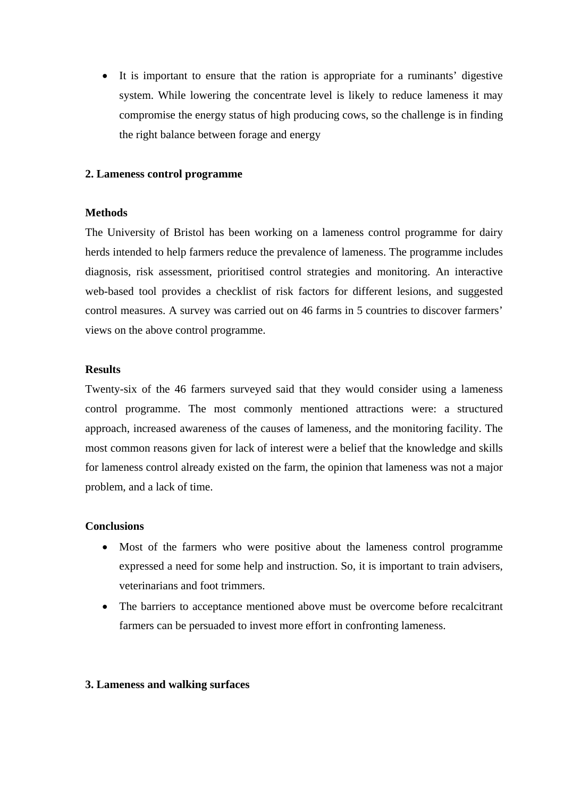It is important to ensure that the ration is appropriate for a ruminants' digestive system. While lowering the concentrate level is likely to reduce lameness it may compromise the energy status of high producing cows, so the challenge is in finding the right balance between forage and energy

## **2. Lameness control programme**

## **Methods**

The University of Bristol has been working on a lameness control programme for dairy herds intended to help farmers reduce the prevalence of lameness. The programme includes diagnosis, risk assessment, prioritised control strategies and monitoring. An interactive web-based tool provides a checklist of risk factors for different lesions, and suggested control measures. A survey was carried out on 46 farms in 5 countries to discover farmers' views on the above control programme.

## **Results**

Twenty-six of the 46 farmers surveyed said that they would consider using a lameness control programme. The most commonly mentioned attractions were: a structured approach, increased awareness of the causes of lameness, and the monitoring facility. The most common reasons given for lack of interest were a belief that the knowledge and skills for lameness control already existed on the farm, the opinion that lameness was not a major problem, and a lack of time.

### **Conclusions**

- Most of the farmers who were positive about the lameness control programme expressed a need for some help and instruction. So, it is important to train advisers, veterinarians and foot trimmers.
- The barriers to acceptance mentioned above must be overcome before recalcitrant farmers can be persuaded to invest more effort in confronting lameness.

### **3. Lameness and walking surfaces**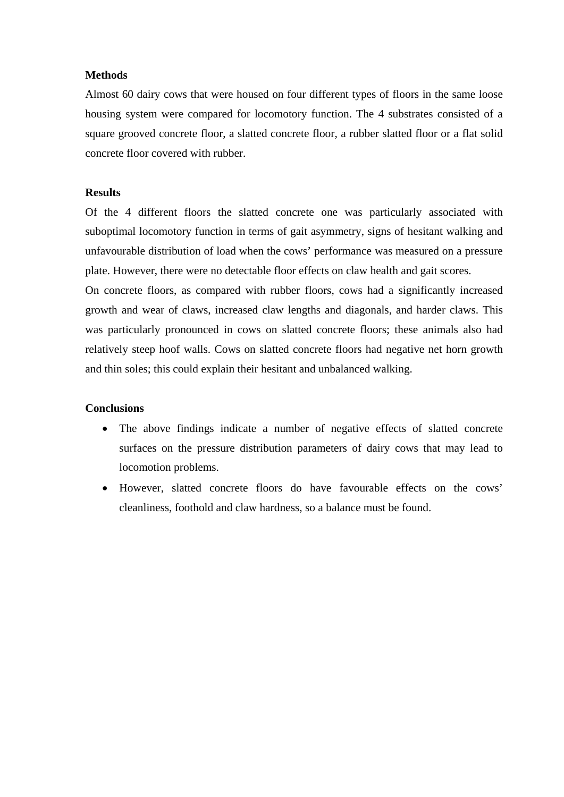## **Methods**

Almost 60 dairy cows that were housed on four different types of floors in the same loose housing system were compared for locomotory function. The 4 substrates consisted of a square grooved concrete floor, a slatted concrete floor, a rubber slatted floor or a flat solid concrete floor covered with rubber.

# **Results**

Of the 4 different floors the slatted concrete one was particularly associated with suboptimal locomotory function in terms of gait asymmetry, signs of hesitant walking and unfavourable distribution of load when the cows' performance was measured on a pressure plate. However, there were no detectable floor effects on claw health and gait scores.

On concrete floors, as compared with rubber floors, cows had a significantly increased growth and wear of claws, increased claw lengths and diagonals, and harder claws. This was particularly pronounced in cows on slatted concrete floors; these animals also had relatively steep hoof walls. Cows on slatted concrete floors had negative net horn growth and thin soles; this could explain their hesitant and unbalanced walking.

## **Conclusions**

- The above findings indicate a number of negative effects of slatted concrete surfaces on the pressure distribution parameters of dairy cows that may lead to locomotion problems.
- However, slatted concrete floors do have favourable effects on the cows' cleanliness, foothold and claw hardness, so a balance must be found.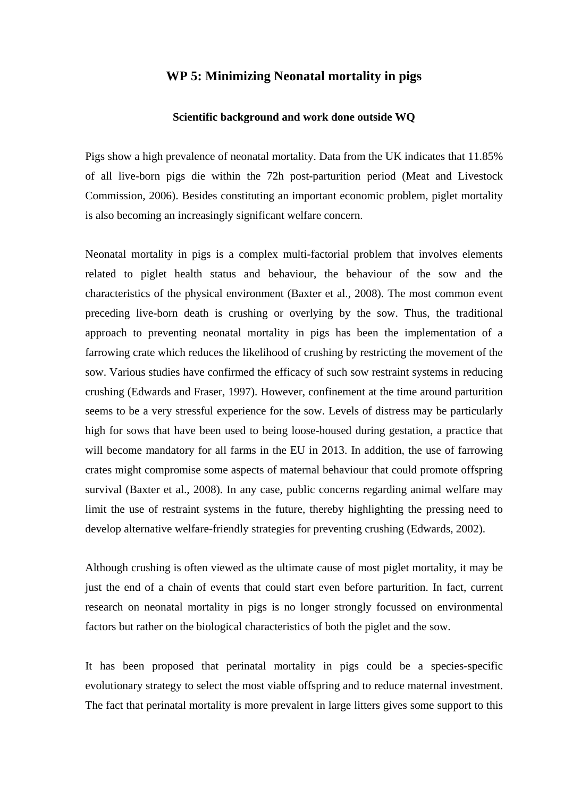# **WP 5: Minimizing Neonatal mortality in pigs**

#### **Scientific background and work done outside WQ**

Pigs show a high prevalence of neonatal mortality. Data from the UK indicates that 11.85% of all live-born pigs die within the 72h post-parturition period (Meat and Livestock Commission, 2006). Besides constituting an important economic problem, piglet mortality is also becoming an increasingly significant welfare concern.

Neonatal mortality in pigs is a complex multi-factorial problem that involves elements related to piglet health status and behaviour, the behaviour of the sow and the characteristics of the physical environment (Baxter et al., 2008). The most common event preceding live-born death is crushing or overlying by the sow. Thus, the traditional approach to preventing neonatal mortality in pigs has been the implementation of a farrowing crate which reduces the likelihood of crushing by restricting the movement of the sow. Various studies have confirmed the efficacy of such sow restraint systems in reducing crushing (Edwards and Fraser, 1997). However, confinement at the time around parturition seems to be a very stressful experience for the sow. Levels of distress may be particularly high for sows that have been used to being loose-housed during gestation, a practice that will become mandatory for all farms in the EU in 2013. In addition, the use of farrowing crates might compromise some aspects of maternal behaviour that could promote offspring survival (Baxter et al., 2008). In any case, public concerns regarding animal welfare may limit the use of restraint systems in the future, thereby highlighting the pressing need to develop alternative welfare-friendly strategies for preventing crushing (Edwards, 2002).

Although crushing is often viewed as the ultimate cause of most piglet mortality, it may be just the end of a chain of events that could start even before parturition. In fact, current research on neonatal mortality in pigs is no longer strongly focussed on environmental factors but rather on the biological characteristics of both the piglet and the sow.

It has been proposed that perinatal mortality in pigs could be a species-specific evolutionary strategy to select the most viable offspring and to reduce maternal investment. The fact that perinatal mortality is more prevalent in large litters gives some support to this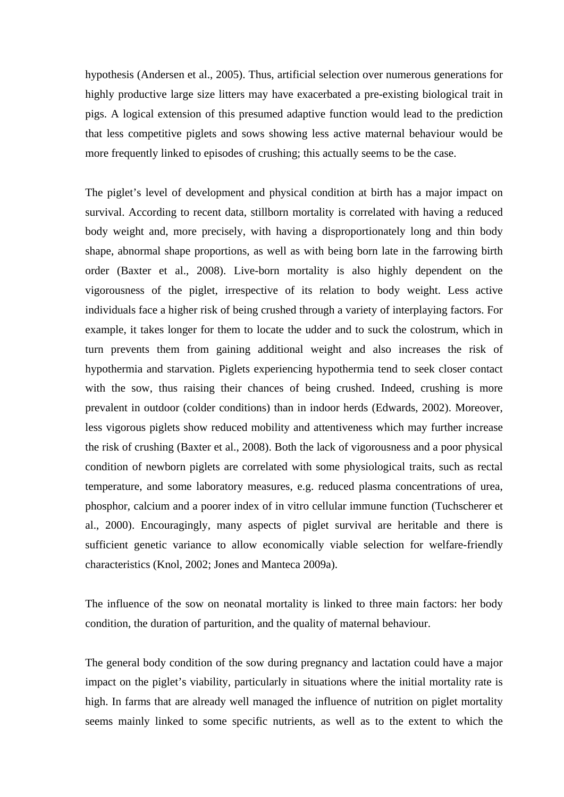hypothesis (Andersen et al., 2005). Thus, artificial selection over numerous generations for highly productive large size litters may have exacerbated a pre-existing biological trait in pigs. A logical extension of this presumed adaptive function would lead to the prediction that less competitive piglets and sows showing less active maternal behaviour would be more frequently linked to episodes of crushing; this actually seems to be the case.

The piglet's level of development and physical condition at birth has a major impact on survival. According to recent data, stillborn mortality is correlated with having a reduced body weight and, more precisely, with having a disproportionately long and thin body shape, abnormal shape proportions, as well as with being born late in the farrowing birth order (Baxter et al., 2008). Live-born mortality is also highly dependent on the vigorousness of the piglet, irrespective of its relation to body weight. Less active individuals face a higher risk of being crushed through a variety of interplaying factors. For example, it takes longer for them to locate the udder and to suck the colostrum, which in turn prevents them from gaining additional weight and also increases the risk of hypothermia and starvation. Piglets experiencing hypothermia tend to seek closer contact with the sow, thus raising their chances of being crushed. Indeed, crushing is more prevalent in outdoor (colder conditions) than in indoor herds (Edwards, 2002). Moreover, less vigorous piglets show reduced mobility and attentiveness which may further increase the risk of crushing (Baxter et al., 2008). Both the lack of vigorousness and a poor physical condition of newborn piglets are correlated with some physiological traits, such as rectal temperature, and some laboratory measures, e.g. reduced plasma concentrations of urea, phosphor, calcium and a poorer index of in vitro cellular immune function (Tuchscherer et al., 2000). Encouragingly, many aspects of piglet survival are heritable and there is sufficient genetic variance to allow economically viable selection for welfare-friendly characteristics (Knol, 2002; Jones and Manteca 2009a).

The influence of the sow on neonatal mortality is linked to three main factors: her body condition, the duration of parturition, and the quality of maternal behaviour.

The general body condition of the sow during pregnancy and lactation could have a major impact on the piglet's viability, particularly in situations where the initial mortality rate is high. In farms that are already well managed the influence of nutrition on piglet mortality seems mainly linked to some specific nutrients, as well as to the extent to which the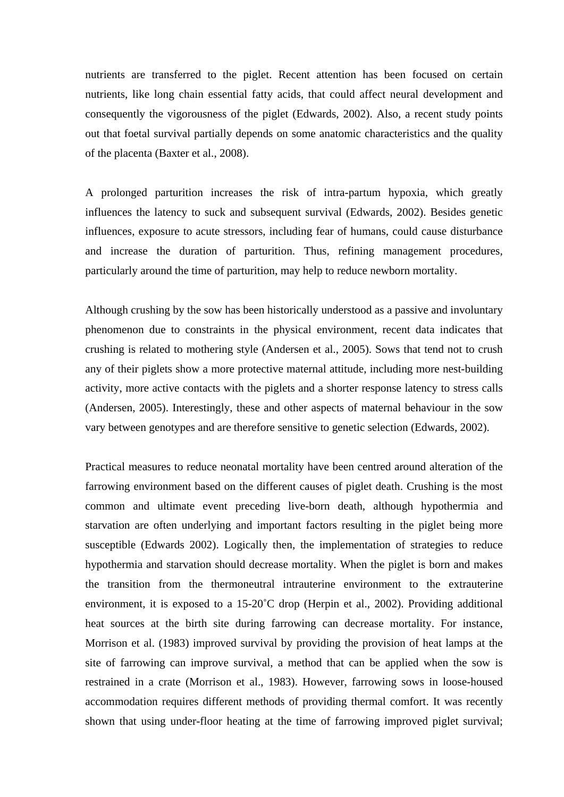nutrients are transferred to the piglet. Recent attention has been focused on certain nutrients, like long chain essential fatty acids, that could affect neural development and consequently the vigorousness of the piglet (Edwards, 2002). Also, a recent study points out that foetal survival partially depends on some anatomic characteristics and the quality of the placenta (Baxter et al., 2008).

A prolonged parturition increases the risk of intra-partum hypoxia, which greatly influences the latency to suck and subsequent survival (Edwards, 2002). Besides genetic influences, exposure to acute stressors, including fear of humans, could cause disturbance and increase the duration of parturition. Thus, refining management procedures, particularly around the time of parturition, may help to reduce newborn mortality.

Although crushing by the sow has been historically understood as a passive and involuntary phenomenon due to constraints in the physical environment, recent data indicates that crushing is related to mothering style (Andersen et al., 2005). Sows that tend not to crush any of their piglets show a more protective maternal attitude, including more nest-building activity, more active contacts with the piglets and a shorter response latency to stress calls (Andersen, 2005). Interestingly, these and other aspects of maternal behaviour in the sow vary between genotypes and are therefore sensitive to genetic selection (Edwards, 2002).

Practical measures to reduce neonatal mortality have been centred around alteration of the farrowing environment based on the different causes of piglet death. Crushing is the most common and ultimate event preceding live-born death, although hypothermia and starvation are often underlying and important factors resulting in the piglet being more susceptible (Edwards 2002). Logically then, the implementation of strategies to reduce hypothermia and starvation should decrease mortality. When the piglet is born and makes the transition from the thermoneutral intrauterine environment to the extrauterine environment, it is exposed to a 15-20˚C drop (Herpin et al., 2002). Providing additional heat sources at the birth site during farrowing can decrease mortality. For instance, Morrison et al. (1983) improved survival by providing the provision of heat lamps at the site of farrowing can improve survival, a method that can be applied when the sow is restrained in a crate (Morrison et al., 1983). However, farrowing sows in loose-housed accommodation requires different methods of providing thermal comfort. It was recently shown that using under-floor heating at the time of farrowing improved piglet survival;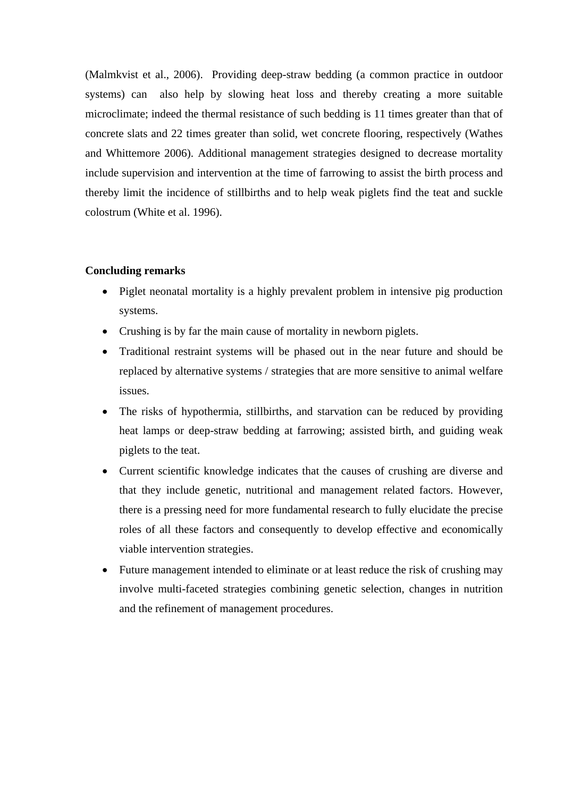(Malmkvist et al., 2006). Providing deep-straw bedding (a common practice in outdoor systems) can also help by slowing heat loss and thereby creating a more suitable microclimate; indeed the thermal resistance of such bedding is 11 times greater than that of concrete slats and 22 times greater than solid, wet concrete flooring, respectively (Wathes and Whittemore 2006). Additional management strategies designed to decrease mortality include supervision and intervention at the time of farrowing to assist the birth process and thereby limit the incidence of stillbirths and to help weak piglets find the teat and suckle colostrum (White et al. 1996).

# **Concluding remarks**

- Piglet neonatal mortality is a highly prevalent problem in intensive pig production systems.
- Crushing is by far the main cause of mortality in newborn piglets.
- Traditional restraint systems will be phased out in the near future and should be replaced by alternative systems / strategies that are more sensitive to animal welfare issues.
- The risks of hypothermia, stillbirths, and starvation can be reduced by providing heat lamps or deep-straw bedding at farrowing; assisted birth, and guiding weak piglets to the teat.
- Current scientific knowledge indicates that the causes of crushing are diverse and that they include genetic, nutritional and management related factors. However, there is a pressing need for more fundamental research to fully elucidate the precise roles of all these factors and consequently to develop effective and economically viable intervention strategies.
- Future management intended to eliminate or at least reduce the risk of crushing may involve multi-faceted strategies combining genetic selection, changes in nutrition and the refinement of management procedures.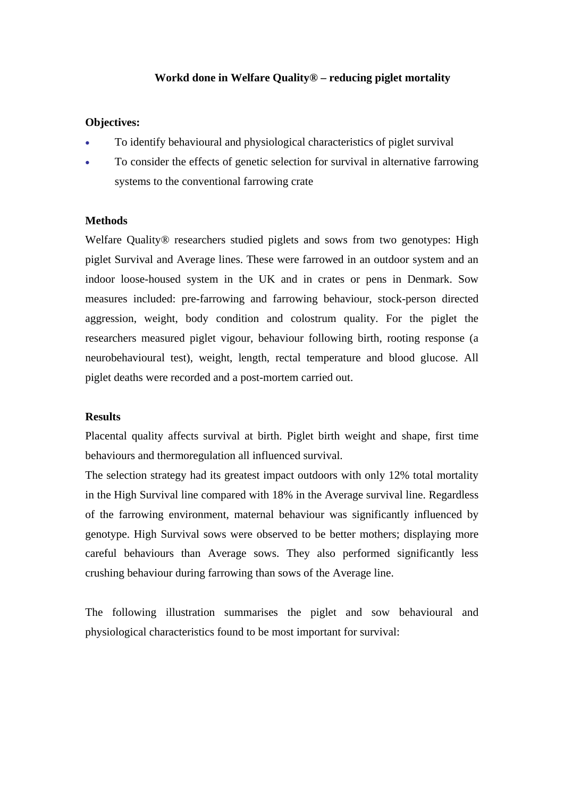## **Workd done in Welfare Quality® – reducing piglet mortality**

## **Objectives:**

- To identify behavioural and physiological characteristics of piglet survival
- To consider the effects of genetic selection for survival in alternative farrowing systems to the conventional farrowing crate

## **Methods**

Welfare Quality® researchers studied piglets and sows from two genotypes: High piglet Survival and Average lines. These were farrowed in an outdoor system and an indoor loose-housed system in the UK and in crates or pens in Denmark. Sow measures included: pre-farrowing and farrowing behaviour, stock-person directed aggression, weight, body condition and colostrum quality. For the piglet the researchers measured piglet vigour, behaviour following birth, rooting response (a neurobehavioural test), weight, length, rectal temperature and blood glucose. All piglet deaths were recorded and a post-mortem carried out.

## **Results**

Placental quality affects survival at birth. Piglet birth weight and shape, first time behaviours and thermoregulation all influenced survival.

The selection strategy had its greatest impact outdoors with only 12% total mortality in the High Survival line compared with 18% in the Average survival line. Regardless of the farrowing environment, maternal behaviour was significantly influenced by genotype. High Survival sows were observed to be better mothers; displaying more careful behaviours than Average sows. They also performed significantly less crushing behaviour during farrowing than sows of the Average line.

The following illustration summarises the piglet and sow behavioural and physiological characteristics found to be most important for survival: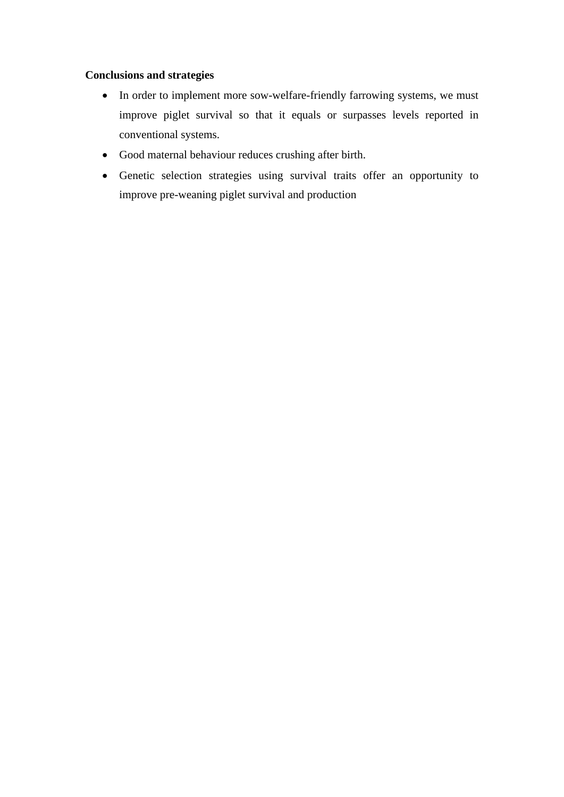## **Conclusions and strategies**

- In order to implement more sow-welfare-friendly farrowing systems, we must improve piglet survival so that it equals or surpasses levels reported in conventional systems.
- Good maternal behaviour reduces crushing after birth.
- Genetic selection strategies using survival traits offer an opportunity to improve pre-weaning piglet survival and production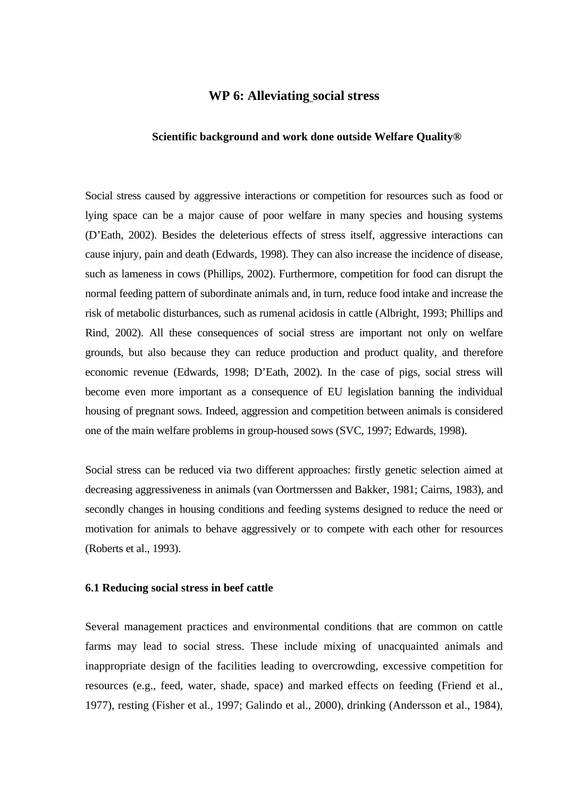## **WP 6: Alleviating social stress**

#### **Scientific background and work done outside Welfare Quality®**

Social stress caused by aggressive interactions or competition for resources such as food or lying space can be a major cause of poor welfare in many species and housing systems (D'Eath, 2002). Besides the deleterious effects of stress itself, aggressive interactions can cause injury, pain and death (Edwards, 1998). They can also increase the incidence of disease, such as lameness in cows (Phillips, 2002). Furthermore, competition for food can disrupt the normal feeding pattern of subordinate animals and, in turn, reduce food intake and increase the risk of metabolic disturbances, such as rumenal acidosis in cattle (Albright, 1993; Phillips and Rind, 2002). All these consequences of social stress are important not only on welfare grounds, but also because they can reduce production and product quality, and therefore economic revenue (Edwards, 1998; D'Eath, 2002). In the case of pigs, social stress will become even more important as a consequence of EU legislation banning the individual housing of pregnant sows. Indeed, aggression and competition between animals is considered one of the main welfare problems in group-housed sows (SVC, 1997; Edwards, 1998).

Social stress can be reduced via two different approaches: firstly genetic selection aimed at decreasing aggressiveness in animals (van Oortmerssen and Bakker, 1981; Cairns, 1983), and secondly changes in housing conditions and feeding systems designed to reduce the need or motivation for animals to behave aggressively or to compete with each other for resources (Roberts et al., 1993).

#### **6.1 Reducing social stress in beef cattle**

Several management practices and environmental conditions that are common on cattle farms may lead to social stress. These include mixing of unacquainted animals and inappropriate design of the facilities leading to overcrowding, excessive competition for resources (e.g., feed, water, shade, space) and marked effects on feeding (Friend et al., 1977), resting (Fisher et al., 1997; Galindo et al., 2000), drinking (Andersson et al., 1984),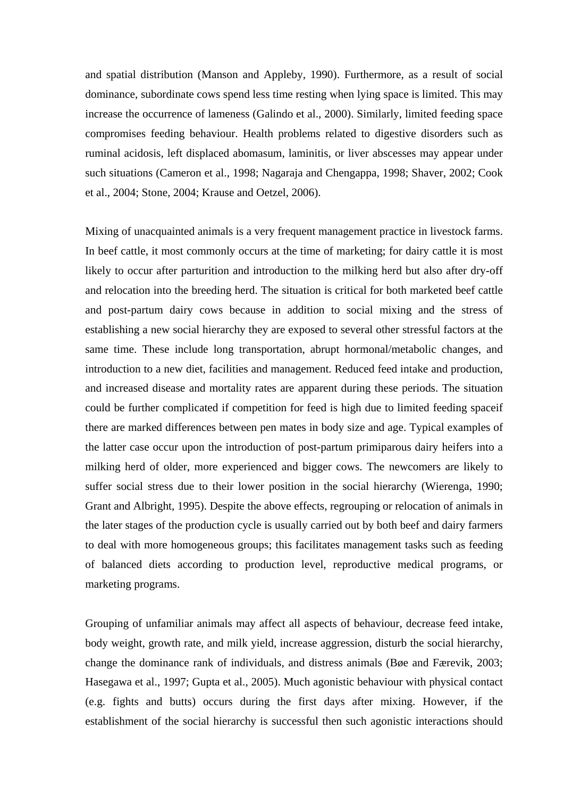and spatial distribution (Manson and Appleby, 1990). Furthermore, as a result of social dominance, subordinate cows spend less time resting when lying space is limited. This may increase the occurrence of lameness (Galindo et al., 2000). Similarly, limited feeding space compromises feeding behaviour. Health problems related to digestive disorders such as ruminal acidosis, left displaced abomasum, laminitis, or liver abscesses may appear under such situations (Cameron et al., 1998; Nagaraja and Chengappa, 1998; Shaver, 2002; Cook et al., 2004; Stone, 2004; Krause and Oetzel, 2006).

Mixing of unacquainted animals is a very frequent management practice in livestock farms. In beef cattle, it most commonly occurs at the time of marketing; for dairy cattle it is most likely to occur after parturition and introduction to the milking herd but also after dry-off and relocation into the breeding herd. The situation is critical for both marketed beef cattle and post-partum dairy cows because in addition to social mixing and the stress of establishing a new social hierarchy they are exposed to several other stressful factors at the same time. These include long transportation, abrupt hormonal/metabolic changes, and introduction to a new diet, facilities and management. Reduced feed intake and production, and increased disease and mortality rates are apparent during these periods. The situation could be further complicated if competition for feed is high due to limited feeding spaceif there are marked differences between pen mates in body size and age. Typical examples of the latter case occur upon the introduction of post-partum primiparous dairy heifers into a milking herd of older, more experienced and bigger cows. The newcomers are likely to suffer social stress due to their lower position in the social hierarchy (Wierenga, 1990; Grant and Albright, 1995). Despite the above effects, regrouping or relocation of animals in the later stages of the production cycle is usually carried out by both beef and dairy farmers to deal with more homogeneous groups; this facilitates management tasks such as feeding of balanced diets according to production level, reproductive medical programs, or marketing programs.

Grouping of unfamiliar animals may affect all aspects of behaviour, decrease feed intake, body weight, growth rate, and milk yield, increase aggression, disturb the social hierarchy, change the dominance rank of individuals, and distress animals (Bøe and Færevik, 2003; Hasegawa et al., 1997; Gupta et al., 2005). Much agonistic behaviour with physical contact (e.g. fights and butts) occurs during the first days after mixing. However, if the establishment of the social hierarchy is successful then such agonistic interactions should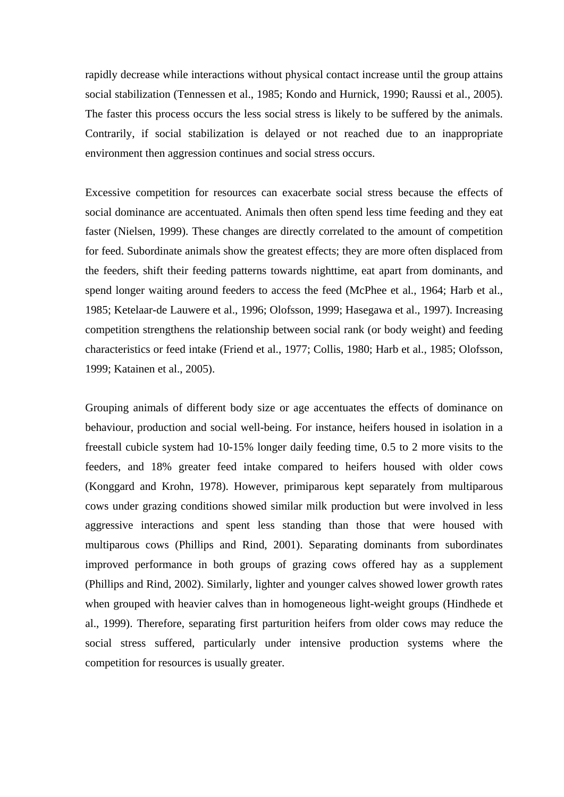rapidly decrease while interactions without physical contact increase until the group attains social stabilization (Tennessen et al., 1985; Kondo and Hurnick, 1990; Raussi et al., 2005). The faster this process occurs the less social stress is likely to be suffered by the animals. Contrarily, if social stabilization is delayed or not reached due to an inappropriate environment then aggression continues and social stress occurs.

Excessive competition for resources can exacerbate social stress because the effects of social dominance are accentuated. Animals then often spend less time feeding and they eat faster (Nielsen, 1999). These changes are directly correlated to the amount of competition for feed. Subordinate animals show the greatest effects; they are more often displaced from the feeders, shift their feeding patterns towards nighttime, eat apart from dominants, and spend longer waiting around feeders to access the feed (McPhee et al., 1964; Harb et al., 1985; Ketelaar-de Lauwere et al., 1996; Olofsson, 1999; Hasegawa et al., 1997). Increasing competition strengthens the relationship between social rank (or body weight) and feeding characteristics or feed intake (Friend et al., 1977; Collis, 1980; Harb et al., 1985; Olofsson, 1999; Katainen et al., 2005).

Grouping animals of different body size or age accentuates the effects of dominance on behaviour, production and social well-being. For instance, heifers housed in isolation in a freestall cubicle system had 10-15% longer daily feeding time, 0.5 to 2 more visits to the feeders, and 18% greater feed intake compared to heifers housed with older cows (Konggard and Krohn, 1978). However, primiparous kept separately from multiparous cows under grazing conditions showed similar milk production but were involved in less aggressive interactions and spent less standing than those that were housed with multiparous cows (Phillips and Rind, 2001). Separating dominants from subordinates improved performance in both groups of grazing cows offered hay as a supplement (Phillips and Rind, 2002). Similarly, lighter and younger calves showed lower growth rates when grouped with heavier calves than in homogeneous light-weight groups (Hindhede et al., 1999). Therefore, separating first parturition heifers from older cows may reduce the social stress suffered, particularly under intensive production systems where the competition for resources is usually greater.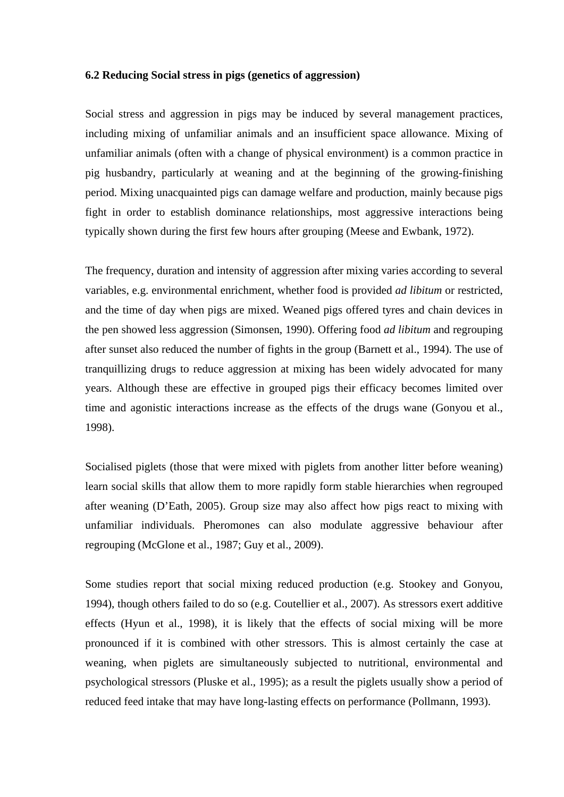### **6.2 Reducing Social stress in pigs (genetics of aggression)**

Social stress and aggression in pigs may be induced by several management practices, including mixing of unfamiliar animals and an insufficient space allowance. Mixing of unfamiliar animals (often with a change of physical environment) is a common practice in pig husbandry, particularly at weaning and at the beginning of the growing-finishing period. Mixing unacquainted pigs can damage welfare and production, mainly because pigs fight in order to establish dominance relationships, most aggressive interactions being typically shown during the first few hours after grouping (Meese and Ewbank, 1972).

The frequency, duration and intensity of aggression after mixing varies according to several variables, e.g. environmental enrichment, whether food is provided *ad libitum* or restricted, and the time of day when pigs are mixed. Weaned pigs offered tyres and chain devices in the pen showed less aggression (Simonsen, 1990). Offering food *ad libitum* and regrouping after sunset also reduced the number of fights in the group (Barnett et al., 1994). The use of tranquillizing drugs to reduce aggression at mixing has been widely advocated for many years. Although these are effective in grouped pigs their efficacy becomes limited over time and agonistic interactions increase as the effects of the drugs wane (Gonyou et al., 1998).

Socialised piglets (those that were mixed with piglets from another litter before weaning) learn social skills that allow them to more rapidly form stable hierarchies when regrouped after weaning (D'Eath, 2005). Group size may also affect how pigs react to mixing with unfamiliar individuals. Pheromones can also modulate aggressive behaviour after regrouping (McGlone et al., 1987; Guy et al., 2009).

Some studies report that social mixing reduced production (e.g. Stookey and Gonyou, 1994), though others failed to do so (e.g. Coutellier et al., 2007). As stressors exert additive effects (Hyun et al., 1998), it is likely that the effects of social mixing will be more pronounced if it is combined with other stressors. This is almost certainly the case at weaning, when piglets are simultaneously subjected to nutritional, environmental and psychological stressors (Pluske et al., 1995); as a result the piglets usually show a period of reduced feed intake that may have long-lasting effects on performance (Pollmann, 1993).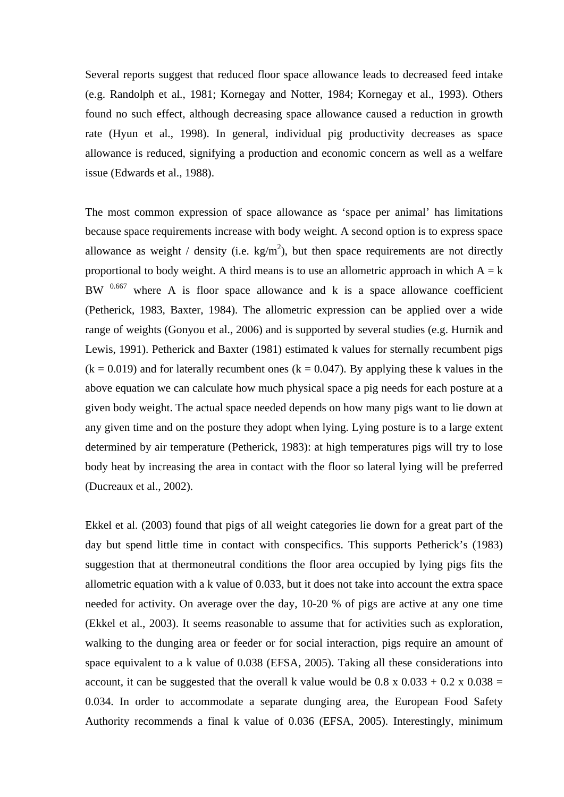Several reports suggest that reduced floor space allowance leads to decreased feed intake (e.g. Randolph et al., 1981; Kornegay and Notter, 1984; Kornegay et al., 1993). Others found no such effect, although decreasing space allowance caused a reduction in growth rate (Hyun et al., 1998). In general, individual pig productivity decreases as space allowance is reduced, signifying a production and economic concern as well as a welfare issue (Edwards et al., 1988).

The most common expression of space allowance as 'space per animal' has limitations because space requirements increase with body weight. A second option is to express space allowance as weight / density (i.e.  $\text{kg/m}^2$ ), but then space requirements are not directly proportional to body weight. A third means is to use an allometric approach in which  $A = k$ BW  $0.667$  where A is floor space allowance and k is a space allowance coefficient (Petherick, 1983, Baxter, 1984). The allometric expression can be applied over a wide range of weights (Gonyou et al., 2006) and is supported by several studies (e.g. Hurnik and Lewis, 1991). Petherick and Baxter (1981) estimated k values for sternally recumbent pigs  $(k = 0.019)$  and for laterally recumbent ones  $(k = 0.047)$ . By applying these k values in the above equation we can calculate how much physical space a pig needs for each posture at a given body weight. The actual space needed depends on how many pigs want to lie down at any given time and on the posture they adopt when lying. Lying posture is to a large extent determined by air temperature (Petherick, 1983): at high temperatures pigs will try to lose body heat by increasing the area in contact with the floor so lateral lying will be preferred (Ducreaux et al., 2002).

Ekkel et al. (2003) found that pigs of all weight categories lie down for a great part of the day but spend little time in contact with conspecifics. This supports Petherick's (1983) suggestion that at thermoneutral conditions the floor area occupied by lying pigs fits the allometric equation with a k value of 0.033, but it does not take into account the extra space needed for activity. On average over the day, 10-20 % of pigs are active at any one time (Ekkel et al., 2003). It seems reasonable to assume that for activities such as exploration, walking to the dunging area or feeder or for social interaction, pigs require an amount of space equivalent to a k value of 0.038 (EFSA, 2005). Taking all these considerations into account, it can be suggested that the overall k value would be  $0.8 \times 0.033 + 0.2 \times 0.038 =$ 0.034. In order to accommodate a separate dunging area, the European Food Safety Authority recommends a final k value of 0.036 (EFSA, 2005). Interestingly, minimum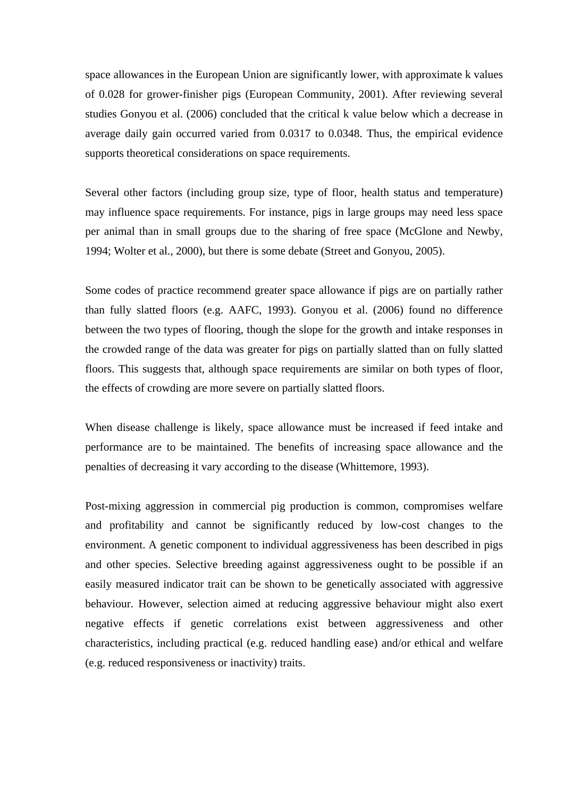space allowances in the European Union are significantly lower, with approximate k values of 0.028 for grower-finisher pigs (European Community, 2001). After reviewing several studies Gonyou et al. (2006) concluded that the critical k value below which a decrease in average daily gain occurred varied from 0.0317 to 0.0348. Thus, the empirical evidence supports theoretical considerations on space requirements.

Several other factors (including group size, type of floor, health status and temperature) may influence space requirements. For instance, pigs in large groups may need less space per animal than in small groups due to the sharing of free space (McGlone and Newby, 1994; Wolter et al., 2000), but there is some debate (Street and Gonyou, 2005).

Some codes of practice recommend greater space allowance if pigs are on partially rather than fully slatted floors (e.g. AAFC, 1993). Gonyou et al. (2006) found no difference between the two types of flooring, though the slope for the growth and intake responses in the crowded range of the data was greater for pigs on partially slatted than on fully slatted floors. This suggests that, although space requirements are similar on both types of floor, the effects of crowding are more severe on partially slatted floors.

When disease challenge is likely, space allowance must be increased if feed intake and performance are to be maintained. The benefits of increasing space allowance and the penalties of decreasing it vary according to the disease (Whittemore, 1993).

Post-mixing aggression in commercial pig production is common, compromises welfare and profitability and cannot be significantly reduced by low-cost changes to the environment. A genetic component to individual aggressiveness has been described in pigs and other species. Selective breeding against aggressiveness ought to be possible if an easily measured indicator trait can be shown to be genetically associated with aggressive behaviour. However, selection aimed at reducing aggressive behaviour might also exert negative effects if genetic correlations exist between aggressiveness and other characteristics, including practical (e.g. reduced handling ease) and/or ethical and welfare (e.g. reduced responsiveness or inactivity) traits.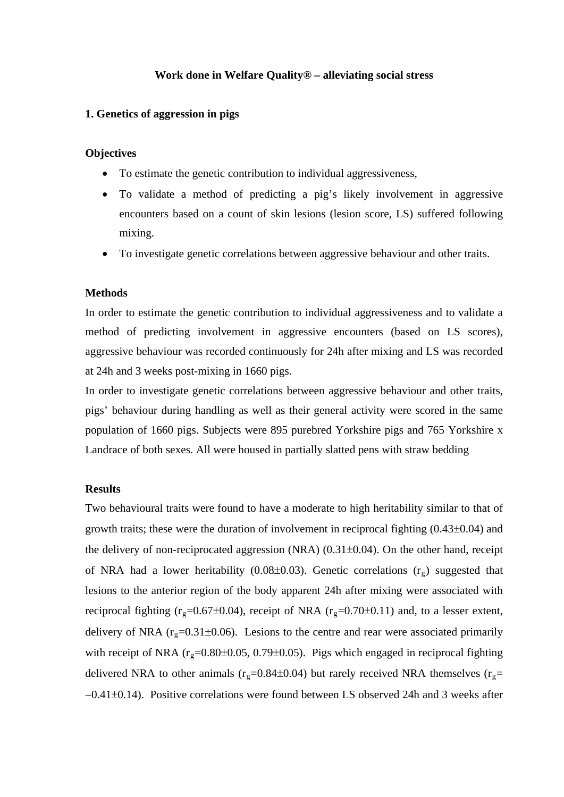## **Work done in Welfare Quality® – alleviating social stress**

### **1. Genetics of aggression in pigs**

## **Objectives**

- To estimate the genetic contribution to individual aggressiveness,
- To validate a method of predicting a pig's likely involvement in aggressive encounters based on a count of skin lesions (lesion score, LS) suffered following mixing.
- To investigate genetic correlations between aggressive behaviour and other traits.

### **Methods**

In order to estimate the genetic contribution to individual aggressiveness and to validate a method of predicting involvement in aggressive encounters (based on LS scores), aggressive behaviour was recorded continuously for 24h after mixing and LS was recorded at 24h and 3 weeks post-mixing in 1660 pigs.

In order to investigate genetic correlations between aggressive behaviour and other traits, pigs' behaviour during handling as well as their general activity were scored in the same population of 1660 pigs. Subjects were 895 purebred Yorkshire pigs and 765 Yorkshire x Landrace of both sexes. All were housed in partially slatted pens with straw bedding

### **Results**

Two behavioural traits were found to have a moderate to high heritability similar to that of growth traits; these were the duration of involvement in reciprocal fighting  $(0.43\pm0.04)$  and the delivery of non-reciprocated aggression (NRA)  $(0.31\pm0.04)$ . On the other hand, receipt of NRA had a lower heritability (0.08 $\pm$ 0.03). Genetic correlations ( $r_g$ ) suggested that lesions to the anterior region of the body apparent 24h after mixing were associated with reciprocal fighting ( $r_g$ =0.67±0.04), receipt of NRA ( $r_g$ =0.70±0.11) and, to a lesser extent, delivery of NRA ( $r_g$ =0.31 $\pm$ 0.06). Lesions to the centre and rear were associated primarily with receipt of NRA ( $r_g$ =0.80±0.05, 0.79±0.05). Pigs which engaged in reciprocal fighting delivered NRA to other animals ( $r_g$ =0.84±0.04) but rarely received NRA themselves ( $r_g$ =  $-0.41\pm0.14$ ). Positive correlations were found between LS observed 24h and 3 weeks after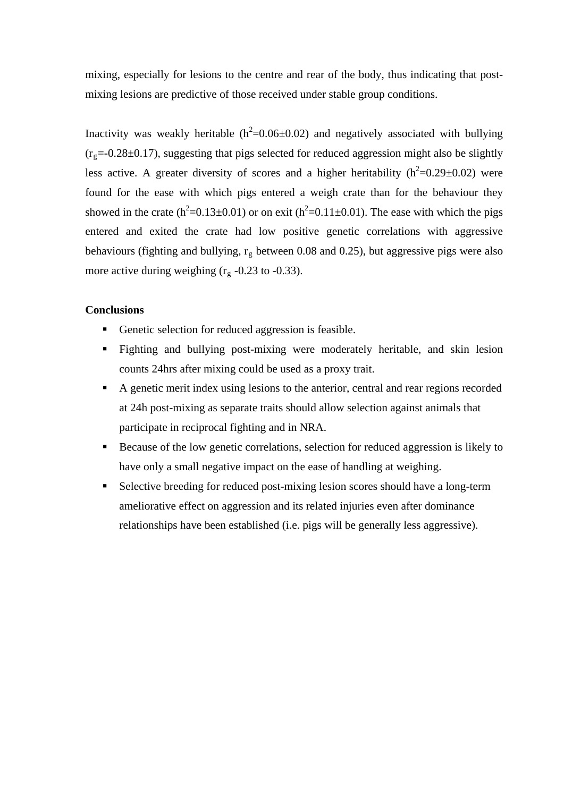mixing, especially for lesions to the centre and rear of the body, thus indicating that postmixing lesions are predictive of those received under stable group conditions.

Inactivity was weakly heritable  $(h^2=0.06\pm0.02)$  and negatively associated with bullying  $(r<sub>g</sub>=-0.28±0.17)$ , suggesting that pigs selected for reduced aggression might also be slightly less active. A greater diversity of scores and a higher heritability ( $h^2$ =0.29 $\pm$ 0.02) were found for the ease with which pigs entered a weigh crate than for the behaviour they showed in the crate  $(h^2=0.13\pm0.01)$  or on exit  $(h^2=0.11\pm0.01)$ . The ease with which the pigs entered and exited the crate had low positive genetic correlations with aggressive behaviours (fighting and bullying,  $r_g$  between 0.08 and 0.25), but aggressive pigs were also more active during weighing  $(r<sub>g</sub> -0.23$  to -0.33).

## **Conclusions**

- Genetic selection for reduced aggression is feasible.
- Fighting and bullying post-mixing were moderately heritable, and skin lesion counts 24hrs after mixing could be used as a proxy trait.
- A genetic merit index using lesions to the anterior, central and rear regions recorded at 24h post-mixing as separate traits should allow selection against animals that participate in reciprocal fighting and in NRA.
- Because of the low genetic correlations, selection for reduced aggression is likely to have only a small negative impact on the ease of handling at weighing.
- Selective breeding for reduced post-mixing lesion scores should have a long-term ameliorative effect on aggression and its related injuries even after dominance relationships have been established (i.e. pigs will be generally less aggressive).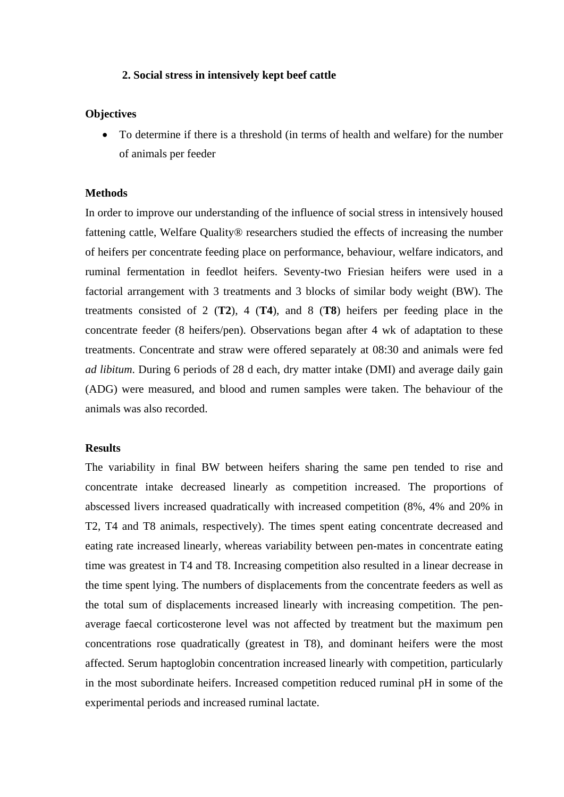### **2. Social stress in intensively kept beef cattle**

### **Objectives**

 To determine if there is a threshold (in terms of health and welfare) for the number of animals per feeder

### **Methods**

In order to improve our understanding of the influence of social stress in intensively housed fattening cattle, Welfare Quality® researchers studied the effects of increasing the number of heifers per concentrate feeding place on performance, behaviour, welfare indicators, and ruminal fermentation in feedlot heifers. Seventy-two Friesian heifers were used in a factorial arrangement with 3 treatments and 3 blocks of similar body weight (BW). The treatments consisted of 2 (**T2**), 4 (**T4**), and 8 (**T8**) heifers per feeding place in the concentrate feeder (8 heifers/pen). Observations began after 4 wk of adaptation to these treatments. Concentrate and straw were offered separately at 08:30 and animals were fed *ad libitum*. During 6 periods of 28 d each, dry matter intake (DMI) and average daily gain (ADG) were measured, and blood and rumen samples were taken. The behaviour of the animals was also recorded.

### **Results**

The variability in final BW between heifers sharing the same pen tended to rise and concentrate intake decreased linearly as competition increased. The proportions of abscessed livers increased quadratically with increased competition (8%, 4% and 20% in T2, T4 and T8 animals, respectively). The times spent eating concentrate decreased and eating rate increased linearly, whereas variability between pen-mates in concentrate eating time was greatest in T4 and T8. Increasing competition also resulted in a linear decrease in the time spent lying. The numbers of displacements from the concentrate feeders as well as the total sum of displacements increased linearly with increasing competition. The penaverage faecal corticosterone level was not affected by treatment but the maximum pen concentrations rose quadratically (greatest in T8), and dominant heifers were the most affected. Serum haptoglobin concentration increased linearly with competition, particularly in the most subordinate heifers. Increased competition reduced ruminal pH in some of the experimental periods and increased ruminal lactate.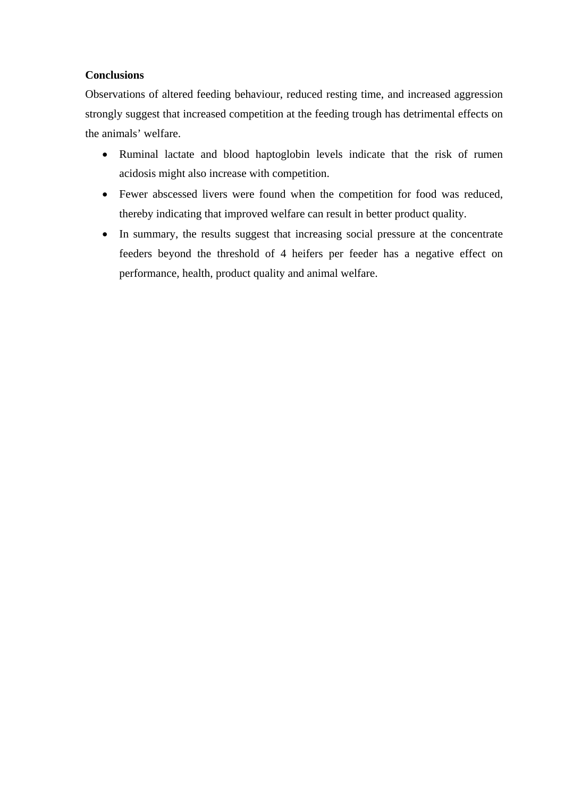# **Conclusions**

Observations of altered feeding behaviour, reduced resting time, and increased aggression strongly suggest that increased competition at the feeding trough has detrimental effects on the animals' welfare.

- Ruminal lactate and blood haptoglobin levels indicate that the risk of rumen acidosis might also increase with competition.
- Fewer abscessed livers were found when the competition for food was reduced, thereby indicating that improved welfare can result in better product quality.
- In summary, the results suggest that increasing social pressure at the concentrate feeders beyond the threshold of 4 heifers per feeder has a negative effect on performance, health, product quality and animal welfare.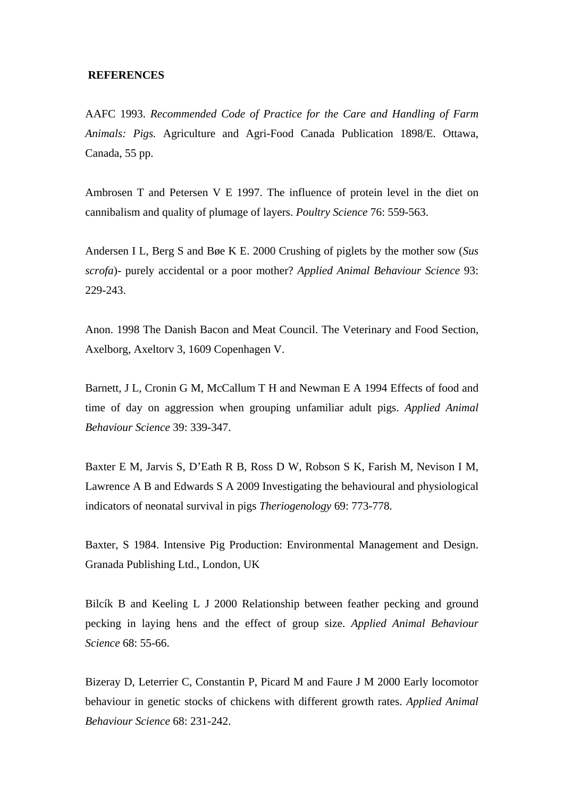### **REFERENCES**

AAFC 1993. *Recommended Code of Practice for the Care and Handling of Farm Animals: Pigs.* Agriculture and Agri-Food Canada Publication 1898/E. Ottawa, Canada, 55 pp.

Ambrosen T and Petersen V E 1997. The influence of protein level in the diet on cannibalism and quality of plumage of layers. *Poultry Science* 76: 559-563.

Andersen I L, Berg S and Bøe K E. 2000 Crushing of piglets by the mother sow (*Sus scrofa*)- purely accidental or a poor mother? *Applied Animal Behaviour Science* 93: 229-243.

Anon. 1998 The Danish Bacon and Meat Council. The Veterinary and Food Section, Axelborg, Axeltorv 3, 1609 Copenhagen V.

Barnett, J L, Cronin G M, McCallum T H and Newman E A 1994 Effects of food and time of day on aggression when grouping unfamiliar adult pigs. *Applied Animal Behaviour Science* 39: 339-347.

Baxter E M, Jarvis S, D'Eath R B, Ross D W, Robson S K, Farish M, Nevison I M, Lawrence A B and Edwards S A 2009 Investigating the behavioural and physiological indicators of neonatal survival in pigs *Theriogenology* 69: 773-778.

Baxter, S 1984. Intensive Pig Production: Environmental Management and Design. Granada Publishing Ltd., London, UK

Bilcík B and Keeling L J 2000 Relationship between feather pecking and ground pecking in laying hens and the effect of group size. *Applied Animal Behaviour Science* 68: 55-66.

Bizeray D, Leterrier C, Constantin P, Picard M and Faure J M 2000 Early locomotor behaviour in genetic stocks of chickens with different growth rates. *Applied Animal Behaviour Science* 68: 231-242.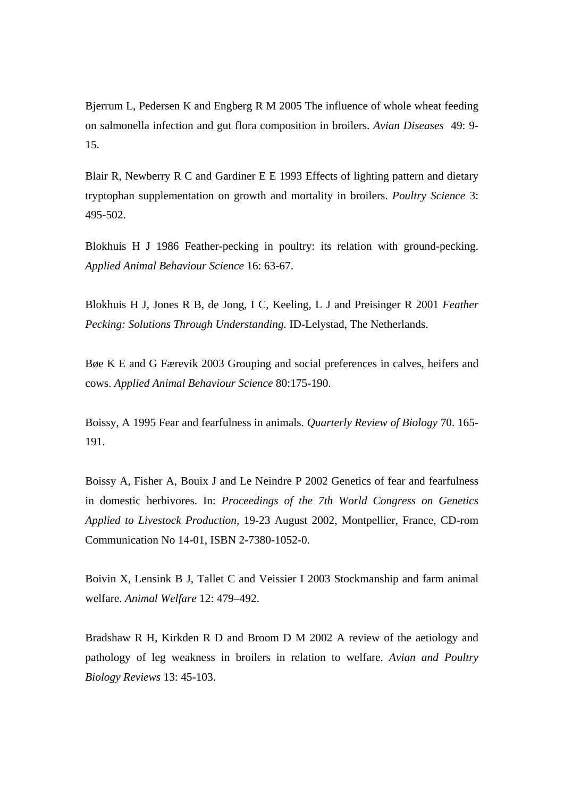Bjerrum L, Pedersen K and Engberg R M 2005 The influence of whole wheat feeding on salmonella infection and gut flora composition in broilers. *Avian Diseases* 49: 9- 15.

Blair R, Newberry R C and Gardiner E E 1993 Effects of lighting pattern and dietary tryptophan supplementation on growth and mortality in broilers. *Poultry Science* 3: 495-502.

Blokhuis H J 1986 Feather-pecking in poultry: its relation with ground-pecking. *Applied Animal Behaviour Science* 16: 63-67.

Blokhuis H J, Jones R B, de Jong, I C, Keeling, L J and Preisinger R 2001 *Feather Pecking: Solutions Through Understanding.* ID-Lelystad, The Netherlands.

Bøe K E and G Færevik 2003 Grouping and social preferences in calves, heifers and cows. *Applied Animal Behaviour Science* 80:175-190.

Boissy, A 1995 Fear and fearfulness in animals. *Quarterly Review of Biology* 70. 165- 191.

Boissy A, Fisher A, Bouix J and Le Neindre P 2002 Genetics of fear and fearfulness in domestic herbivores. In: *Proceedings of the 7th World Congress on Genetics Applied to Livestock Production*, 19-23 August 2002, Montpellier, France, CD-rom Communication No 14-01, ISBN 2-7380-1052-0.

Boivin X, Lensink B J, Tallet C and Veissier I 2003 Stockmanship and farm animal welfare. *Animal Welfare* 12: 479–492.

Bradshaw R H, Kirkden R D and Broom D M 2002 A review of the aetiology and pathology of leg weakness in broilers in relation to welfare. *Avian and Poultry Biology Reviews* 13: 45-103.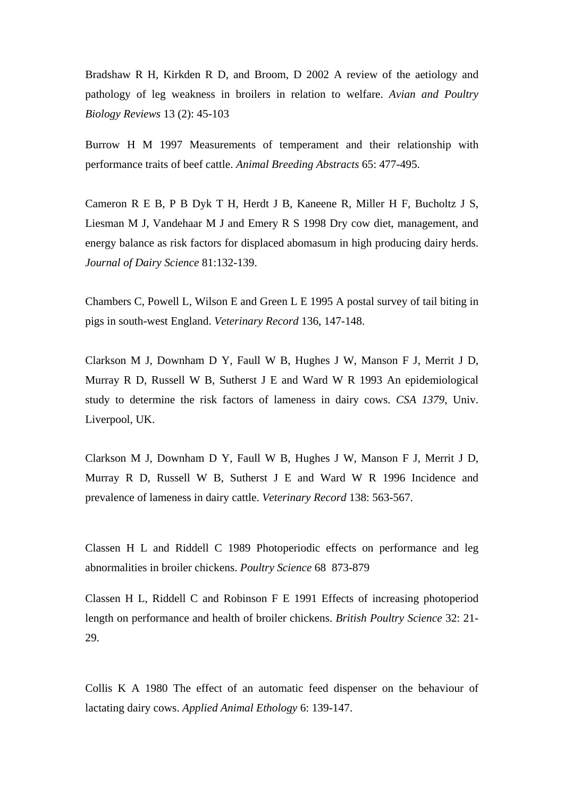Bradshaw R H, Kirkden R D, and Broom, D 2002 A review of the aetiology and pathology of leg weakness in broilers in relation to welfare. *Avian and Poultry Biology Reviews* 13 (2): 45-103

Burrow H M 1997 Measurements of temperament and their relationship with performance traits of beef cattle. *Animal Breeding Abstracts* 65: 477-495.

Cameron R E B, P B Dyk T H, Herdt J B, Kaneene R, Miller H F, Bucholtz J S, Liesman M J, Vandehaar M J and Emery R S 1998 Dry cow diet, management, and energy balance as risk factors for displaced abomasum in high producing dairy herds. *Journal of Dairy Science* 81:132-139.

Chambers C, Powell L, Wilson E and Green L E 1995 A postal survey of tail biting in pigs in south-west England. *Veterinary Record* 136, 147-148.

Clarkson M J, Downham D Y, Faull W B, Hughes J W, Manson F J, Merrit J D, Murray R D, Russell W B, Sutherst J E and Ward W R 1993 An epidemiological study to determine the risk factors of lameness in dairy cows. *CSA 1379*, Univ. Liverpool, UK.

Clarkson M J, Downham D Y, Faull W B, Hughes J W, Manson F J, Merrit J D, Murray R D, Russell W B, Sutherst J E and Ward W R 1996 Incidence and prevalence of lameness in dairy cattle. *Veterinary Record* 138: 563-567.

Classen H L and Riddell C 1989 Photoperiodic effects on performance and leg abnormalities in broiler chickens. *Poultry Science* 68 873-879

Classen H L, Riddell C and Robinson F E 1991 Effects of increasing photoperiod length on performance and health of broiler chickens. *British Poultry Science* 32: 21- 29.

Collis K A 1980 The effect of an automatic feed dispenser on the behaviour of lactating dairy cows. *Applied Animal Ethology* 6: 139-147.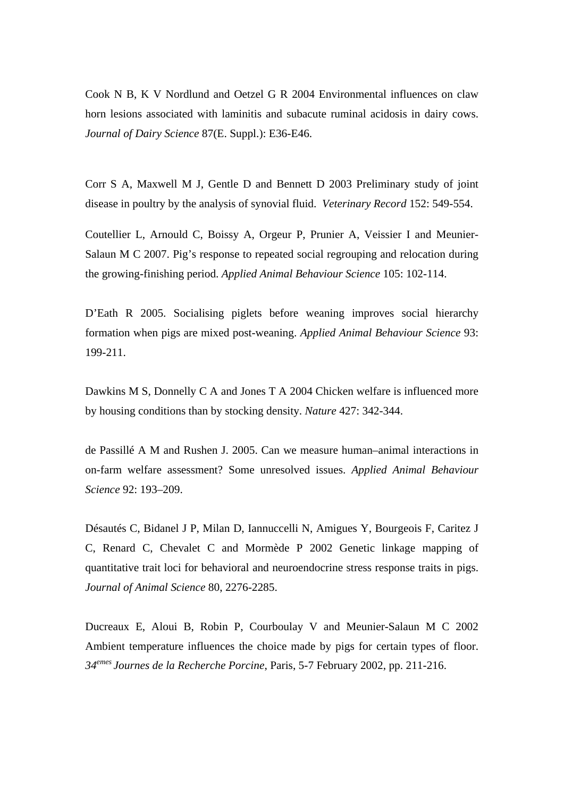Cook N B, K V Nordlund and Oetzel G R 2004 Environmental influences on claw horn lesions associated with laminitis and subacute ruminal acidosis in dairy cows. *Journal of Dairy Science* 87(E. Suppl.): E36-E46.

Corr S A, Maxwell M J, Gentle D and Bennett D 2003 Preliminary study of joint disease in poultry by the analysis of synovial fluid. *Veterinary Record* 152: 549-554.

Coutellier L, Arnould C, Boissy A, Orgeur P, Prunier A, Veissier I and Meunier-Salaun M C 2007. Pig's response to repeated social regrouping and relocation during the growing-finishing period. *Applied Animal Behaviour Science* 105: 102-114.

D'Eath R 2005. Socialising piglets before weaning improves social hierarchy formation when pigs are mixed post-weaning. *Applied Animal Behaviour Science* 93: 199-211.

Dawkins M S, Donnelly C A and Jones T A 2004 Chicken welfare is influenced more by housing conditions than by stocking density. *Nature* 427: 342-344.

de Passillé A M and Rushen J. 2005. Can we measure human–animal interactions in on-farm welfare assessment? Some unresolved issues. *Applied Animal Behaviour Science* 92: 193–209.

Désautés C, Bidanel J P, Milan D, Iannuccelli N, Amigues Y, Bourgeois F, Caritez J C, Renard C, Chevalet C and Mormède P 2002 Genetic linkage mapping of quantitative trait loci for behavioral and neuroendocrine stress response traits in pigs. *Journal of Animal Science* 80, 2276-2285.

Ducreaux E, Aloui B, Robin P, Courboulay V and Meunier-Salaun M C 2002 Ambient temperature influences the choice made by pigs for certain types of floor. *34emes Journes de la Recherche Porcine*, Paris, 5-7 February 2002, pp. 211-216.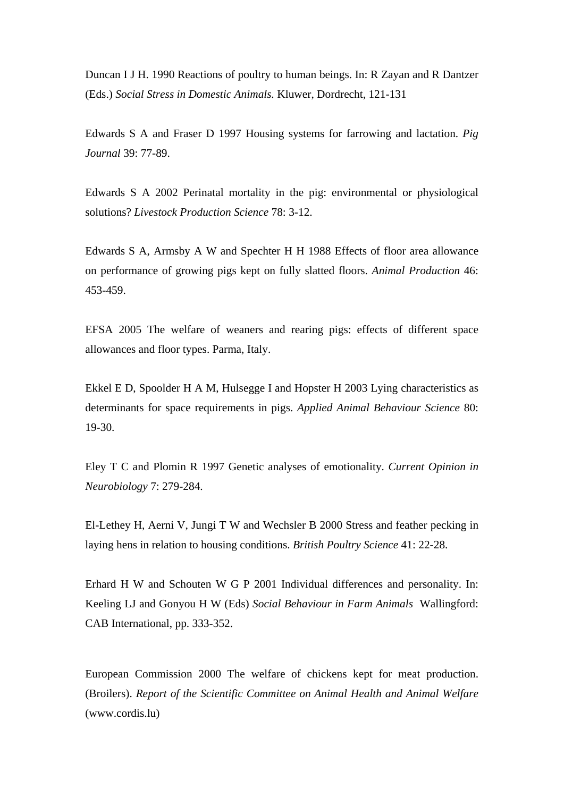Duncan I J H. 1990 Reactions of poultry to human beings. In: R Zayan and R Dantzer (Eds.) *Social Stress in Domestic Animals.* Kluwer, Dordrecht, 121-131

Edwards S A and Fraser D 1997 Housing systems for farrowing and lactation. *Pig Journal* 39: 77-89.

Edwards S A 2002 Perinatal mortality in the pig: environmental or physiological solutions? *Livestock Production Science* 78: 3-12.

Edwards S A, Armsby A W and Spechter H H 1988 Effects of floor area allowance on performance of growing pigs kept on fully slatted floors. *Animal Production* 46: 453-459.

EFSA 2005 The welfare of weaners and rearing pigs: effects of different space allowances and floor types. Parma, Italy.

Ekkel E D, Spoolder H A M, Hulsegge I and Hopster H 2003 Lying characteristics as determinants for space requirements in pigs. *Applied Animal Behaviour Science* 80: 19-30.

Eley T C and Plomin R 1997 Genetic analyses of emotionality. *Current Opinion in Neurobiology* 7: 279-284.

El-Lethey H, Aerni V, Jungi T W and Wechsler B 2000 Stress and feather pecking in laying hens in relation to housing conditions. *British Poultry Science* 41: 22-28.

Erhard H W and Schouten W G P 2001 Individual differences and personality. In: Keeling LJ and Gonyou H W (Eds) *Social Behaviour in Farm Animals* Wallingford: CAB International, pp. 333-352.

European Commission 2000 The welfare of chickens kept for meat production. (Broilers). *Report of the Scientific Committee on Animal Health and Animal Welfare* (www.cordis.lu)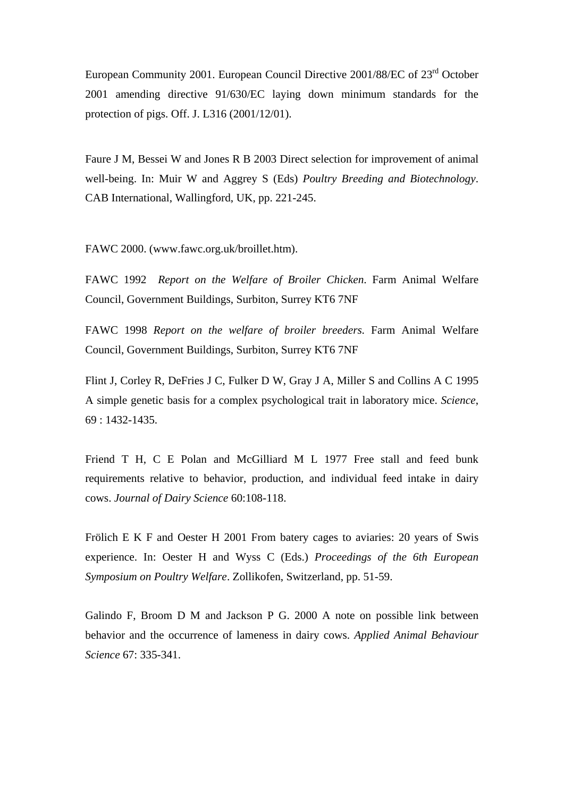European Community 2001. European Council Directive 2001/88/EC of 23rd October 2001 amending directive 91/630/EC laying down minimum standards for the protection of pigs. Off. J. L316 (2001/12/01).

Faure J M, Bessei W and Jones R B 2003 Direct selection for improvement of animal well-being. In: Muir W and Aggrey S (Eds) *Poultry Breeding and Biotechnology*. CAB International, Wallingford, UK, pp. 221-245.

FAWC 2000. (www.fawc.org.uk/broillet.htm).

FAWC 1992 *Report on the Welfare of Broiler Chicken*. Farm Animal Welfare Council, Government Buildings, Surbiton, Surrey KT6 7NF

FAWC 1998 *Report on the welfare of broiler breeders.* Farm Animal Welfare Council, Government Buildings, Surbiton, Surrey KT6 7NF

Flint J, Corley R, DeFries J C, Fulker D W, Gray J A, Miller S and Collins A C 1995 A simple genetic basis for a complex psychological trait in laboratory mice. *Science*, 69 : 1432-1435.

Friend T H, C E Polan and McGilliard M L 1977 Free stall and feed bunk requirements relative to behavior, production, and individual feed intake in dairy cows. *Journal of Dairy Science* 60:108-118.

Frölich E K F and Oester H 2001 From batery cages to aviaries: 20 years of Swis experience. In: Oester H and Wyss C (Eds.) *Proceedings of the 6th European Symposium on Poultry Welfare*. Zollikofen, Switzerland, pp. 51-59.

Galindo F, Broom D M and Jackson P G. 2000 A note on possible link between behavior and the occurrence of lameness in dairy cows. *Applied Animal Behaviour Science* 67: 335-341.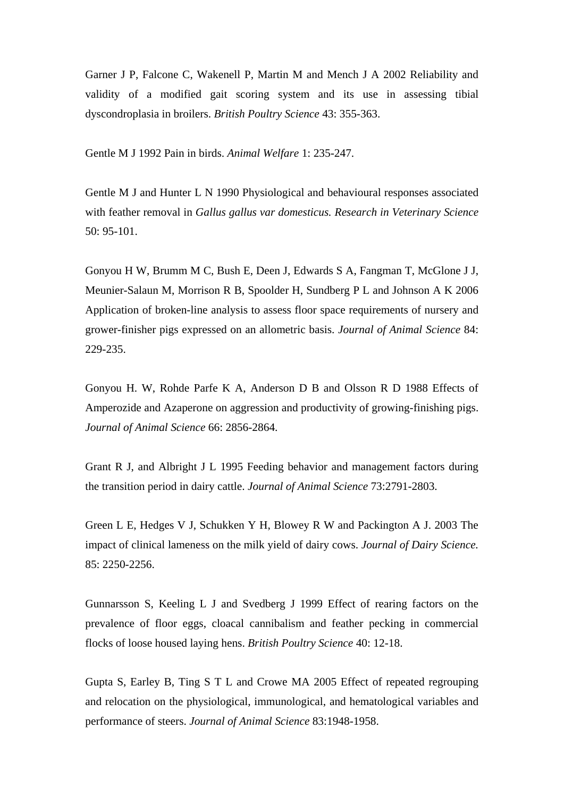Garner J P, Falcone C, Wakenell P, Martin M and Mench J A 2002 Reliability and validity of a modified gait scoring system and its use in assessing tibial dyscondroplasia in broilers. *British Poultry Science* 43: 355-363.

Gentle M J 1992 Pain in birds. *Animal Welfare* 1: 235-247.

Gentle M J and Hunter L N 1990 Physiological and behavioural responses associated with feather removal in *Gallus gallus var domesticus. Research in Veterinary Science*  50: 95-101.

Gonyou H W, Brumm M C, Bush E, Deen J, Edwards S A, Fangman T, McGlone J J, Meunier-Salaun M, Morrison R B, Spoolder H, Sundberg P L and Johnson A K 2006 Application of broken-line analysis to assess floor space requirements of nursery and grower-finisher pigs expressed on an allometric basis. *Journal of Animal Science* 84: 229-235.

Gonyou H. W, Rohde Parfe K A, Anderson D B and Olsson R D 1988 Effects of Amperozide and Azaperone on aggression and productivity of growing-finishing pigs. *Journal of Animal Science* 66: 2856-2864.

Grant R J, and Albright J L 1995 Feeding behavior and management factors during the transition period in dairy cattle. *Journal of Animal Science* 73:2791-2803.

Green L E, Hedges V J, Schukken Y H, Blowey R W and Packington A J. 2003 The impact of clinical lameness on the milk yield of dairy cows. *Journal of Dairy Science.* 85: 2250-2256.

Gunnarsson S, Keeling L J and Svedberg J 1999 Effect of rearing factors on the prevalence of floor eggs, cloacal cannibalism and feather pecking in commercial flocks of loose housed laying hens. *British Poultry Science* 40: 12-18.

Gupta S, Earley B, Ting S T L and Crowe MA 2005 Effect of repeated regrouping and relocation on the physiological, immunological, and hematological variables and performance of steers. *Journal of Animal Science* 83:1948-1958.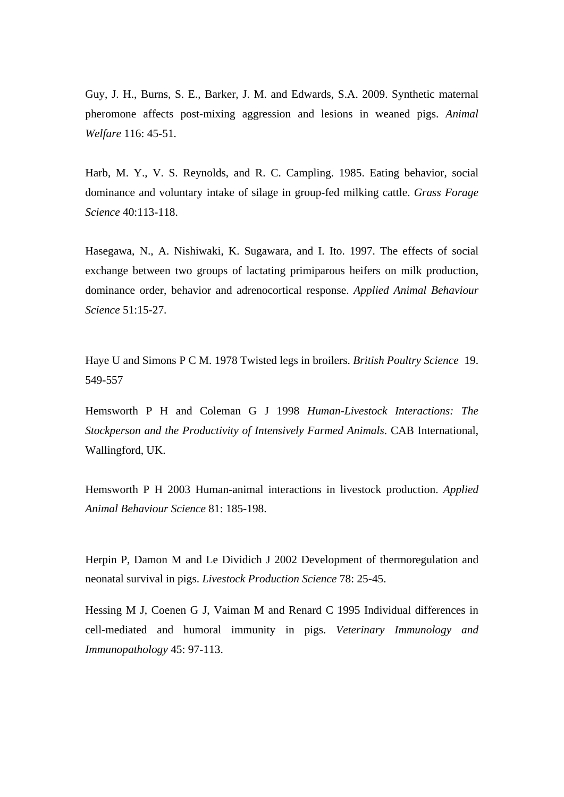Guy, J. H., Burns, S. E., Barker, J. M. and Edwards, S.A. 2009. Synthetic maternal pheromone affects post-mixing aggression and lesions in weaned pigs. *Animal Welfare* 116: 45-51.

Harb, M. Y., V. S. Reynolds, and R. C. Campling. 1985. Eating behavior, social dominance and voluntary intake of silage in group-fed milking cattle. *Grass Forage Science* 40:113-118.

Hasegawa, N., A. Nishiwaki, K. Sugawara, and I. Ito. 1997. The effects of social exchange between two groups of lactating primiparous heifers on milk production, dominance order, behavior and adrenocortical response. *Applied Animal Behaviour Science* 51:15-27.

Haye U and Simons P C M. 1978 Twisted legs in broilers. *British Poultry Science* 19. 549-557

Hemsworth P H and Coleman G J 1998 *Human-Livestock Interactions: The Stockperson and the Productivity of Intensively Farmed Animals*. CAB International, Wallingford, UK.

Hemsworth P H 2003 Human-animal interactions in livestock production. *Applied Animal Behaviour Science* 81: 185-198.

Herpin P, Damon M and Le Dividich J 2002 Development of thermoregulation and neonatal survival in pigs. *Livestock Production Science* 78: 25-45.

Hessing M J, Coenen G J, Vaiman M and Renard C 1995 Individual differences in cell-mediated and humoral immunity in pigs. *Veterinary Immunology and Immunopathology* 45: 97-113.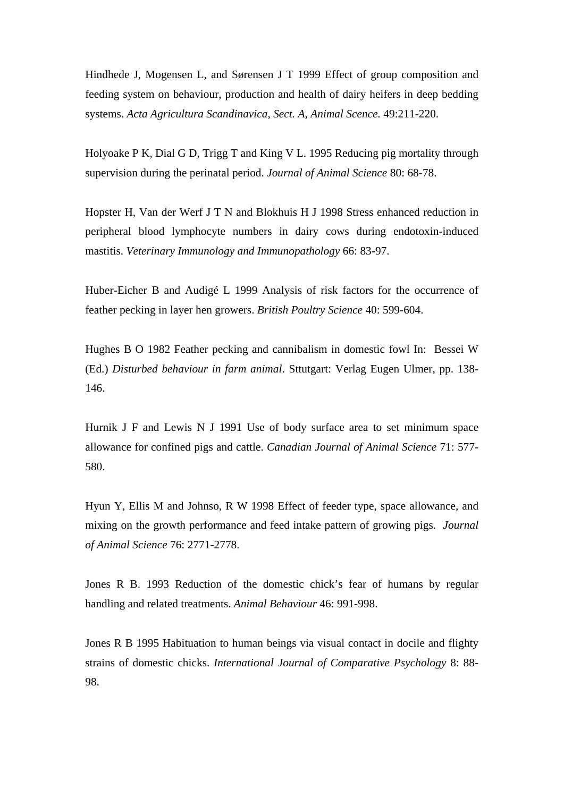Hindhede J, Mogensen L, and Sørensen J T 1999 Effect of group composition and feeding system on behaviour, production and health of dairy heifers in deep bedding systems. *Acta Agricultura Scandinavica, Sect. A, Animal Scence.* 49:211-220.

Holyoake P K, Dial G D, Trigg T and King V L. 1995 Reducing pig mortality through supervision during the perinatal period. *Journal of Animal Science* 80: 68-78.

Hopster H, Van der Werf J T N and Blokhuis H J 1998 Stress enhanced reduction in peripheral blood lymphocyte numbers in dairy cows during endotoxin-induced mastitis. *Veterinary Immunology and Immunopathology* 66: 83-97.

Huber-Eicher B and Audigé L 1999 Analysis of risk factors for the occurrence of feather pecking in layer hen growers. *British Poultry Science* 40: 599-604.

Hughes B O 1982 Feather pecking and cannibalism in domestic fowl In: Bessei W (Ed.) *Disturbed behaviour in farm animal*. Sttutgart: Verlag Eugen Ulmer, pp. 138- 146.

Hurnik J F and Lewis N J 1991 Use of body surface area to set minimum space allowance for confined pigs and cattle. *Canadian Journal of Animal Science* 71: 577- 580.

Hyun Y, Ellis M and Johnso, R W 1998 Effect of feeder type, space allowance, and mixing on the growth performance and feed intake pattern of growing pigs. *Journal of Animal Science* 76: 2771-2778.

Jones R B. 1993 Reduction of the domestic chick's fear of humans by regular handling and related treatments. *Animal Behaviour* 46: 991-998.

Jones R B 1995 Habituation to human beings via visual contact in docile and flighty strains of domestic chicks. *International Journal of Comparative Psychology* 8: 88- 98.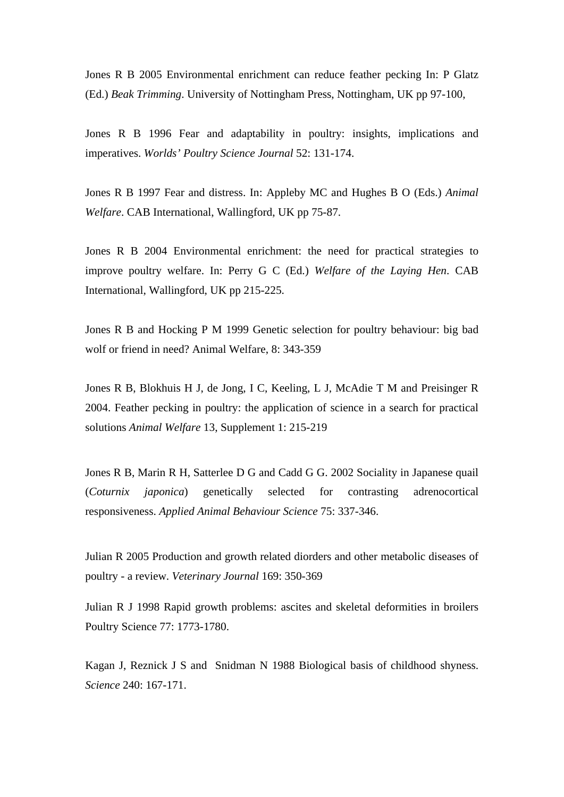Jones R B 2005 Environmental enrichment can reduce feather pecking In: P Glatz (Ed.) *Beak Trimming*. University of Nottingham Press, Nottingham, UK pp 97-100,

Jones R B 1996 Fear and adaptability in poultry: insights, implications and imperatives. *Worlds' Poultry Science Journal* 52: 131-174.

Jones R B 1997 Fear and distress. In: Appleby MC and Hughes B O (Eds.) *Animal Welfare*. CAB International, Wallingford, UK pp 75-87.

Jones R B 2004 Environmental enrichment: the need for practical strategies to improve poultry welfare. In: Perry G C (Ed.) *Welfare of the Laying Hen*. CAB International, Wallingford, UK pp 215-225.

Jones R B and Hocking P M 1999 Genetic selection for poultry behaviour: big bad wolf or friend in need? Animal Welfare, 8: 343-359

Jones R B, Blokhuis H J, de Jong, I C, Keeling, L J, McAdie T M and Preisinger R 2004. Feather pecking in poultry: the application of science in a search for practical solutions *Animal Welfare* 13, Supplement 1: 215-219

Jones R B, Marin R H, Satterlee D G and Cadd G G. 2002 Sociality in Japanese quail (*Coturnix japonica*) genetically selected for contrasting adrenocortical responsiveness. *Applied Animal Behaviour Science* 75: 337-346.

Julian R 2005 Production and growth related diorders and other metabolic diseases of poultry - a review. *Veterinary Journal* 169: 350-369

Julian R J 1998 Rapid growth problems: ascites and skeletal deformities in broilers Poultry Science 77: 1773-1780.

Kagan J, Reznick J S and Snidman N 1988 Biological basis of childhood shyness. *Science* 240: 167-171.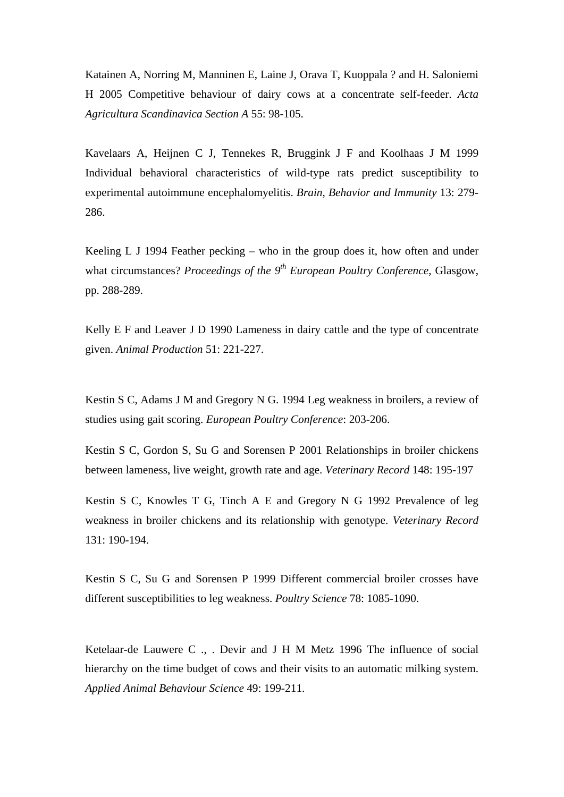Katainen A, Norring M, Manninen E, Laine J, Orava T, Kuoppala ? and H. Saloniemi H 2005 Competitive behaviour of dairy cows at a concentrate self-feeder. *Acta Agricultura Scandinavica Section A* 55: 98-105.

Kavelaars A, Heijnen C J, Tennekes R, Bruggink J F and Koolhaas J M 1999 Individual behavioral characteristics of wild-type rats predict susceptibility to experimental autoimmune encephalomyelitis. *Brain, Behavior and Immunity* 13: 279- 286.

Keeling L J 1994 Feather pecking – who in the group does it, how often and under what circumstances? *Proceedings of the 9th European Poultry Conference*, Glasgow, pp. 288-289.

Kelly E F and Leaver J D 1990 Lameness in dairy cattle and the type of concentrate given. *Animal Production* 51: 221-227.

Kestin S C, Adams J M and Gregory N G. 1994 Leg weakness in broilers, a review of studies using gait scoring. *European Poultry Conference*: 203-206.

Kestin S C, Gordon S, Su G and Sorensen P 2001 Relationships in broiler chickens between lameness, live weight, growth rate and age. *Veterinary Record* 148: 195-197

Kestin S C, Knowles T G, Tinch A E and Gregory N G 1992 Prevalence of leg weakness in broiler chickens and its relationship with genotype. *Veterinary Record* 131: 190-194.

Kestin S C, Su G and Sorensen P 1999 Different commercial broiler crosses have different susceptibilities to leg weakness. *Poultry Science* 78: 1085-1090.

Ketelaar-de Lauwere C ., . Devir and J H M Metz 1996 The influence of social hierarchy on the time budget of cows and their visits to an automatic milking system. *Applied Animal Behaviour Science* 49: 199-211.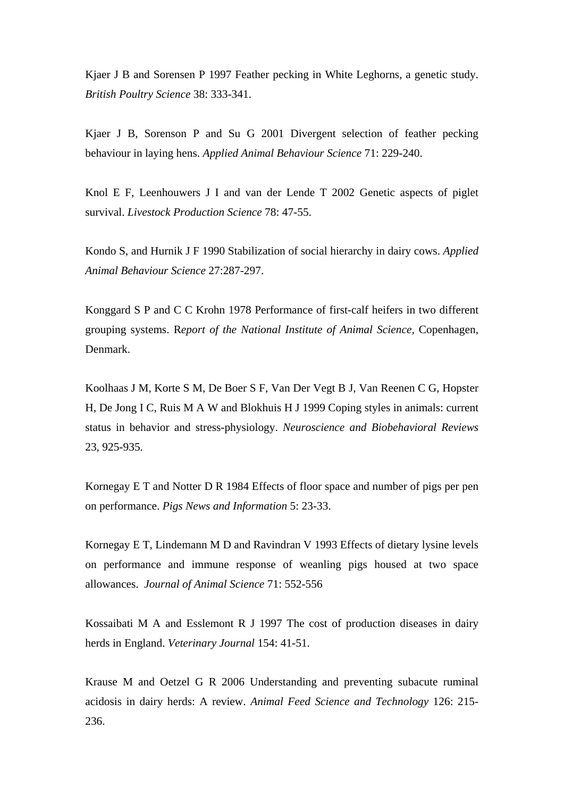Kjaer J B and Sorensen P 1997 Feather pecking in White Leghorns, a genetic study. *British Poultry Science* 38: 333-341.

Kjaer J B, Sorenson P and Su G 2001 Divergent selection of feather pecking behaviour in laying hens. *Applied Animal Behaviour Science* 71: 229-240.

Knol E F, Leenhouwers J I and van der Lende T 2002 Genetic aspects of piglet survival. *Livestock Production Science* 78: 47-55.

Kondo S, and Hurnik J F 1990 Stabilization of social hierarchy in dairy cows. *Applied Animal Behaviour Science* 27:287-297.

Konggard S P and C C Krohn 1978 Performance of first-calf heifers in two different grouping systems. R*eport of the National Institute of Animal Science,* Copenhagen, Denmark.

Koolhaas J M, Korte S M, De Boer S F, Van Der Vegt B J, Van Reenen C G, Hopster H, De Jong I C, Ruis M A W and Blokhuis H J 1999 Coping styles in animals: current status in behavior and stress-physiology. *Neuroscience and Biobehavioral Reviews* 23, 925-935.

Kornegay E T and Notter D R 1984 Effects of floor space and number of pigs per pen on performance. *Pigs News and Information* 5: 23-33.

Kornegay E T, Lindemann M D and Ravindran V 1993 Effects of dietary lysine levels on performance and immune response of weanling pigs housed at two space allowances. *Journal of Animal Science* 71: 552-556

Kossaibati M A and Esslemont R J 1997 The cost of production diseases in dairy herds in England. *Veterinary Journal* 154: 41-51.

Krause M and Oetzel G R 2006 Understanding and preventing subacute ruminal acidosis in dairy herds: A review. *Animal Feed Science and Technology* 126: 215- 236.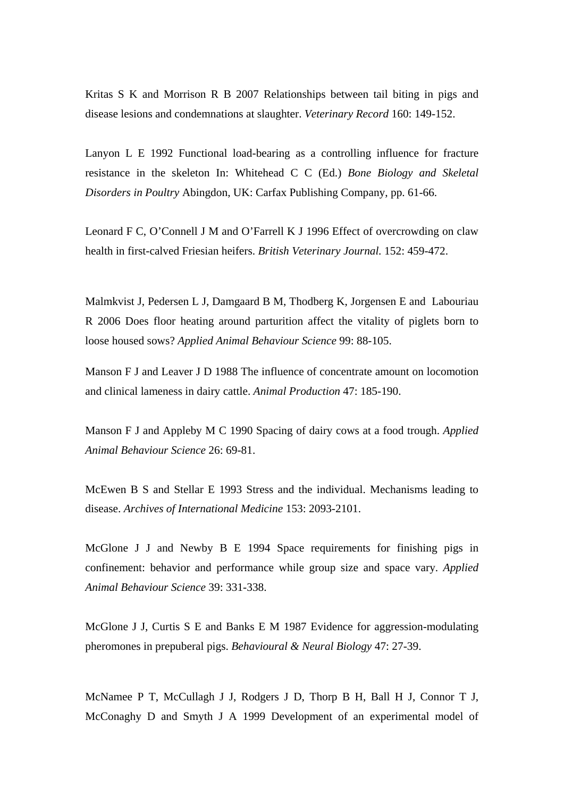Kritas S K and Morrison R B 2007 Relationships between tail biting in pigs and disease lesions and condemnations at slaughter. *Veterinary Record* 160: 149-152.

Lanyon L E 1992 Functional load-bearing as a controlling influence for fracture resistance in the skeleton In: Whitehead C C (Ed.) *Bone Biology and Skeletal Disorders in Poultry* Abingdon, UK: Carfax Publishing Company, pp. 61-66.

Leonard F C, O'Connell J M and O'Farrell K J 1996 Effect of overcrowding on claw health in first-calved Friesian heifers. *British Veterinary Journal.* 152: 459-472.

Malmkvist J, Pedersen L J, Damgaard B M, Thodberg K, Jorgensen E and Labouriau R 2006 Does floor heating around parturition affect the vitality of piglets born to loose housed sows? *Applied Animal Behaviour Science* 99: 88-105.

Manson F J and Leaver J D 1988 The influence of concentrate amount on locomotion and clinical lameness in dairy cattle. *Animal Production* 47: 185-190.

Manson F J and Appleby M C 1990 Spacing of dairy cows at a food trough. *Applied Animal Behaviour Science* 26: 69-81.

McEwen B S and Stellar E 1993 Stress and the individual. Mechanisms leading to disease. *Archives of International Medicine* 153: 2093-2101.

McGlone J J and Newby B E 1994 Space requirements for finishing pigs in confinement: behavior and performance while group size and space vary. *Applied Animal Behaviour Science* 39: 331-338.

McGlone J J, Curtis S E and Banks E M 1987 Evidence for aggression-modulating pheromones in prepuberal pigs. *Behavioural & Neural Biology* 47: 27-39.

McNamee P T, McCullagh J J, Rodgers J D, Thorp B H, Ball H J, Connor T J, McConaghy D and Smyth J A 1999 Development of an experimental model of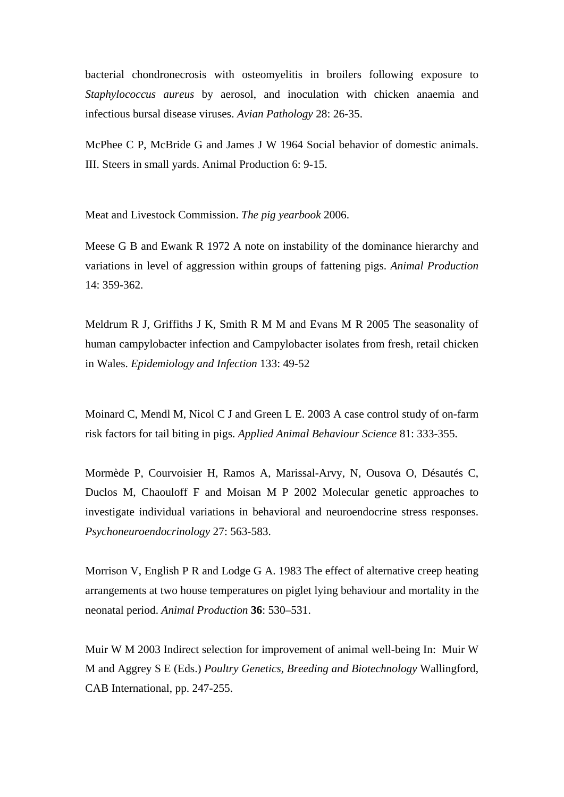bacterial chondronecrosis with osteomyelitis in broilers following exposure to *Staphylococcus aureus* by aerosol, and inoculation with chicken anaemia and infectious bursal disease viruses. *Avian Pathology* 28: 26-35.

McPhee C P, McBride G and James J W 1964 Social behavior of domestic animals. III. Steers in small yards. Animal Production 6: 9-15.

Meat and Livestock Commission. *The pig yearbook* 2006.

Meese G B and Ewank R 1972 A note on instability of the dominance hierarchy and variations in level of aggression within groups of fattening pigs. *Animal Production*  14: 359-362.

Meldrum R J, Griffiths J K, Smith R M M and Evans M R 2005 The seasonality of human campylobacter infection and Campylobacter isolates from fresh, retail chicken in Wales. *Epidemiology and Infection* 133: 49-52

Moinard C, Mendl M, Nicol C J and Green L E. 2003 A case control study of on-farm risk factors for tail biting in pigs. *Applied Animal Behaviour Science* 81: 333-355.

Mormède P, Courvoisier H, Ramos A, Marissal-Arvy, N, Ousova O, Désautés C, Duclos M, Chaouloff F and Moisan M P 2002 Molecular genetic approaches to investigate individual variations in behavioral and neuroendocrine stress responses. *Psychoneuroendocrinology* 27: 563-583.

Morrison V, English P R and Lodge G A. 1983 The effect of alternative creep heating arrangements at two house temperatures on piglet lying behaviour and mortality in the neonatal period. *Animal Production* **36**: 530–531.

Muir W M 2003 Indirect selection for improvement of animal well-being In: Muir W M and Aggrey S E (Eds.) *Poultry Genetics, Breeding and Biotechnology* Wallingford, CAB International, pp. 247-255.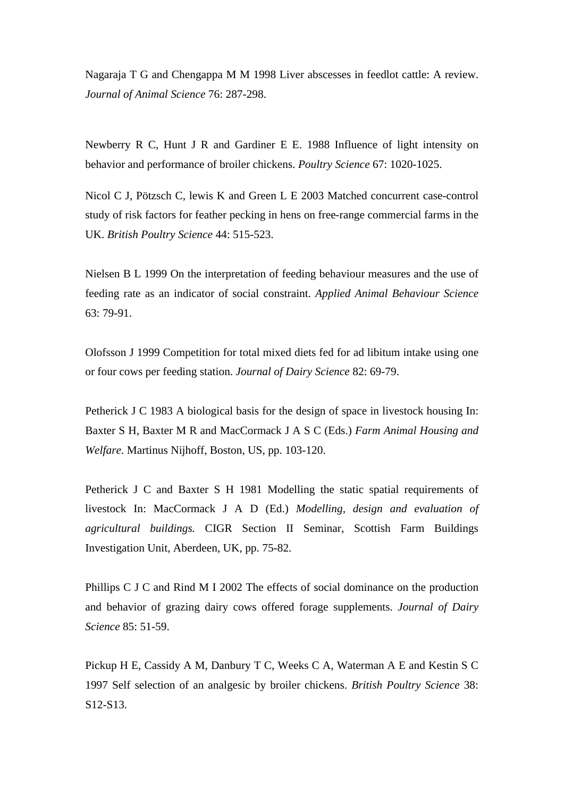Nagaraja T G and Chengappa M M 1998 Liver abscesses in feedlot cattle: A review. *Journal of Animal Science* 76: 287-298.

Newberry R C, Hunt J R and Gardiner E E. 1988 Influence of light intensity on behavior and performance of broiler chickens. *Poultry Science* 67: 1020-1025.

Nicol C J, Pötzsch C, lewis K and Green L E 2003 Matched concurrent case-control study of risk factors for feather pecking in hens on free-range commercial farms in the UK. *British Poultry Science* 44: 515-523.

Nielsen B L 1999 On the interpretation of feeding behaviour measures and the use of feeding rate as an indicator of social constraint. *Applied Animal Behaviour Science*  63: 79-91.

Olofsson J 1999 Competition for total mixed diets fed for ad libitum intake using one or four cows per feeding station. *Journal of Dairy Science* 82: 69-79.

Petherick J C 1983 A biological basis for the design of space in livestock housing In: Baxter S H, Baxter M R and MacCormack J A S C (Eds.) *Farm Animal Housing and Welfare*. Martinus Nijhoff, Boston, US, pp. 103-120.

Petherick J C and Baxter S H 1981 Modelling the static spatial requirements of livestock In: MacCormack J A D (Ed.) *Modelling, design and evaluation of agricultural buildings.* CIGR Section II Seminar, Scottish Farm Buildings Investigation Unit, Aberdeen, UK, pp. 75-82.

Phillips C J C and Rind M I 2002 The effects of social dominance on the production and behavior of grazing dairy cows offered forage supplements. *Journal of Dairy Science* 85: 51-59.

Pickup H E, Cassidy A M, Danbury T C, Weeks C A, Waterman A E and Kestin S C 1997 Self selection of an analgesic by broiler chickens. *British Poultry Science* 38: S12-S13.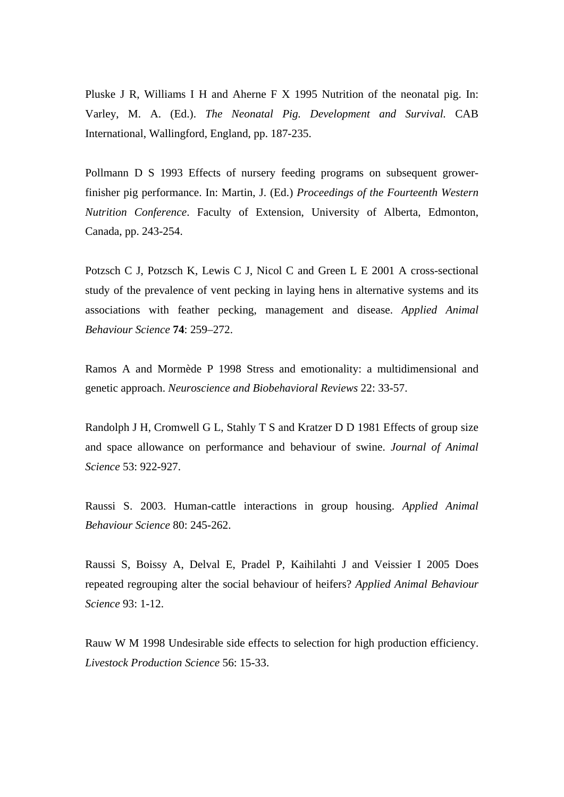Pluske J R, Williams I H and Aherne F X 1995 Nutrition of the neonatal pig. In: Varley, M. A. (Ed.). *The Neonatal Pig. Development and Survival.* CAB International, Wallingford, England, pp. 187-235.

Pollmann D S 1993 Effects of nursery feeding programs on subsequent growerfinisher pig performance. In: Martin, J. (Ed.) *Proceedings of the Fourteenth Western Nutrition Conference*. Faculty of Extension, University of Alberta, Edmonton, Canada, pp. 243-254.

Potzsch C J, Potzsch K, Lewis C J, Nicol C and Green L E 2001 A cross-sectional study of the prevalence of vent pecking in laying hens in alternative systems and its associations with feather pecking, management and disease. *Applied Animal Behaviour Science* **74**: 259–272.

Ramos A and Mormède P 1998 Stress and emotionality: a multidimensional and genetic approach. *Neuroscience and Biobehavioral Reviews* 22: 33-57.

Randolph J H, Cromwell G L, Stahly T S and Kratzer D D 1981 Effects of group size and space allowance on performance and behaviour of swine. *Journal of Animal Science* 53: 922-927.

Raussi S. 2003. Human-cattle interactions in group housing. *Applied Animal Behaviour Science* 80: 245-262.

Raussi S, Boissy A, Delval E, Pradel P, Kaihilahti J and Veissier I 2005 Does repeated regrouping alter the social behaviour of heifers? *Applied Animal Behaviour Science* 93: 1-12.

Rauw W M 1998 Undesirable side effects to selection for high production efficiency. *Livestock Production Science* 56: 15-33.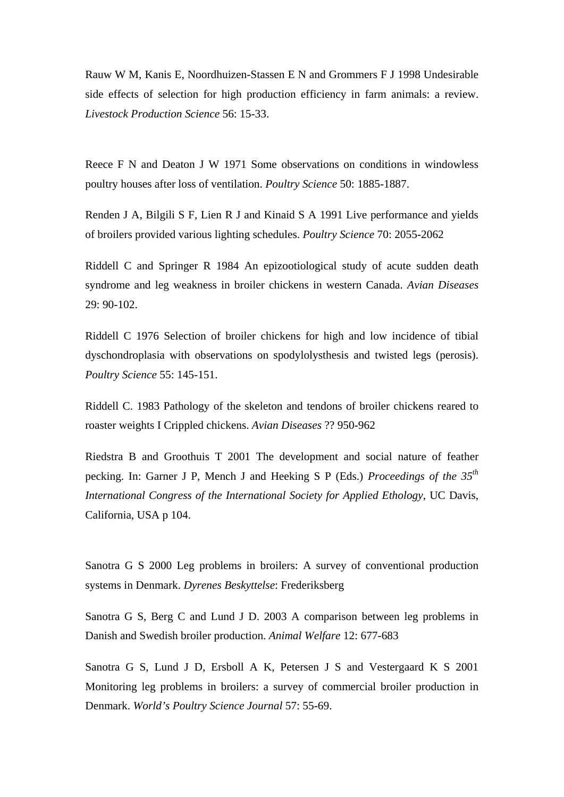Rauw W M, Kanis E, Noordhuizen-Stassen E N and Grommers F J 1998 Undesirable side effects of selection for high production efficiency in farm animals: a review. *Livestock Production Science* 56: 15-33.

Reece F N and Deaton J W 1971 Some observations on conditions in windowless poultry houses after loss of ventilation. *Poultry Science* 50: 1885-1887.

Renden J A, Bilgili S F, Lien R J and Kinaid S A 1991 Live performance and yields of broilers provided various lighting schedules. *Poultry Science* 70: 2055-2062

Riddell C and Springer R 1984 An epizootiological study of acute sudden death syndrome and leg weakness in broiler chickens in western Canada. *Avian Diseases* 29: 90-102.

Riddell C 1976 Selection of broiler chickens for high and low incidence of tibial dyschondroplasia with observations on spodylolysthesis and twisted legs (perosis). *Poultry Science* 55: 145-151.

Riddell C. 1983 Pathology of the skeleton and tendons of broiler chickens reared to roaster weights I Crippled chickens. *Avian Diseases* ?? 950-962

Riedstra B and Groothuis T 2001 The development and social nature of feather pecking. In: Garner J P, Mench J and Heeking S P (Eds.) *Proceedings of the 35th International Congress of the International Society for Applied Ethology*, UC Davis, California, USA p 104.

Sanotra G S 2000 Leg problems in broilers: A survey of conventional production systems in Denmark. *Dyrenes Beskyttelse*: Frederiksberg

Sanotra G S, Berg C and Lund J D. 2003 A comparison between leg problems in Danish and Swedish broiler production. *Animal Welfare* 12: 677-683

Sanotra G S, Lund J D, Ersboll A K, Petersen J S and Vestergaard K S 2001 Monitoring leg problems in broilers: a survey of commercial broiler production in Denmark. *World's Poultry Science Journal* 57: 55-69.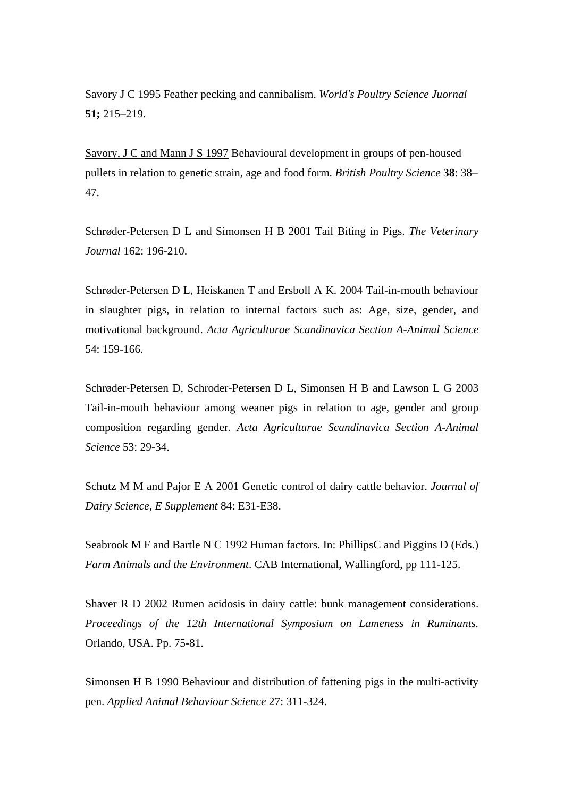[Savory J C 1995](http://www.sciencedirect.com/science?_ob=ArticleURL&_udi=B6T48-4RWC843-1&_user=1517286&_rdoc=1&_fmt=&_orig=search&_sort=d&_docanchor=&view=c&_searchStrId=1084341742&_rerunOrigin=google&_acct=C000053449&_version=1&_urlVersion=0&_userid=1517286&md5=ae8937bbc82606dc52788cec55ca8a68#bbib37) Feather pecking and cannibalism. *World's Poultry Science Juornal* **51;** 215–219.

[Savory, J C and Mann J S 1997](http://www.sciencedirect.com/science?_ob=ArticleURL&_udi=B6T48-4RWC843-1&_user=1517286&_rdoc=1&_fmt=&_orig=search&_sort=d&_docanchor=&view=c&_searchStrId=1084341742&_rerunOrigin=google&_acct=C000053449&_version=1&_urlVersion=0&_userid=1517286&md5=ae8937bbc82606dc52788cec55ca8a68#bbib38) Behavioural development in groups of pen-housed pullets in relation to genetic strain, age and food form. *British Poultry Science* **38**: 38– 47.

Schrøder-Petersen D L and Simonsen H B 2001 Tail Biting in Pigs. *The Veterinary Journal* 162: 196-210.

Schrøder-Petersen D L, Heiskanen T and Ersboll A K. 2004 Tail-in-mouth behaviour in slaughter pigs, in relation to internal factors such as: Age, size, gender, and motivational background. *Acta Agriculturae Scandinavica Section A-Animal Science*  54: 159-166.

Schrøder-Petersen D, Schroder-Petersen D L, Simonsen H B and Lawson L G 2003 Tail-in-mouth behaviour among weaner pigs in relation to age, gender and group composition regarding gender. *Acta Agriculturae Scandinavica Section A-Animal Science* 53: 29-34.

Schutz M M and Pajor E A 2001 Genetic control of dairy cattle behavior. *Journal of Dairy Science, E Supplement* 84: E31-E38.

Seabrook M F and Bartle N C 1992 Human factors. In: PhillipsC and Piggins D (Eds.) *Farm Animals and the Environment*. CAB International, Wallingford, pp 111-125.

Shaver R D 2002 Rumen acidosis in dairy cattle: bunk management considerations. *Proceedings of the 12th International Symposium on Lameness in Ruminants.*  Orlando, USA. Pp. 75-81.

Simonsen H B 1990 Behaviour and distribution of fattening pigs in the multi-activity pen. *Applied Animal Behaviour Science* 27: 311-324.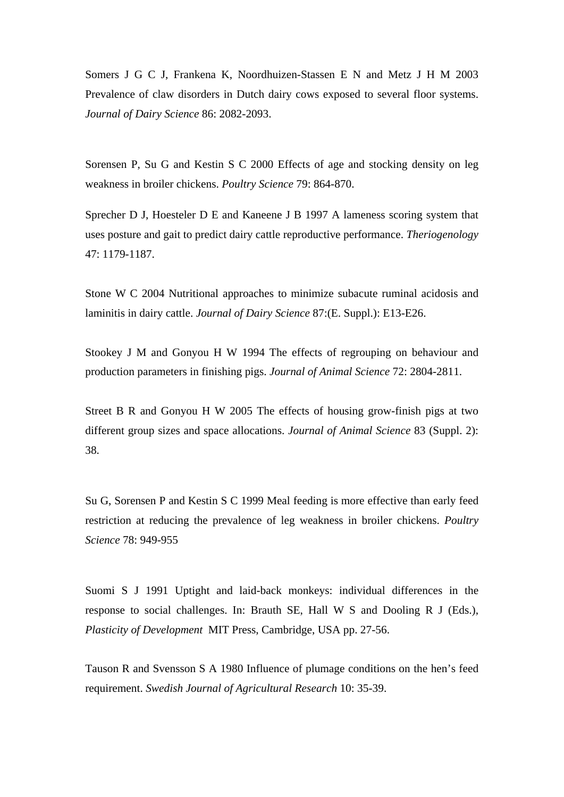Somers J G C J, Frankena K, Noordhuizen-Stassen E N and Metz J H M 2003 Prevalence of claw disorders in Dutch dairy cows exposed to several floor systems. *Journal of Dairy Science* 86: 2082-2093.

Sorensen P, Su G and Kestin S C 2000 Effects of age and stocking density on leg weakness in broiler chickens. *Poultry Science* 79: 864-870.

Sprecher D J, Hoesteler D E and Kaneene J B 1997 A lameness scoring system that uses posture and gait to predict dairy cattle reproductive performance. *Theriogenology* 47: 1179-1187.

Stone W C 2004 Nutritional approaches to minimize subacute ruminal acidosis and laminitis in dairy cattle. *Journal of Dairy Science* 87:(E. Suppl.): E13-E26.

Stookey J M and Gonyou H W 1994 The effects of regrouping on behaviour and production parameters in finishing pigs. *Journal of Animal Science* 72: 2804-2811.

Street B R and Gonyou H W 2005 The effects of housing grow-finish pigs at two different group sizes and space allocations. *Journal of Animal Science* 83 (Suppl. 2): 38.

Su G, Sorensen P and Kestin S C 1999 Meal feeding is more effective than early feed restriction at reducing the prevalence of leg weakness in broiler chickens. *Poultry Science* 78: 949-955

Suomi S J 1991 Uptight and laid-back monkeys: individual differences in the response to social challenges. In: Brauth SE, Hall W S and Dooling R J (Eds.), *Plasticity of Development* MIT Press, Cambridge, USA pp. 27-56.

Tauson R and Svensson S A 1980 Influence of plumage conditions on the hen's feed requirement. *Swedish Journal of Agricultural Research* 10: 35-39.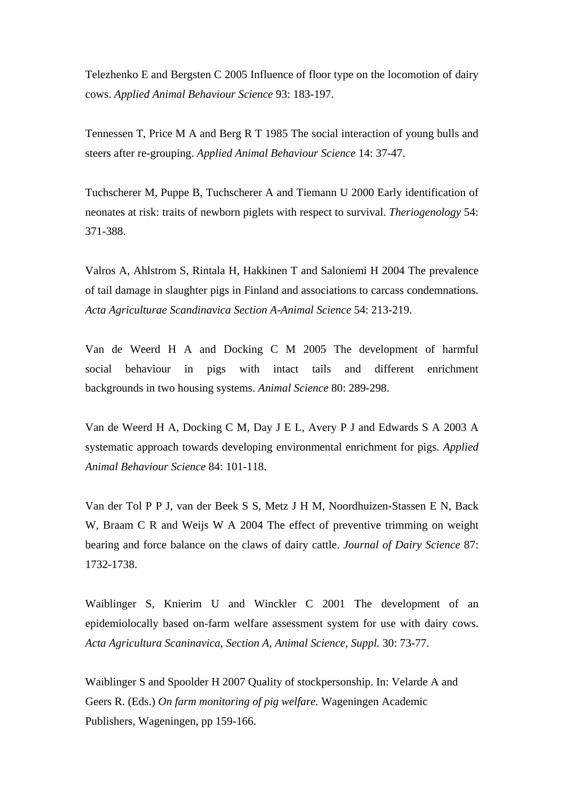Telezhenko E and Bergsten C 2005 Influence of floor type on the locomotion of dairy cows. *Applied Animal Behaviour Science* 93: 183-197.

Tennessen T, Price M A and Berg R T 1985 The social interaction of young bulls and steers after re-grouping. *Applied Animal Behaviour Science* 14: 37-47.

Tuchscherer M, Puppe B, Tuchscherer A and Tiemann U 2000 Early identification of neonates at risk: traits of newborn piglets with respect to survival. *Theriogenology* 54: 371-388.

Valros A, Ahlstrom S, Rintala H, Hakkinen T and Saloniemi H 2004 The prevalence of tail damage in slaughter pigs in Finland and associations to carcass condemnations. *Acta Agriculturae Scandinavica Section A-Animal Science* 54: 213-219.

Van de Weerd H A and Docking C M 2005 The development of harmful social behaviour in pigs with intact tails and different enrichment backgrounds in two housing systems. *Animal Science* 80: 289-298.

Van de Weerd H A, Docking C M, Day J E L, Avery P J and Edwards S A 2003 A systematic approach towards developing environmental enrichment for pigs. *Applied Animal Behaviour Science* 84: 101-118.

Van der Tol P P J, van der Beek S S, Metz J H M, Noordhuizen-Stassen E N, Back W, Braam C R and Weijs W A 2004 The effect of preventive trimming on weight bearing and force balance on the claws of dairy cattle. *Journal of Dairy Science* 87: 1732-1738.

Waiblinger S, Knierim U and Winckler C 2001 The development of an epidemiolocally based on-farm welfare assessment system for use with dairy cows. *Acta Agricultura Scaninavica, Section A, Animal Science, Suppl.* 30: 73-77.

Waiblinger S and Spoolder H 2007 Quality of stockpersonship. In: Velarde A and Geers R. (Eds.) *On farm monitoring of pig welfare.* Wageningen Academic Publishers, Wageningen, pp 159-166.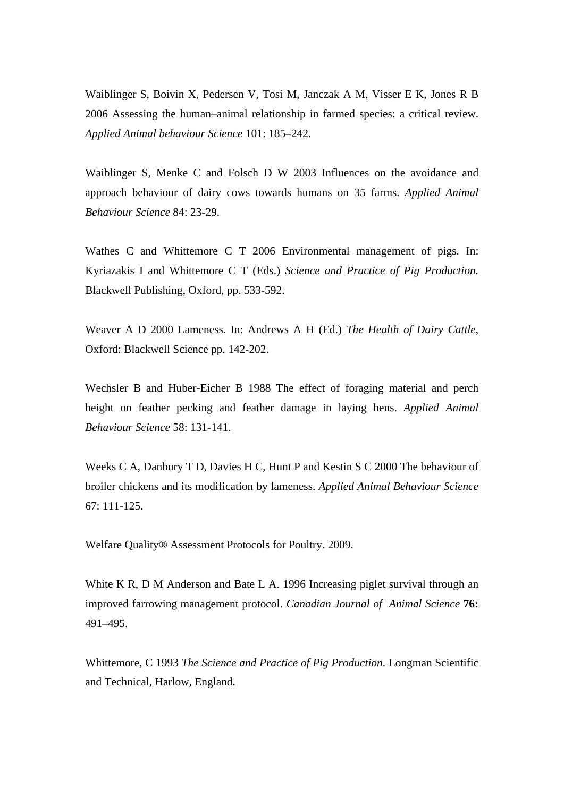Waiblinger S, Boivin X, Pedersen V, Tosi M, Janczak A M, Visser E K, Jones R B 2006 Assessing the human–animal relationship in farmed species: a critical review. *Applied Animal behaviour Science* 101: 185–242.

Waiblinger S, Menke C and Folsch D W 2003 Influences on the avoidance and approach behaviour of dairy cows towards humans on 35 farms. *Applied Animal Behaviour Science* 84: 23-29.

Wathes C and Whittemore C T 2006 Environmental management of pigs. In: Kyriazakis I and Whittemore C T (Eds.) *Science and Practice of Pig Production.* Blackwell Publishing, Oxford, pp. 533-592.

Weaver A D 2000 Lameness. In: Andrews A H (Ed.) *The Health of Dairy Cattle*, Oxford: Blackwell Science pp. 142-202.

Wechsler B and Huber-Eicher B 1988 The effect of foraging material and perch height on feather pecking and feather damage in laying hens. *Applied Animal Behaviour Science* 58: 131-141.

Weeks C A, Danbury T D, Davies H C, Hunt P and Kestin S C 2000 The behaviour of broiler chickens and its modification by lameness. *Applied Animal Behaviour Science* 67: 111-125.

Welfare Quality® Assessment Protocols for Poultry. 2009.

White K R, D M Anderson and Bate L A. 1996 Increasing piglet survival through an improved farrowing management protocol. *Canadian Journal of Animal Science* **76:** 491–495.

Whittemore, C 1993 *The Science and Practice of Pig Production*. Longman Scientific and Technical, Harlow, England.